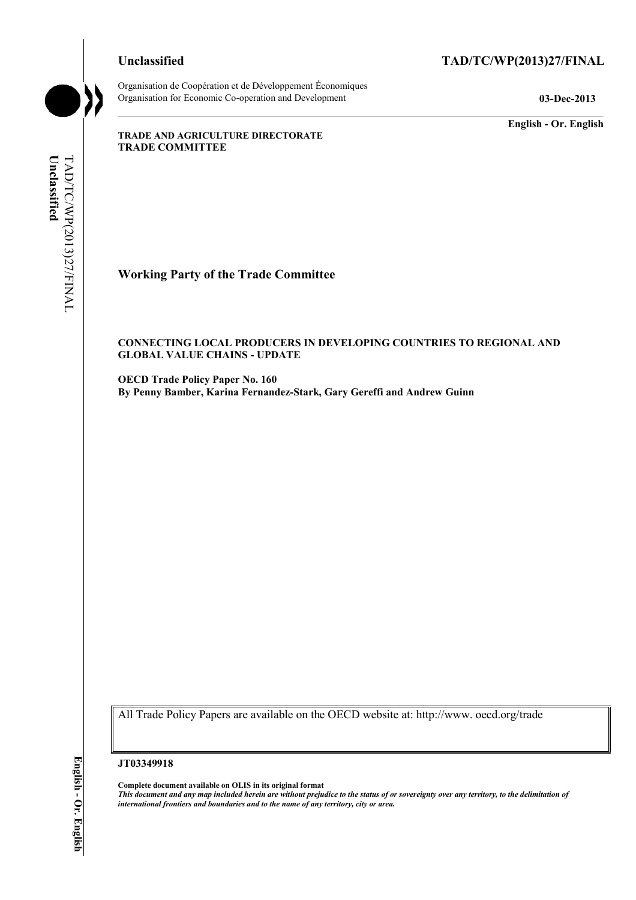# **Unclassified TAD/TC/WP(2013)27/FINAL**

**Unclassified** 

Unclassified

TAD/TC/WP(2013)27/FINAL

TAD/TC/WP(2013)27/FINAL

Organisation de Coopération et de Développement Économiques Organisation for Economic Co-operation and Development **03-Dec-2013** 

**English - Or. English** 

**TRADE AND AGRICULTURE DIRECTORATE TRADE COMMITTEE** 

# **Working Party of the Trade Committee**

#### **CONNECTING LOCAL PRODUCERS IN DEVELOPING COUNTRIES TO REGIONAL AND GLOBAL VALUE CHAINS - UPDATE**

**OECD Trade Policy Paper No. 160 By Penny Bamber, Karina Fernandez-Stark, Gary Gereffi and Andrew Guinn** 

All Trade Policy Papers are available on the OECD website at: http://www. oecd.org/trade

#### **JT03349918**

**Complete document available on OLIS in its original format** *This document and any map included herein are without prejudice to the status of or sovereignty over any territory, to the delimitation of international frontiers and boundaries and to the name of any territory, city or area.*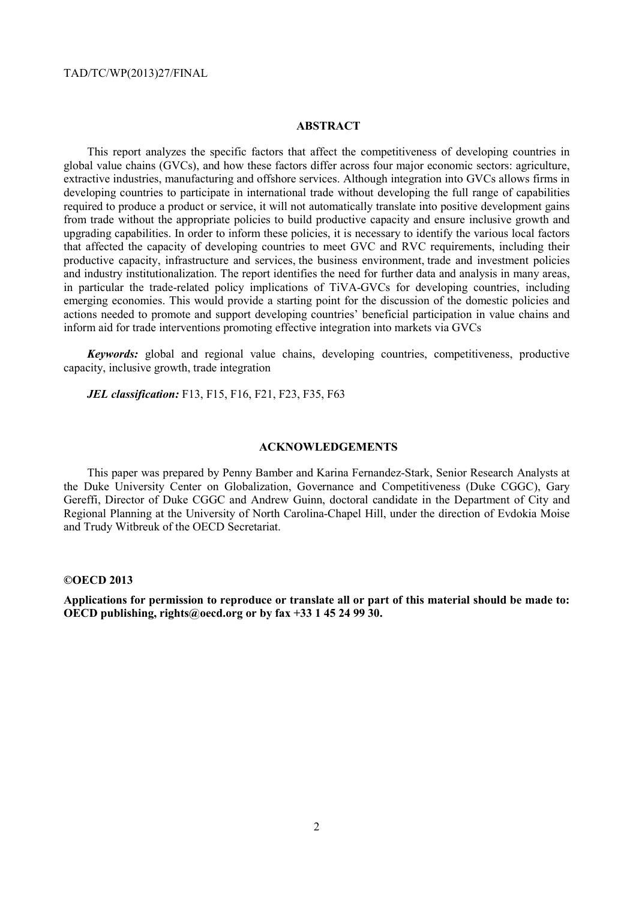#### **ABSTRACT**

This report analyzes the specific factors that affect the competitiveness of developing countries in global value chains (GVCs), and how these factors differ across four major economic sectors: agriculture, extractive industries, manufacturing and offshore services. Although integration into GVCs allows firms in developing countries to participate in international trade without developing the full range of capabilities required to produce a product or service, it will not automatically translate into positive development gains from trade without the appropriate policies to build productive capacity and ensure inclusive growth and upgrading capabilities. In order to inform these policies, it is necessary to identify the various local factors that affected the capacity of developing countries to meet GVC and RVC requirements, including their productive capacity, infrastructure and services, the business environment, trade and investment policies and industry institutionalization. The report identifies the need for further data and analysis in many areas, in particular the trade-related policy implications of TiVA-GVCs for developing countries, including emerging economies. This would provide a starting point for the discussion of the domestic policies and actions needed to promote and support developing countries' beneficial participation in value chains and inform aid for trade interventions promoting effective integration into markets via GVCs

*Keywords:* global and regional value chains, developing countries, competitiveness, productive capacity, inclusive growth, trade integration

*JEL classification:* F13, F15, F16, F21, F23, F35, F63

#### **ACKNOWLEDGEMENTS**

This paper was prepared by Penny Bamber and Karina Fernandez-Stark, Senior Research Analysts at the Duke University Center on Globalization, Governance and Competitiveness (Duke CGGC), Gary Gereffi, Director of Duke CGGC and Andrew Guinn, doctoral candidate in the Department of City and Regional Planning at the University of North Carolina-Chapel Hill, under the direction of Evdokia Moise and Trudy Witbreuk of the OECD Secretariat.

#### **©OECD 2013**

**Applications for permission to reproduce or translate all or part of this material should be made to: OECD publishing, rights@oecd.org or by fax +33 1 45 24 99 30.**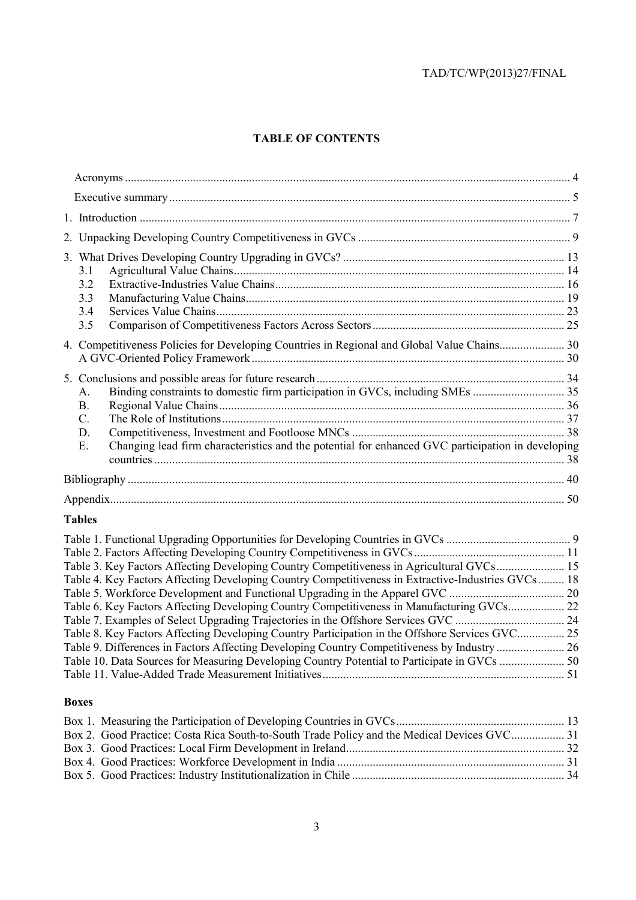# **TABLE OF CONTENTS**

| 3.1<br>3.2<br>3.3<br>3.4<br>3.5                                                                                                                                                                                                                                                                                                                                                                  |  |
|--------------------------------------------------------------------------------------------------------------------------------------------------------------------------------------------------------------------------------------------------------------------------------------------------------------------------------------------------------------------------------------------------|--|
|                                                                                                                                                                                                                                                                                                                                                                                                  |  |
| Binding constraints to domestic firm participation in GVCs, including SMEs  35<br>A.<br><b>B.</b><br>$\mathcal{C}$ .<br>D.<br>Changing lead firm characteristics and the potential for enhanced GVC participation in developing<br>Ε.                                                                                                                                                            |  |
|                                                                                                                                                                                                                                                                                                                                                                                                  |  |
|                                                                                                                                                                                                                                                                                                                                                                                                  |  |
| <b>Tables</b>                                                                                                                                                                                                                                                                                                                                                                                    |  |
| Table 3. Key Factors Affecting Developing Country Competitiveness in Agricultural GVCs 15<br>Table 4. Key Factors Affecting Developing Country Competitiveness in Extractive-Industries GVCs 18<br>Table 6. Key Factors Affecting Developing Country Competitiveness in Manufacturing GVCs 22<br>Table 8. Key Factors Affecting Developing Country Participation in the Offshore Services GVC 25 |  |
| $\alpha$                                                                                                                                                                                                                                                                                                                                                                                         |  |

Table 10. Data Sources for Measuring Developing Country Potential to Participate in GVCs ...................... 50 Table 11. Value-Added Trade Measurement Initiatives .................................................................................. 51

# **Boxes**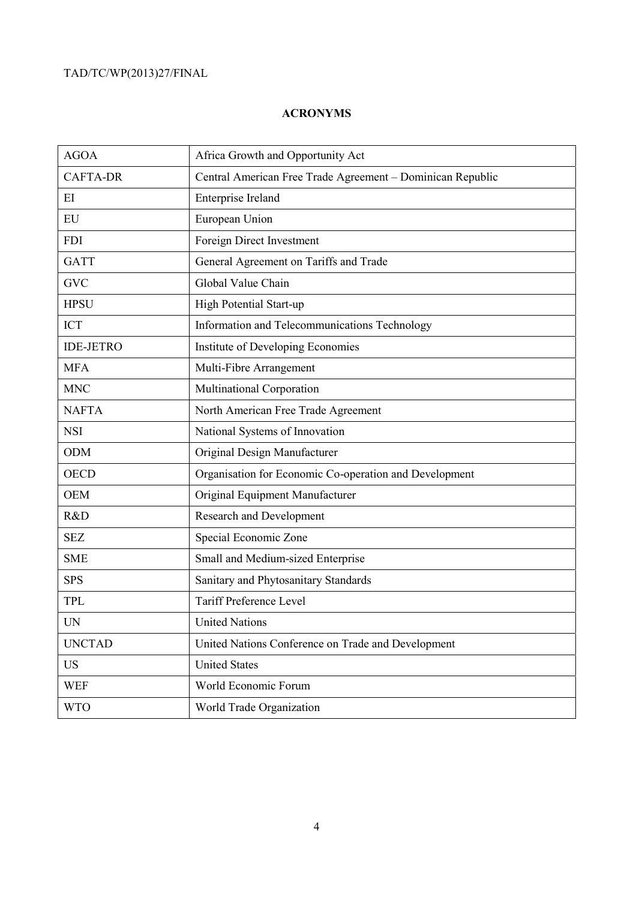## **ACRONYMS**

| <b>AGOA</b>      | Africa Growth and Opportunity Act                          |
|------------------|------------------------------------------------------------|
| <b>CAFTA-DR</b>  | Central American Free Trade Agreement - Dominican Republic |
| EI               | <b>Enterprise Ireland</b>                                  |
| EU               | European Union                                             |
| <b>FDI</b>       | Foreign Direct Investment                                  |
| <b>GATT</b>      | General Agreement on Tariffs and Trade                     |
| <b>GVC</b>       | Global Value Chain                                         |
| <b>HPSU</b>      | High Potential Start-up                                    |
| <b>ICT</b>       | Information and Telecommunications Technology              |
| <b>IDE-JETRO</b> | Institute of Developing Economies                          |
| <b>MFA</b>       | Multi-Fibre Arrangement                                    |
| <b>MNC</b>       | Multinational Corporation                                  |
| <b>NAFTA</b>     | North American Free Trade Agreement                        |
| <b>NSI</b>       | National Systems of Innovation                             |
| <b>ODM</b>       | Original Design Manufacturer                               |
| <b>OECD</b>      | Organisation for Economic Co-operation and Development     |
| <b>OEM</b>       | Original Equipment Manufacturer                            |
| R&D              | Research and Development                                   |
| <b>SEZ</b>       | Special Economic Zone                                      |
| <b>SME</b>       | Small and Medium-sized Enterprise                          |
| <b>SPS</b>       | Sanitary and Phytosanitary Standards                       |
| TPL              | <b>Tariff Preference Level</b>                             |
| <b>UN</b>        | <b>United Nations</b>                                      |
| <b>UNCTAD</b>    | United Nations Conference on Trade and Development         |
| <b>US</b>        | <b>United States</b>                                       |
| <b>WEF</b>       | World Economic Forum                                       |
| <b>WTO</b>       | World Trade Organization                                   |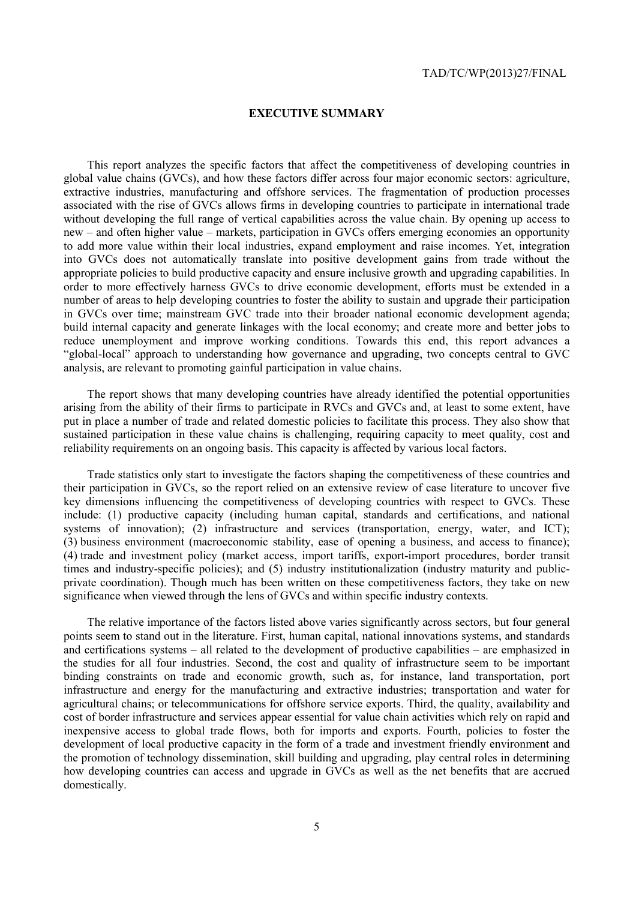#### **EXECUTIVE SUMMARY**

This report analyzes the specific factors that affect the competitiveness of developing countries in global value chains (GVCs), and how these factors differ across four major economic sectors: agriculture, extractive industries, manufacturing and offshore services. The fragmentation of production processes associated with the rise of GVCs allows firms in developing countries to participate in international trade without developing the full range of vertical capabilities across the value chain. By opening up access to new – and often higher value – markets, participation in GVCs offers emerging economies an opportunity to add more value within their local industries, expand employment and raise incomes. Yet, integration into GVCs does not automatically translate into positive development gains from trade without the appropriate policies to build productive capacity and ensure inclusive growth and upgrading capabilities. In order to more effectively harness GVCs to drive economic development, efforts must be extended in a number of areas to help developing countries to foster the ability to sustain and upgrade their participation in GVCs over time; mainstream GVC trade into their broader national economic development agenda; build internal capacity and generate linkages with the local economy; and create more and better jobs to reduce unemployment and improve working conditions. Towards this end, this report advances a "global-local" approach to understanding how governance and upgrading, two concepts central to GVC analysis, are relevant to promoting gainful participation in value chains.

The report shows that many developing countries have already identified the potential opportunities arising from the ability of their firms to participate in RVCs and GVCs and, at least to some extent, have put in place a number of trade and related domestic policies to facilitate this process. They also show that sustained participation in these value chains is challenging, requiring capacity to meet quality, cost and reliability requirements on an ongoing basis. This capacity is affected by various local factors.

Trade statistics only start to investigate the factors shaping the competitiveness of these countries and their participation in GVCs, so the report relied on an extensive review of case literature to uncover five key dimensions influencing the competitiveness of developing countries with respect to GVCs. These include: (1) productive capacity (including human capital, standards and certifications, and national systems of innovation); (2) infrastructure and services (transportation, energy, water, and ICT); (3) business environment (macroeconomic stability, ease of opening a business, and access to finance); (4) trade and investment policy (market access, import tariffs, export-import procedures, border transit times and industry-specific policies); and (5) industry institutionalization (industry maturity and publicprivate coordination). Though much has been written on these competitiveness factors, they take on new significance when viewed through the lens of GVCs and within specific industry contexts.

The relative importance of the factors listed above varies significantly across sectors, but four general points seem to stand out in the literature. First, human capital, national innovations systems, and standards and certifications systems – all related to the development of productive capabilities – are emphasized in the studies for all four industries. Second, the cost and quality of infrastructure seem to be important binding constraints on trade and economic growth, such as, for instance, land transportation, port infrastructure and energy for the manufacturing and extractive industries; transportation and water for agricultural chains; or telecommunications for offshore service exports. Third, the quality, availability and cost of border infrastructure and services appear essential for value chain activities which rely on rapid and inexpensive access to global trade flows, both for imports and exports. Fourth, policies to foster the development of local productive capacity in the form of a trade and investment friendly environment and the promotion of technology dissemination, skill building and upgrading, play central roles in determining how developing countries can access and upgrade in GVCs as well as the net benefits that are accrued domestically.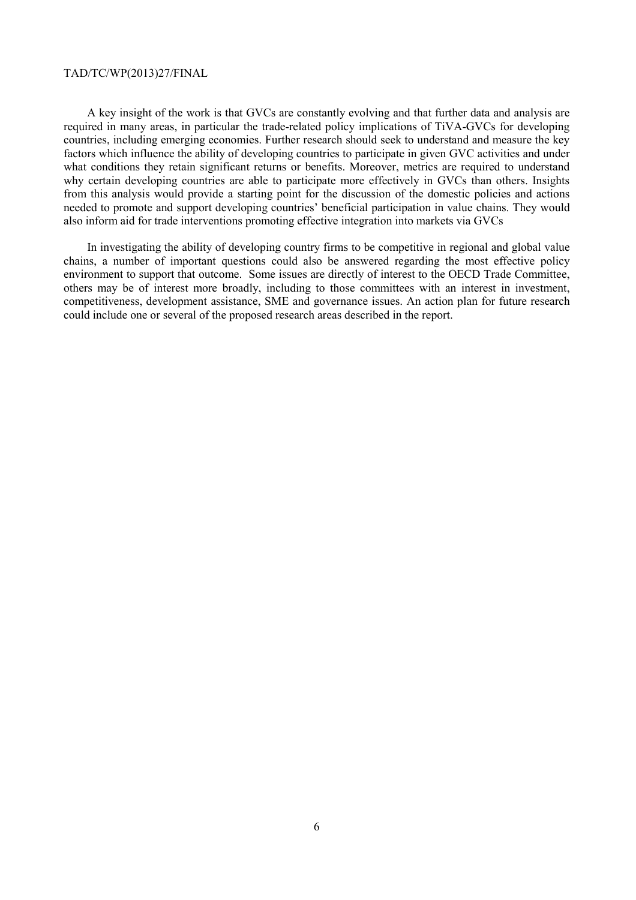A key insight of the work is that GVCs are constantly evolving and that further data and analysis are required in many areas, in particular the trade-related policy implications of TiVA-GVCs for developing countries, including emerging economies. Further research should seek to understand and measure the key factors which influence the ability of developing countries to participate in given GVC activities and under what conditions they retain significant returns or benefits. Moreover, metrics are required to understand why certain developing countries are able to participate more effectively in GVCs than others. Insights from this analysis would provide a starting point for the discussion of the domestic policies and actions needed to promote and support developing countries' beneficial participation in value chains. They would also inform aid for trade interventions promoting effective integration into markets via GVCs

In investigating the ability of developing country firms to be competitive in regional and global value chains, a number of important questions could also be answered regarding the most effective policy environment to support that outcome. Some issues are directly of interest to the OECD Trade Committee, others may be of interest more broadly, including to those committees with an interest in investment, competitiveness, development assistance, SME and governance issues. An action plan for future research could include one or several of the proposed research areas described in the report.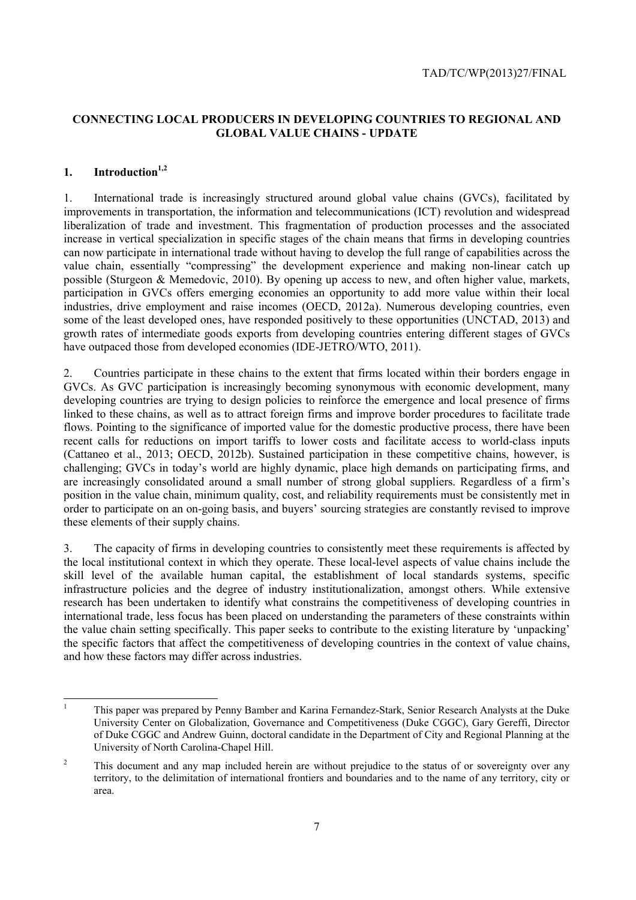## **CONNECTING LOCAL PRODUCERS IN DEVELOPING COUNTRIES TO REGIONAL AND GLOBAL VALUE CHAINS - UPDATE**

## 1. Introduction<sup>1,2</sup>

1. International trade is increasingly structured around global value chains (GVCs), facilitated by improvements in transportation, the information and telecommunications (ICT) revolution and widespread liberalization of trade and investment. This fragmentation of production processes and the associated increase in vertical specialization in specific stages of the chain means that firms in developing countries can now participate in international trade without having to develop the full range of capabilities across the value chain, essentially "compressing" the development experience and making non-linear catch up possible (Sturgeon & Memedovic, 2010). By opening up access to new, and often higher value, markets, participation in GVCs offers emerging economies an opportunity to add more value within their local industries, drive employment and raise incomes (OECD, 2012a). Numerous developing countries, even some of the least developed ones, have responded positively to these opportunities (UNCTAD, 2013) and growth rates of intermediate goods exports from developing countries entering different stages of GVCs have outpaced those from developed economies (IDE-JETRO/WTO, 2011).

2. Countries participate in these chains to the extent that firms located within their borders engage in GVCs. As GVC participation is increasingly becoming synonymous with economic development, many developing countries are trying to design policies to reinforce the emergence and local presence of firms linked to these chains, as well as to attract foreign firms and improve border procedures to facilitate trade flows. Pointing to the significance of imported value for the domestic productive process, there have been recent calls for reductions on import tariffs to lower costs and facilitate access to world-class inputs (Cattaneo et al., 2013; OECD, 2012b). Sustained participation in these competitive chains, however, is challenging; GVCs in today's world are highly dynamic, place high demands on participating firms, and are increasingly consolidated around a small number of strong global suppliers. Regardless of a firm's position in the value chain, minimum quality, cost, and reliability requirements must be consistently met in order to participate on an on-going basis, and buyers' sourcing strategies are constantly revised to improve these elements of their supply chains.

3. The capacity of firms in developing countries to consistently meet these requirements is affected by the local institutional context in which they operate. These local-level aspects of value chains include the skill level of the available human capital, the establishment of local standards systems, specific infrastructure policies and the degree of industry institutionalization, amongst others. While extensive research has been undertaken to identify what constrains the competitiveness of developing countries in international trade, less focus has been placed on understanding the parameters of these constraints within the value chain setting specifically. This paper seeks to contribute to the existing literature by 'unpacking' the specific factors that affect the competitiveness of developing countries in the context of value chains, and how these factors may differ across industries.

<sup>|&</sup>lt;br>|<br>| This paper was prepared by Penny Bamber and Karina Fernandez-Stark, Senior Research Analysts at the Duke University Center on Globalization, Governance and Competitiveness (Duke CGGC), Gary Gereffi, Director of Duke CGGC and Andrew Guinn, doctoral candidate in the Department of City and Regional Planning at the University of North Carolina-Chapel Hill.

<sup>2</sup> This document and any map included herein are without prejudice to the status of or sovereignty over any territory, to the delimitation of international frontiers and boundaries and to the name of any territory, city or area.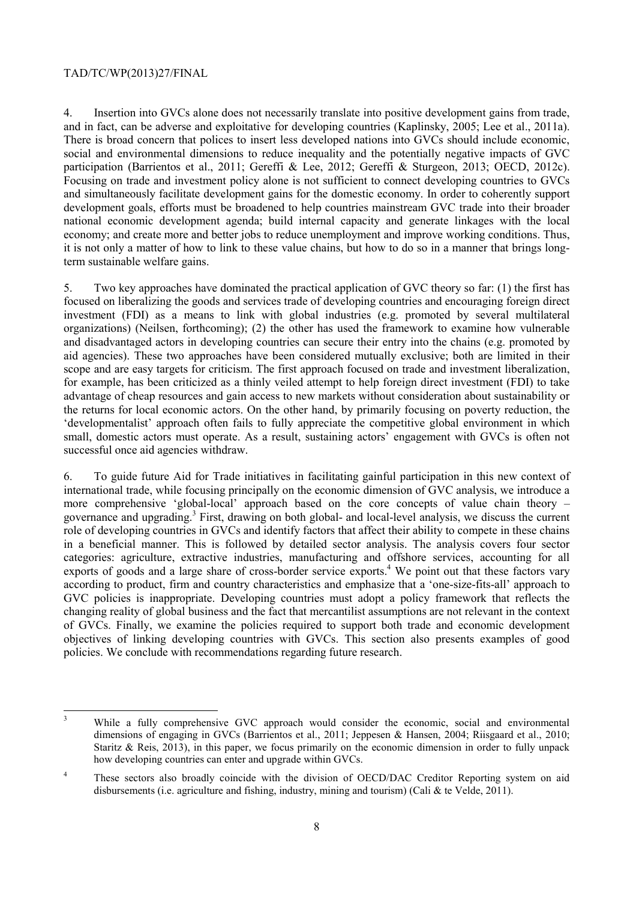4. Insertion into GVCs alone does not necessarily translate into positive development gains from trade, and in fact, can be adverse and exploitative for developing countries (Kaplinsky, 2005; Lee et al., 2011a). There is broad concern that polices to insert less developed nations into GVCs should include economic, social and environmental dimensions to reduce inequality and the potentially negative impacts of GVC participation (Barrientos et al., 2011; Gereffi & Lee, 2012; Gereffi & Sturgeon, 2013; OECD, 2012c). Focusing on trade and investment policy alone is not sufficient to connect developing countries to GVCs and simultaneously facilitate development gains for the domestic economy. In order to coherently support development goals, efforts must be broadened to help countries mainstream GVC trade into their broader national economic development agenda; build internal capacity and generate linkages with the local economy; and create more and better jobs to reduce unemployment and improve working conditions. Thus, it is not only a matter of how to link to these value chains, but how to do so in a manner that brings longterm sustainable welfare gains.

5. Two key approaches have dominated the practical application of GVC theory so far: (1) the first has focused on liberalizing the goods and services trade of developing countries and encouraging foreign direct investment (FDI) as a means to link with global industries (e.g. promoted by several multilateral organizations) (Neilsen, forthcoming); (2) the other has used the framework to examine how vulnerable and disadvantaged actors in developing countries can secure their entry into the chains (e.g. promoted by aid agencies). These two approaches have been considered mutually exclusive; both are limited in their scope and are easy targets for criticism. The first approach focused on trade and investment liberalization, for example, has been criticized as a thinly veiled attempt to help foreign direct investment (FDI) to take advantage of cheap resources and gain access to new markets without consideration about sustainability or the returns for local economic actors. On the other hand, by primarily focusing on poverty reduction, the 'developmentalist' approach often fails to fully appreciate the competitive global environment in which small, domestic actors must operate. As a result, sustaining actors' engagement with GVCs is often not successful once aid agencies withdraw.

6. To guide future Aid for Trade initiatives in facilitating gainful participation in this new context of international trade, while focusing principally on the economic dimension of GVC analysis, we introduce a more comprehensive 'global-local' approach based on the core concepts of value chain theory – governance and upgrading.<sup>3</sup> First, drawing on both global- and local-level analysis, we discuss the current role of developing countries in GVCs and identify factors that affect their ability to compete in these chains in a beneficial manner. This is followed by detailed sector analysis. The analysis covers four sector categories: agriculture, extractive industries, manufacturing and offshore services, accounting for all exports of goods and a large share of cross-border service exports.<sup>4</sup> We point out that these factors vary according to product, firm and country characteristics and emphasize that a 'one-size-fits-all' approach to GVC policies is inappropriate. Developing countries must adopt a policy framework that reflects the changing reality of global business and the fact that mercantilist assumptions are not relevant in the context of GVCs. Finally, we examine the policies required to support both trade and economic development objectives of linking developing countries with GVCs. This section also presents examples of good policies. We conclude with recommendations regarding future research.

 3 While a fully comprehensive GVC approach would consider the economic, social and environmental dimensions of engaging in GVCs (Barrientos et al., 2011; Jeppesen & Hansen, 2004; Riisgaard et al., 2010; Staritz & Reis, 2013), in this paper, we focus primarily on the economic dimension in order to fully unpack how developing countries can enter and upgrade within GVCs.

<sup>4</sup> These sectors also broadly coincide with the division of OECD/DAC Creditor Reporting system on aid disbursements (i.e. agriculture and fishing, industry, mining and tourism) (Cali & te Velde, 2011).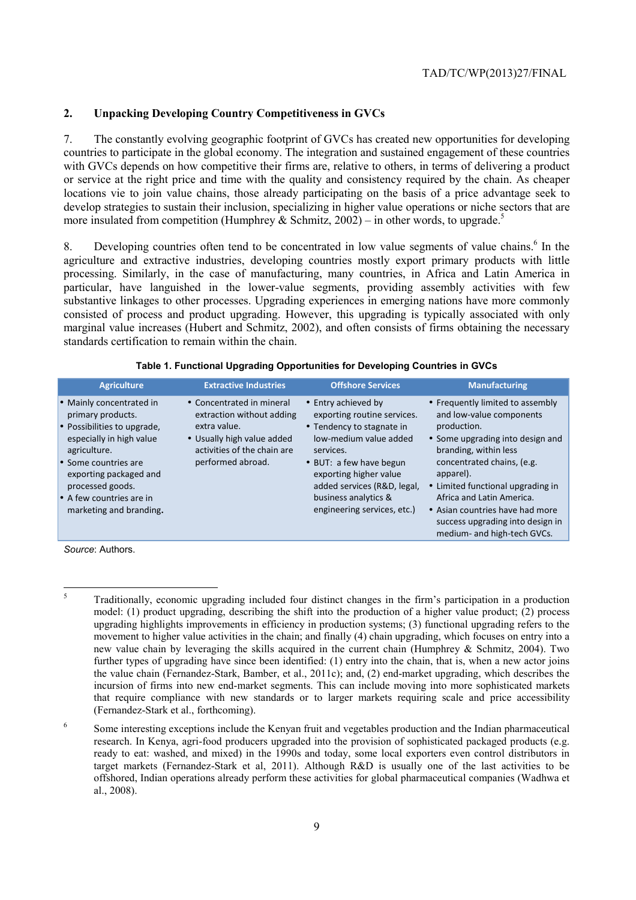# **2. Unpacking Developing Country Competitiveness in GVCs**

7. The constantly evolving geographic footprint of GVCs has created new opportunities for developing countries to participate in the global economy. The integration and sustained engagement of these countries with GVCs depends on how competitive their firms are, relative to others, in terms of delivering a product or service at the right price and time with the quality and consistency required by the chain. As cheaper locations vie to join value chains, those already participating on the basis of a price advantage seek to develop strategies to sustain their inclusion, specializing in higher value operations or niche sectors that are more insulated from competition (Humphrey  $\&$  Schmitz, 2002) – in other words, to upgrade.<sup>5</sup>

8. Developing countries often tend to be concentrated in low value segments of value chains.<sup>6</sup> In the agriculture and extractive industries, developing countries mostly export primary products with little processing. Similarly, in the case of manufacturing, many countries, in Africa and Latin America in particular, have languished in the lower-value segments, providing assembly activities with few substantive linkages to other processes. Upgrading experiences in emerging nations have more commonly consisted of process and product upgrading. However, this upgrading is typically associated with only marginal value increases (Hubert and Schmitz, 2002), and often consists of firms obtaining the necessary standards certification to remain within the chain.

| <b>Agriculture</b>                                                                                                                                                                                                                                    | <b>Extractive Industries</b>                                                                                                                             | <b>Offshore Services</b>                                                                                                                                                                                                                                          | <b>Manufacturing</b>                                                                                                                                                                                                                                                                                                                                        |
|-------------------------------------------------------------------------------------------------------------------------------------------------------------------------------------------------------------------------------------------------------|----------------------------------------------------------------------------------------------------------------------------------------------------------|-------------------------------------------------------------------------------------------------------------------------------------------------------------------------------------------------------------------------------------------------------------------|-------------------------------------------------------------------------------------------------------------------------------------------------------------------------------------------------------------------------------------------------------------------------------------------------------------------------------------------------------------|
| Mainly concentrated in<br>primary products.<br>Possibilities to upgrade,<br>especially in high value<br>agriculture.<br>Some countries are<br>exporting packaged and<br>processed goods.<br>$\cdot$ A few countries are in<br>marketing and branding. | • Concentrated in mineral<br>extraction without adding<br>extra value.<br>• Usually high value added<br>activities of the chain are<br>performed abroad. | • Entry achieved by<br>exporting routine services.<br>• Tendency to stagnate in<br>low-medium value added<br>services.<br>• BUT: a few have begun<br>exporting higher value<br>added services (R&D, legal,<br>business analytics &<br>engineering services, etc.) | • Frequently limited to assembly<br>and low-value components<br>production.<br>• Some upgrading into design and<br>branding, within less<br>concentrated chains, (e.g.<br>apparel).<br>• Limited functional upgrading in<br>Africa and Latin America.<br>• Asian countries have had more<br>success upgrading into design in<br>medium- and high-tech GVCs. |

|  |  | Table 1. Functional Upgrading Opportunities for Developing Countries in GVCs |
|--|--|------------------------------------------------------------------------------|
|  |  |                                                                              |

*Source*: Authors.

 5 Traditionally, economic upgrading included four distinct changes in the firm's participation in a production model: (1) product upgrading, describing the shift into the production of a higher value product; (2) process upgrading highlights improvements in efficiency in production systems; (3) functional upgrading refers to the movement to higher value activities in the chain; and finally (4) chain upgrading, which focuses on entry into a new value chain by leveraging the skills acquired in the current chain (Humphrey & Schmitz, 2004). Two further types of upgrading have since been identified: (1) entry into the chain, that is, when a new actor joins the value chain (Fernandez-Stark, Bamber, et al., 2011c); and, (2) end-market upgrading, which describes the incursion of firms into new end-market segments. This can include moving into more sophisticated markets that require compliance with new standards or to larger markets requiring scale and price accessibility (Fernandez-Stark et al., forthcoming).

<sup>6</sup> Some interesting exceptions include the Kenyan fruit and vegetables production and the Indian pharmaceutical research. In Kenya, agri-food producers upgraded into the provision of sophisticated packaged products (e.g. ready to eat: washed, and mixed) in the 1990s and today, some local exporters even control distributors in target markets (Fernandez-Stark et al, 2011). Although R&D is usually one of the last activities to be offshored, Indian operations already perform these activities for global pharmaceutical companies (Wadhwa et al., 2008).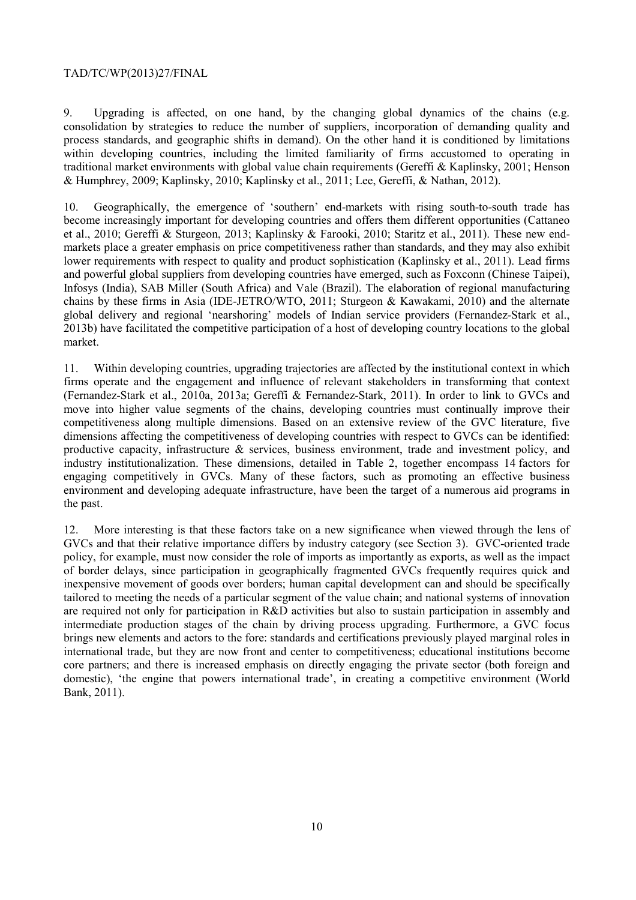9. Upgrading is affected, on one hand, by the changing global dynamics of the chains (e.g. consolidation by strategies to reduce the number of suppliers, incorporation of demanding quality and process standards, and geographic shifts in demand). On the other hand it is conditioned by limitations within developing countries, including the limited familiarity of firms accustomed to operating in traditional market environments with global value chain requirements (Gereffi & Kaplinsky, 2001; Henson & Humphrey, 2009; Kaplinsky, 2010; Kaplinsky et al., 2011; Lee, Gereffi, & Nathan, 2012).

10. Geographically, the emergence of 'southern' end-markets with rising south-to-south trade has become increasingly important for developing countries and offers them different opportunities (Cattaneo et al., 2010; Gereffi & Sturgeon, 2013; Kaplinsky & Farooki, 2010; Staritz et al., 2011). These new endmarkets place a greater emphasis on price competitiveness rather than standards, and they may also exhibit lower requirements with respect to quality and product sophistication (Kaplinsky et al., 2011). Lead firms and powerful global suppliers from developing countries have emerged, such as Foxconn (Chinese Taipei), Infosys (India), SAB Miller (South Africa) and Vale (Brazil). The elaboration of regional manufacturing chains by these firms in Asia (IDE-JETRO/WTO, 2011; Sturgeon & Kawakami, 2010) and the alternate global delivery and regional 'nearshoring' models of Indian service providers (Fernandez-Stark et al., 2013b) have facilitated the competitive participation of a host of developing country locations to the global market.

11. Within developing countries, upgrading trajectories are affected by the institutional context in which firms operate and the engagement and influence of relevant stakeholders in transforming that context (Fernandez-Stark et al., 2010a, 2013a; Gereffi & Fernandez-Stark, 2011). In order to link to GVCs and move into higher value segments of the chains, developing countries must continually improve their competitiveness along multiple dimensions. Based on an extensive review of the GVC literature, five dimensions affecting the competitiveness of developing countries with respect to GVCs can be identified: productive capacity, infrastructure & services, business environment, trade and investment policy, and industry institutionalization. These dimensions, detailed in Table 2, together encompass 14 factors for engaging competitively in GVCs. Many of these factors, such as promoting an effective business environment and developing adequate infrastructure, have been the target of a numerous aid programs in the past.

12. More interesting is that these factors take on a new significance when viewed through the lens of GVCs and that their relative importance differs by industry category (see Section 3). GVC-oriented trade policy, for example, must now consider the role of imports as importantly as exports, as well as the impact of border delays, since participation in geographically fragmented GVCs frequently requires quick and inexpensive movement of goods over borders; human capital development can and should be specifically tailored to meeting the needs of a particular segment of the value chain; and national systems of innovation are required not only for participation in R&D activities but also to sustain participation in assembly and intermediate production stages of the chain by driving process upgrading. Furthermore, a GVC focus brings new elements and actors to the fore: standards and certifications previously played marginal roles in international trade, but they are now front and center to competitiveness; educational institutions become core partners; and there is increased emphasis on directly engaging the private sector (both foreign and domestic), 'the engine that powers international trade', in creating a competitive environment (World Bank, 2011).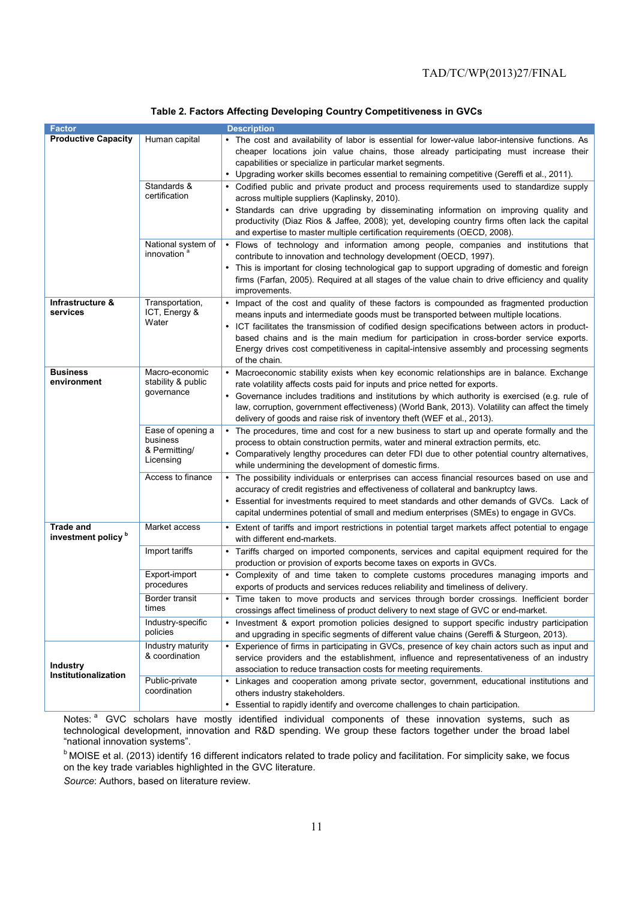## **Table 2. Factors Affecting Developing Country Competitiveness in GVCs**

| <b>Factor</b>                                      |                                                             | <b>Description</b>                                                                                                                                                                                                                                                                                                                                                                                                                                                                    |
|----------------------------------------------------|-------------------------------------------------------------|---------------------------------------------------------------------------------------------------------------------------------------------------------------------------------------------------------------------------------------------------------------------------------------------------------------------------------------------------------------------------------------------------------------------------------------------------------------------------------------|
| <b>Productive Capacity</b>                         | Human capital                                               | The cost and availability of labor is essential for lower-value labor-intensive functions. As<br>cheaper locations join value chains, those already participating must increase their<br>capabilities or specialize in particular market segments.<br>Upgrading worker skills becomes essential to remaining competitive (Gereffi et al., 2011).                                                                                                                                      |
|                                                    | Standards &<br>certification                                | Codified public and private product and process requirements used to standardize supply<br>across multiple suppliers (Kaplinsky, 2010).<br>Standards can drive upgrading by disseminating information on improving quality and<br>productivity (Diaz Rios & Jaffee, 2008); yet, developing country firms often lack the capital<br>and expertise to master multiple certification requirements (OECD, 2008).                                                                          |
|                                                    | National system of<br>innovation <sup>a</sup>               | Flows of technology and information among people, companies and institutions that<br>$\bullet$<br>contribute to innovation and technology development (OECD, 1997).<br>This is important for closing technological gap to support upgrading of domestic and foreign<br>firms (Farfan, 2005). Required at all stages of the value chain to drive efficiency and quality<br>improvements.                                                                                               |
| Infrastructure &<br>services                       | Transportation,<br>ICT, Energy &<br>Water                   | Impact of the cost and quality of these factors is compounded as fragmented production<br>means inputs and intermediate goods must be transported between multiple locations.<br>ICT facilitates the transmission of codified design specifications between actors in product-<br>based chains and is the main medium for participation in cross-border service exports.<br>Energy drives cost competitiveness in capital-intensive assembly and processing segments<br>of the chain. |
| <b>Business</b><br>environment                     | Macro-economic<br>stability & public<br>governance          | Macroeconomic stability exists when key economic relationships are in balance. Exchange<br>rate volatility affects costs paid for inputs and price netted for exports.<br>• Governance includes traditions and institutions by which authority is exercised (e.g. rule of<br>law, corruption, government effectiveness) (World Bank, 2013). Volatility can affect the timely<br>delivery of goods and raise risk of inventory theft (WEF et al., 2013).                               |
|                                                    | Ease of opening a<br>business<br>& Permitting/<br>Licensing | The procedures, time and cost for a new business to start up and operate formally and the<br>process to obtain construction permits, water and mineral extraction permits, etc.<br>Comparatively lengthy procedures can deter FDI due to other potential country alternatives,<br>while undermining the development of domestic firms.                                                                                                                                                |
|                                                    | Access to finance                                           | • The possibility individuals or enterprises can access financial resources based on use and<br>accuracy of credit registries and effectiveness of collateral and bankruptcy laws.<br>Essential for investments required to meet standards and other demands of GVCs. Lack of<br>capital undermines potential of small and medium enterprises (SMEs) to engage in GVCs.                                                                                                               |
| <b>Trade and</b><br>investment policy <sup>b</sup> | Market access                                               | Extent of tariffs and import restrictions in potential target markets affect potential to engage<br>with different end-markets.                                                                                                                                                                                                                                                                                                                                                       |
|                                                    | Import tariffs                                              | • Tariffs charged on imported components, services and capital equipment required for the<br>production or provision of exports become taxes on exports in GVCs.                                                                                                                                                                                                                                                                                                                      |
|                                                    | Export-import<br>procedures                                 | Complexity of and time taken to complete customs procedures managing imports and<br>exports of products and services reduces reliability and timeliness of delivery.                                                                                                                                                                                                                                                                                                                  |
|                                                    | Border transit<br>times                                     | • Time taken to move products and services through border crossings. Inefficient border<br>crossings affect timeliness of product delivery to next stage of GVC or end-market.                                                                                                                                                                                                                                                                                                        |
|                                                    | Industry-specific<br>policies                               | Investment & export promotion policies designed to support specific industry participation<br>and upgrading in specific segments of different value chains (Gereffi & Sturgeon, 2013).                                                                                                                                                                                                                                                                                                |
| Industry<br>Institutionalization                   | Industry maturity<br>& coordination                         | Experience of firms in participating in GVCs, presence of key chain actors such as input and<br>service providers and the establishment, influence and representativeness of an industry<br>association to reduce transaction costs for meeting requirements.                                                                                                                                                                                                                         |
|                                                    | Public-private<br>coordination                              | • Linkages and cooperation among private sector, government, educational institutions and<br>others industry stakeholders.<br>Essential to rapidly identify and overcome challenges to chain participation.                                                                                                                                                                                                                                                                           |

Notes:<sup>a</sup> GVC scholars have mostly identified individual components of these innovation systems, such as technological development, innovation and R&D spending. We group these factors together under the broad label "national innovation systems".

**b MOISE et al. (2013) identify 16 different indicators related to trade policy and facilitation. For simplicity sake, we focus** on the key trade variables highlighted in the GVC literature.

*Source*: Authors, based on literature review.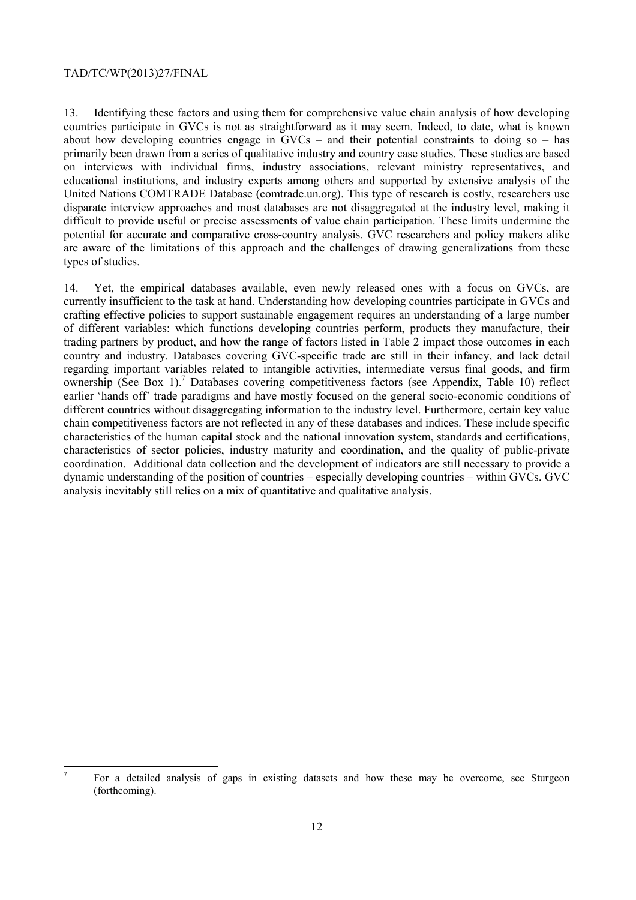$\overline{a}$ 

13. Identifying these factors and using them for comprehensive value chain analysis of how developing countries participate in GVCs is not as straightforward as it may seem. Indeed, to date, what is known about how developing countries engage in GVCs – and their potential constraints to doing so – has primarily been drawn from a series of qualitative industry and country case studies. These studies are based on interviews with individual firms, industry associations, relevant ministry representatives, and educational institutions, and industry experts among others and supported by extensive analysis of the United Nations COMTRADE Database (comtrade.un.org). This type of research is costly, researchers use disparate interview approaches and most databases are not disaggregated at the industry level, making it difficult to provide useful or precise assessments of value chain participation. These limits undermine the potential for accurate and comparative cross-country analysis. GVC researchers and policy makers alike are aware of the limitations of this approach and the challenges of drawing generalizations from these types of studies.

14. Yet, the empirical databases available, even newly released ones with a focus on GVCs, are currently insufficient to the task at hand. Understanding how developing countries participate in GVCs and crafting effective policies to support sustainable engagement requires an understanding of a large number of different variables: which functions developing countries perform, products they manufacture, their trading partners by product, and how the range of factors listed in Table 2 impact those outcomes in each country and industry. Databases covering GVC-specific trade are still in their infancy, and lack detail regarding important variables related to intangible activities, intermediate versus final goods, and firm ownership (See Box 1).<sup>7</sup> Databases covering competitiveness factors (see Appendix, Table 10) reflect earlier 'hands off' trade paradigms and have mostly focused on the general socio-economic conditions of different countries without disaggregating information to the industry level. Furthermore, certain key value chain competitiveness factors are not reflected in any of these databases and indices. These include specific characteristics of the human capital stock and the national innovation system, standards and certifications, characteristics of sector policies, industry maturity and coordination, and the quality of public-private coordination. Additional data collection and the development of indicators are still necessary to provide a dynamic understanding of the position of countries – especially developing countries – within GVCs. GVC analysis inevitably still relies on a mix of quantitative and qualitative analysis.

<sup>7</sup> For a detailed analysis of gaps in existing datasets and how these may be overcome, see Sturgeon (forthcoming).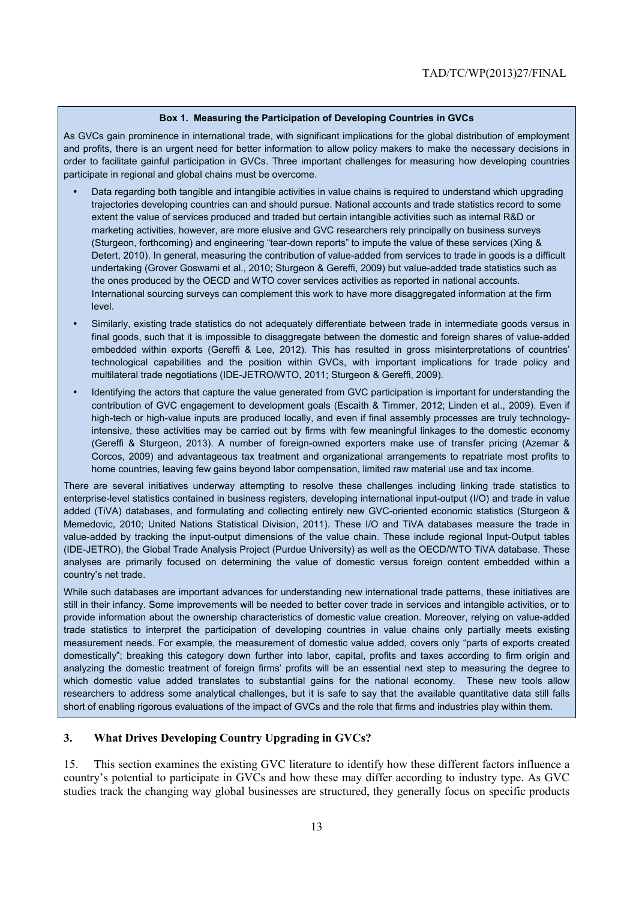#### **Box 1. Measuring the Participation of Developing Countries in GVCs**

As GVCs gain prominence in international trade, with significant implications for the global distribution of employment and profits, there is an urgent need for better information to allow policy makers to make the necessary decisions in order to facilitate gainful participation in GVCs. Three important challenges for measuring how developing countries participate in regional and global chains must be overcome.

- Data regarding both tangible and intangible activities in value chains is required to understand which upgrading trajectories developing countries can and should pursue. National accounts and trade statistics record to some extent the value of services produced and traded but certain intangible activities such as internal R&D or marketing activities, however, are more elusive and GVC researchers rely principally on business surveys (Sturgeon, forthcoming) and engineering "tear-down reports" to impute the value of these services (Xing & Detert, 2010). In general, measuring the contribution of value-added from services to trade in goods is a difficult undertaking (Grover Goswami et al., 2010; Sturgeon & Gereffi, 2009) but value-added trade statistics such as the ones produced by the OECD and WTO cover services activities as reported in national accounts. International sourcing surveys can complement this work to have more disaggregated information at the firm level.
- Similarly, existing trade statistics do not adequately differentiate between trade in intermediate goods versus in final goods, such that it is impossible to disaggregate between the domestic and foreign shares of value-added embedded within exports (Gereffi & Lee, 2012). This has resulted in gross misinterpretations of countries' technological capabilities and the position within GVCs, with important implications for trade policy and multilateral trade negotiations (IDE-JETRO/WTO, 2011; Sturgeon & Gereffi, 2009).
- Identifying the actors that capture the value generated from GVC participation is important for understanding the contribution of GVC engagement to development goals (Escaith & Timmer, 2012; Linden et al., 2009). Even if high-tech or high-value inputs are produced locally, and even if final assembly processes are truly technologyintensive, these activities may be carried out by firms with few meaningful linkages to the domestic economy (Gereffi & Sturgeon, 2013). A number of foreign-owned exporters make use of transfer pricing (Azemar & Corcos, 2009) and advantageous tax treatment and organizational arrangements to repatriate most profits to home countries, leaving few gains beyond labor compensation, limited raw material use and tax income.

There are several initiatives underway attempting to resolve these challenges including linking trade statistics to enterprise-level statistics contained in business registers, developing international input-output (I/O) and trade in value added (TiVA) databases, and formulating and collecting entirely new GVC-oriented economic statistics (Sturgeon & Memedovic, 2010; United Nations Statistical Division, 2011). These I/O and TiVA databases measure the trade in value-added by tracking the input-output dimensions of the value chain. These include regional Input-Output tables (IDE-JETRO), the Global Trade Analysis Project (Purdue University) as well as the OECD/WTO TiVA database. These analyses are primarily focused on determining the value of domestic versus foreign content embedded within a country's net trade.

While such databases are important advances for understanding new international trade patterns, these initiatives are still in their infancy. Some improvements will be needed to better cover trade in services and intangible activities, or to provide information about the ownership characteristics of domestic value creation. Moreover, relying on value-added trade statistics to interpret the participation of developing countries in value chains only partially meets existing measurement needs. For example, the measurement of domestic value added, covers only "parts of exports created domestically"; breaking this category down further into labor, capital, profits and taxes according to firm origin and analyzing the domestic treatment of foreign firms' profits will be an essential next step to measuring the degree to which domestic value added translates to substantial gains for the national economy. These new tools allow researchers to address some analytical challenges, but it is safe to say that the available quantitative data still falls short of enabling rigorous evaluations of the impact of GVCs and the role that firms and industries play within them.

#### **3. What Drives Developing Country Upgrading in GVCs?**

15. This section examines the existing GVC literature to identify how these different factors influence a country's potential to participate in GVCs and how these may differ according to industry type. As GVC studies track the changing way global businesses are structured, they generally focus on specific products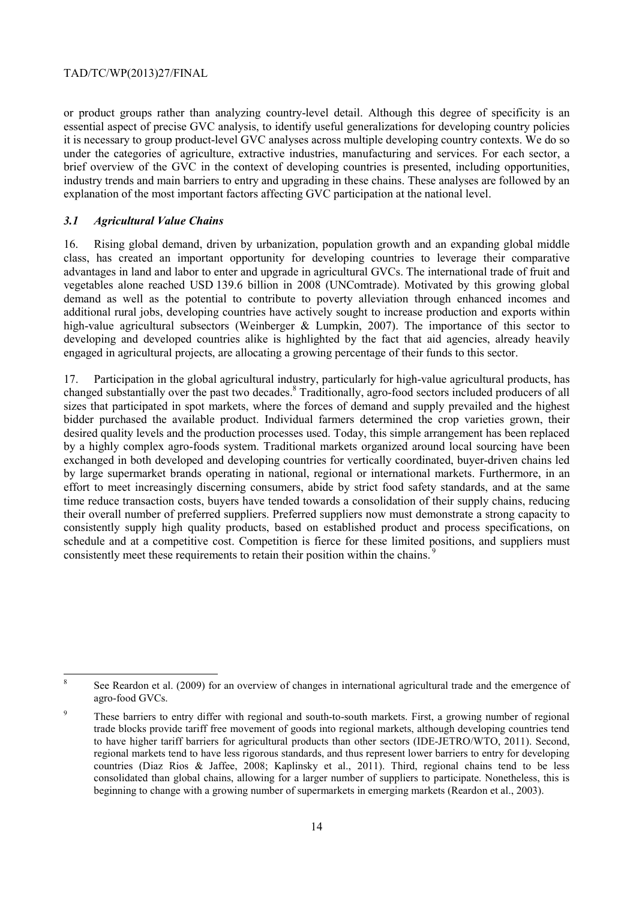or product groups rather than analyzing country-level detail. Although this degree of specificity is an essential aspect of precise GVC analysis, to identify useful generalizations for developing country policies it is necessary to group product-level GVC analyses across multiple developing country contexts. We do so under the categories of agriculture, extractive industries, manufacturing and services. For each sector, a brief overview of the GVC in the context of developing countries is presented, including opportunities, industry trends and main barriers to entry and upgrading in these chains. These analyses are followed by an explanation of the most important factors affecting GVC participation at the national level.

#### *3.1 Agricultural Value Chains*

16. Rising global demand, driven by urbanization, population growth and an expanding global middle class, has created an important opportunity for developing countries to leverage their comparative advantages in land and labor to enter and upgrade in agricultural GVCs. The international trade of fruit and vegetables alone reached USD 139.6 billion in 2008 (UNComtrade). Motivated by this growing global demand as well as the potential to contribute to poverty alleviation through enhanced incomes and additional rural jobs, developing countries have actively sought to increase production and exports within high-value agricultural subsectors (Weinberger & Lumpkin, 2007). The importance of this sector to developing and developed countries alike is highlighted by the fact that aid agencies, already heavily engaged in agricultural projects, are allocating a growing percentage of their funds to this sector.

17. Participation in the global agricultural industry, particularly for high-value agricultural products, has changed substantially over the past two decades.<sup>8</sup> Traditionally, agro-food sectors included producers of all sizes that participated in spot markets, where the forces of demand and supply prevailed and the highest bidder purchased the available product. Individual farmers determined the crop varieties grown, their desired quality levels and the production processes used. Today, this simple arrangement has been replaced by a highly complex agro-foods system. Traditional markets organized around local sourcing have been exchanged in both developed and developing countries for vertically coordinated, buyer-driven chains led by large supermarket brands operating in national, regional or international markets. Furthermore, in an effort to meet increasingly discerning consumers, abide by strict food safety standards, and at the same time reduce transaction costs, buyers have tended towards a consolidation of their supply chains, reducing their overall number of preferred suppliers. Preferred suppliers now must demonstrate a strong capacity to consistently supply high quality products, based on established product and process specifications, on schedule and at a competitive cost. Competition is fierce for these limited positions, and suppliers must consistently meet these requirements to retain their position within the chains.<sup>9</sup>

 8 See Reardon et al. (2009) for an overview of changes in international agricultural trade and the emergence of agro-food GVCs.

<sup>9</sup> These barriers to entry differ with regional and south-to-south markets. First, a growing number of regional trade blocks provide tariff free movement of goods into regional markets, although developing countries tend to have higher tariff barriers for agricultural products than other sectors (IDE-JETRO/WTO, 2011). Second, regional markets tend to have less rigorous standards, and thus represent lower barriers to entry for developing countries (Diaz Rios & Jaffee, 2008; Kaplinsky et al., 2011). Third, regional chains tend to be less consolidated than global chains, allowing for a larger number of suppliers to participate. Nonetheless, this is beginning to change with a growing number of supermarkets in emerging markets (Reardon et al., 2003).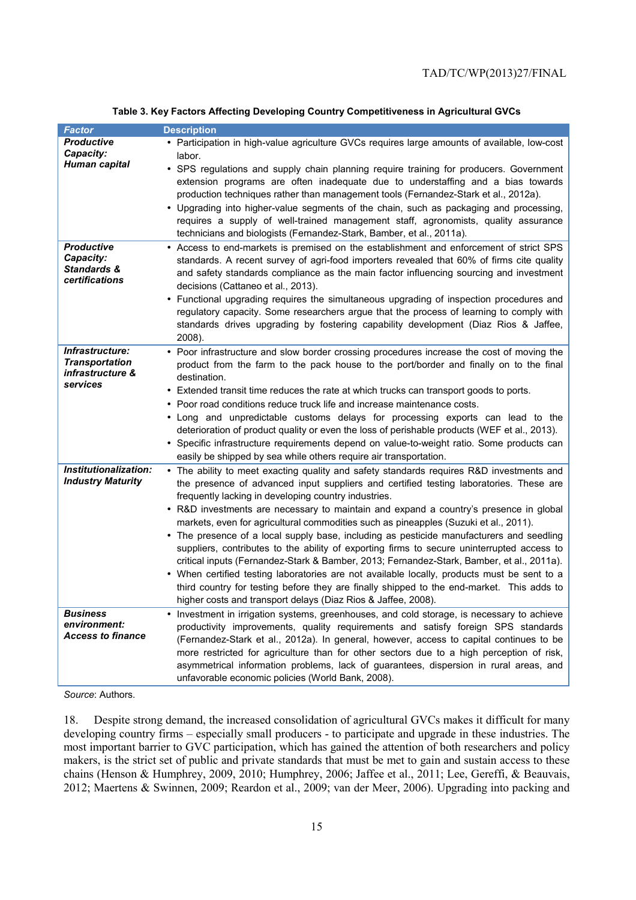| <b>Factor</b>                                                              | <b>Description</b>                                                                                                                                                                                                                                                                                                                                                                                                                                                                                                                                                                                                                                                                                                                                                                                                                                                                                                                                                              |
|----------------------------------------------------------------------------|---------------------------------------------------------------------------------------------------------------------------------------------------------------------------------------------------------------------------------------------------------------------------------------------------------------------------------------------------------------------------------------------------------------------------------------------------------------------------------------------------------------------------------------------------------------------------------------------------------------------------------------------------------------------------------------------------------------------------------------------------------------------------------------------------------------------------------------------------------------------------------------------------------------------------------------------------------------------------------|
| <b>Productive</b><br>Capacity:<br>Human capital                            | • Participation in high-value agriculture GVCs requires large amounts of available, low-cost<br>labor.<br>• SPS regulations and supply chain planning require training for producers. Government                                                                                                                                                                                                                                                                                                                                                                                                                                                                                                                                                                                                                                                                                                                                                                                |
|                                                                            | extension programs are often inadequate due to understaffing and a bias towards<br>production techniques rather than management tools (Fernandez-Stark et al., 2012a).<br>Upgrading into higher-value segments of the chain, such as packaging and processing,<br>requires a supply of well-trained management staff, agronomists, quality assurance<br>technicians and biologists (Fernandez-Stark, Bamber, et al., 2011a).                                                                                                                                                                                                                                                                                                                                                                                                                                                                                                                                                    |
| <b>Productive</b><br>Capacity:<br><b>Standards &amp;</b><br>certifications | • Access to end-markets is premised on the establishment and enforcement of strict SPS<br>standards. A recent survey of agri-food importers revealed that 60% of firms cite quality<br>and safety standards compliance as the main factor influencing sourcing and investment<br>decisions (Cattaneo et al., 2013).<br>• Functional upgrading requires the simultaneous upgrading of inspection procedures and<br>regulatory capacity. Some researchers argue that the process of learning to comply with<br>standards drives upgrading by fostering capability development (Diaz Rios & Jaffee,<br>2008).                                                                                                                                                                                                                                                                                                                                                                      |
| Infrastructure:<br><b>Transportation</b><br>infrastructure &<br>services   | • Poor infrastructure and slow border crossing procedures increase the cost of moving the<br>product from the farm to the pack house to the port/border and finally on to the final<br>destination.<br>• Extended transit time reduces the rate at which trucks can transport goods to ports.<br>Poor road conditions reduce truck life and increase maintenance costs.<br>Long and unpredictable customs delays for processing exports can lead to the<br>deterioration of product quality or even the loss of perishable products (WEF et al., 2013).<br>• Specific infrastructure requirements depend on value-to-weight ratio. Some products can<br>easily be shipped by sea while others require air transportation.                                                                                                                                                                                                                                                       |
| Institutionalization:<br><b>Industry Maturity</b>                          | • The ability to meet exacting quality and safety standards requires R&D investments and<br>the presence of advanced input suppliers and certified testing laboratories. These are<br>frequently lacking in developing country industries.<br>• R&D investments are necessary to maintain and expand a country's presence in global<br>markets, even for agricultural commodities such as pineapples (Suzuki et al., 2011).<br>• The presence of a local supply base, including as pesticide manufacturers and seedling<br>suppliers, contributes to the ability of exporting firms to secure uninterrupted access to<br>critical inputs (Fernandez-Stark & Bamber, 2013; Fernandez-Stark, Bamber, et al., 2011a).<br>• When certified testing laboratories are not available locally, products must be sent to a<br>third country for testing before they are finally shipped to the end-market. This adds to<br>higher costs and transport delays (Diaz Rios & Jaffee, 2008). |
| <b>Business</b><br>environment:<br><b>Access to finance</b>                | • Investment in irrigation systems, greenhouses, and cold storage, is necessary to achieve<br>productivity improvements, quality requirements and satisfy foreign SPS standards<br>(Fernandez-Stark et al., 2012a). In general, however, access to capital continues to be<br>more restricted for agriculture than for other sectors due to a high perception of risk,<br>asymmetrical information problems, lack of guarantees, dispersion in rural areas, and<br>unfavorable economic policies (World Bank, 2008).                                                                                                                                                                                                                                                                                                                                                                                                                                                            |

**Table 3. Key Factors Affecting Developing Country Competitiveness in Agricultural GVCs** 

*Source*: Authors.

18. Despite strong demand, the increased consolidation of agricultural GVCs makes it difficult for many developing country firms – especially small producers - to participate and upgrade in these industries. The most important barrier to GVC participation, which has gained the attention of both researchers and policy makers, is the strict set of public and private standards that must be met to gain and sustain access to these chains (Henson & Humphrey, 2009, 2010; Humphrey, 2006; Jaffee et al., 2011; Lee, Gereffi, & Beauvais, 2012; Maertens & Swinnen, 2009; Reardon et al., 2009; van der Meer, 2006). Upgrading into packing and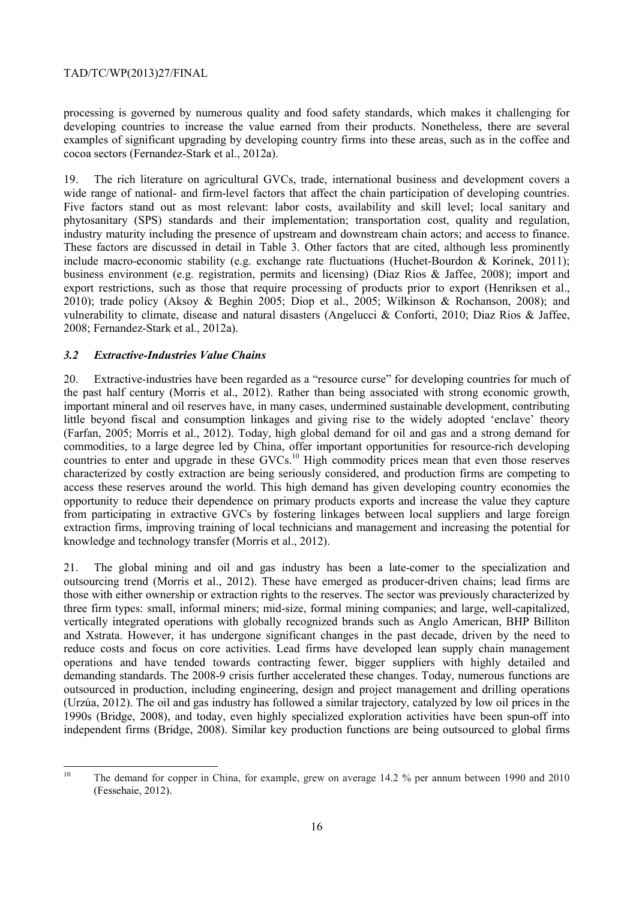processing is governed by numerous quality and food safety standards, which makes it challenging for developing countries to increase the value earned from their products. Nonetheless, there are several examples of significant upgrading by developing country firms into these areas, such as in the coffee and cocoa sectors (Fernandez-Stark et al., 2012a).

19. The rich literature on agricultural GVCs, trade, international business and development covers a wide range of national- and firm-level factors that affect the chain participation of developing countries. Five factors stand out as most relevant: labor costs, availability and skill level; local sanitary and phytosanitary (SPS) standards and their implementation; transportation cost, quality and regulation, industry maturity including the presence of upstream and downstream chain actors; and access to finance. These factors are discussed in detail in Table 3. Other factors that are cited, although less prominently include macro-economic stability (e.g. exchange rate fluctuations (Huchet-Bourdon & Korinek, 2011); business environment (e.g. registration, permits and licensing) (Diaz Rios & Jaffee, 2008); import and export restrictions, such as those that require processing of products prior to export (Henriksen et al., 2010); trade policy (Aksoy & Beghin 2005; Diop et al., 2005; Wilkinson & Rochanson, 2008); and vulnerability to climate, disease and natural disasters (Angelucci & Conforti, 2010; Diaz Rios & Jaffee, 2008; Fernandez-Stark et al., 2012a).

## *3.2 Extractive-Industries Value Chains*

20. Extractive-industries have been regarded as a "resource curse" for developing countries for much of the past half century (Morris et al., 2012). Rather than being associated with strong economic growth, important mineral and oil reserves have, in many cases, undermined sustainable development, contributing little beyond fiscal and consumption linkages and giving rise to the widely adopted 'enclave' theory (Farfan, 2005; Morris et al., 2012). Today, high global demand for oil and gas and a strong demand for commodities, to a large degree led by China, offer important opportunities for resource-rich developing countries to enter and upgrade in these GVCs.<sup>10</sup> High commodity prices mean that even those reserves characterized by costly extraction are being seriously considered, and production firms are competing to access these reserves around the world. This high demand has given developing country economies the opportunity to reduce their dependence on primary products exports and increase the value they capture from participating in extractive GVCs by fostering linkages between local suppliers and large foreign extraction firms, improving training of local technicians and management and increasing the potential for knowledge and technology transfer (Morris et al., 2012).

21. The global mining and oil and gas industry has been a late-comer to the specialization and outsourcing trend (Morris et al., 2012). These have emerged as producer-driven chains; lead firms are those with either ownership or extraction rights to the reserves. The sector was previously characterized by three firm types: small, informal miners; mid-size, formal mining companies; and large, well-capitalized, vertically integrated operations with globally recognized brands such as Anglo American, BHP Billiton and Xstrata. However, it has undergone significant changes in the past decade, driven by the need to reduce costs and focus on core activities. Lead firms have developed lean supply chain management operations and have tended towards contracting fewer, bigger suppliers with highly detailed and demanding standards. The 2008-9 crisis further accelerated these changes. Today, numerous functions are outsourced in production, including engineering, design and project management and drilling operations (Urzúa, 2012). The oil and gas industry has followed a similar trajectory, catalyzed by low oil prices in the 1990s (Bridge, 2008), and today, even highly specialized exploration activities have been spun-off into independent firms (Bridge, 2008). Similar key production functions are being outsourced to global firms

 $10$ 10 The demand for copper in China, for example, grew on average 14.2 % per annum between 1990 and 2010 (Fessehaie, 2012).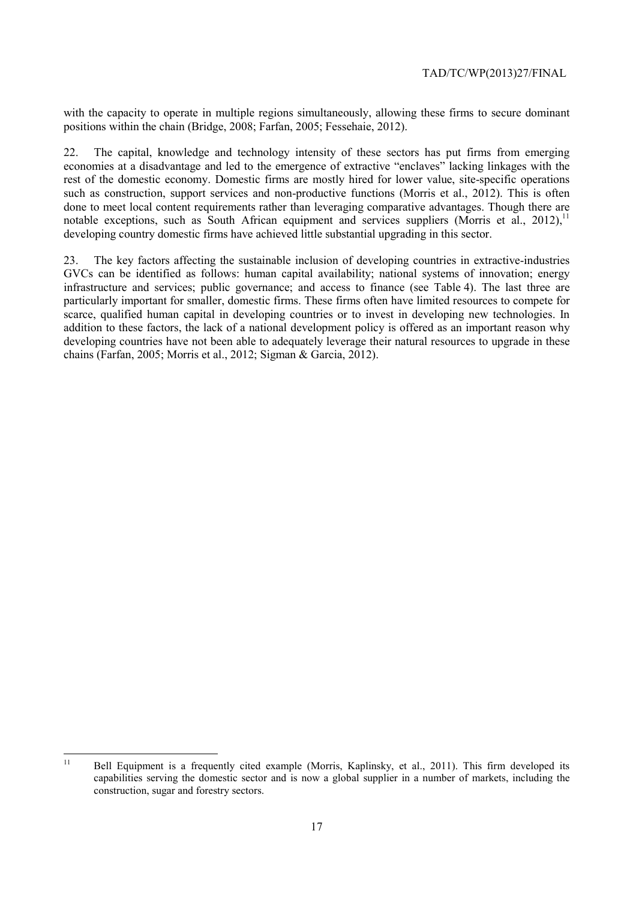with the capacity to operate in multiple regions simultaneously, allowing these firms to secure dominant positions within the chain (Bridge, 2008; Farfan, 2005; Fessehaie, 2012).

22. The capital, knowledge and technology intensity of these sectors has put firms from emerging economies at a disadvantage and led to the emergence of extractive "enclaves" lacking linkages with the rest of the domestic economy. Domestic firms are mostly hired for lower value, site-specific operations such as construction, support services and non-productive functions (Morris et al., 2012). This is often done to meet local content requirements rather than leveraging comparative advantages. Though there are notable exceptions, such as South African equipment and services suppliers (Morris et al., 2012),  $^{11}$ developing country domestic firms have achieved little substantial upgrading in this sector.

23. The key factors affecting the sustainable inclusion of developing countries in extractive-industries GVCs can be identified as follows: human capital availability; national systems of innovation; energy infrastructure and services; public governance; and access to finance (see Table 4). The last three are particularly important for smaller, domestic firms. These firms often have limited resources to compete for scarce, qualified human capital in developing countries or to invest in developing new technologies. In addition to these factors, the lack of a national development policy is offered as an important reason why developing countries have not been able to adequately leverage their natural resources to upgrade in these chains (Farfan, 2005; Morris et al., 2012; Sigman & Garcia, 2012).

 $11$ 11 Bell Equipment is a frequently cited example (Morris, Kaplinsky, et al., 2011). This firm developed its capabilities serving the domestic sector and is now a global supplier in a number of markets, including the construction, sugar and forestry sectors.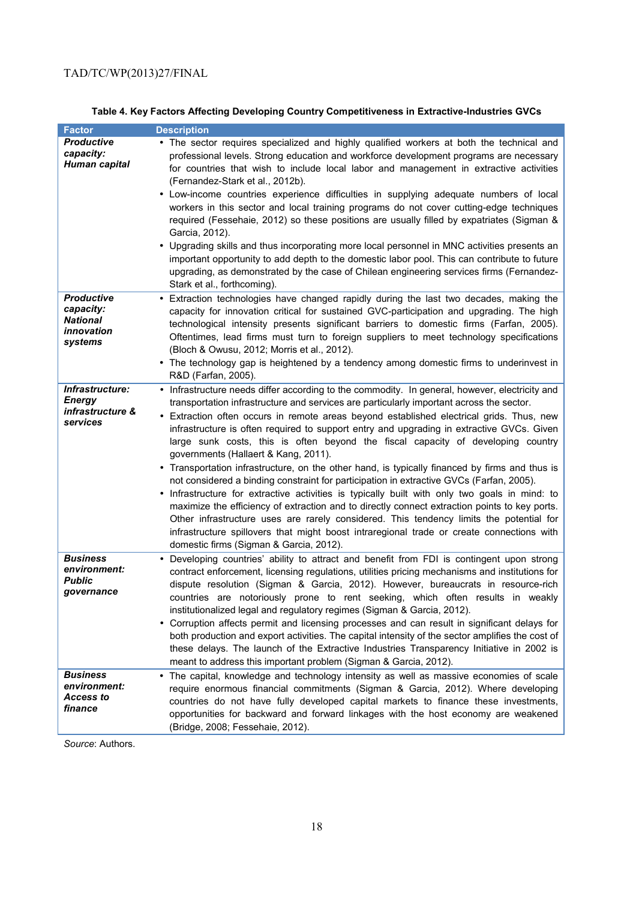| <b>Factor</b>                                                              | <b>Description</b>                                                                                                                                                                                                                                                                                                                                                                                                                                                                                                                                                                                                                                                                                                                                                                                                                                                                                                                                                                                                                                                                                                                                                     |
|----------------------------------------------------------------------------|------------------------------------------------------------------------------------------------------------------------------------------------------------------------------------------------------------------------------------------------------------------------------------------------------------------------------------------------------------------------------------------------------------------------------------------------------------------------------------------------------------------------------------------------------------------------------------------------------------------------------------------------------------------------------------------------------------------------------------------------------------------------------------------------------------------------------------------------------------------------------------------------------------------------------------------------------------------------------------------------------------------------------------------------------------------------------------------------------------------------------------------------------------------------|
| <b>Productive</b><br>capacity:<br><b>Human capital</b>                     | • The sector requires specialized and highly qualified workers at both the technical and<br>professional levels. Strong education and workforce development programs are necessary<br>for countries that wish to include local labor and management in extractive activities<br>(Fernandez-Stark et al., 2012b).<br>Low-income countries experience difficulties in supplying adequate numbers of local<br>workers in this sector and local training programs do not cover cutting-edge techniques<br>required (Fessehaie, 2012) so these positions are usually filled by expatriates (Sigman &<br>Garcia, 2012).<br>• Upgrading skills and thus incorporating more local personnel in MNC activities presents an<br>important opportunity to add depth to the domestic labor pool. This can contribute to future<br>upgrading, as demonstrated by the case of Chilean engineering services firms (Fernandez-<br>Stark et al., forthcoming).                                                                                                                                                                                                                           |
| <b>Productive</b><br>capacity:<br><b>National</b><br>innovation<br>systems | Extraction technologies have changed rapidly during the last two decades, making the<br>٠<br>capacity for innovation critical for sustained GVC-participation and upgrading. The high<br>technological intensity presents significant barriers to domestic firms (Farfan, 2005).<br>Oftentimes, lead firms must turn to foreign suppliers to meet technology specifications<br>(Bloch & Owusu, 2012; Morris et al., 2012).<br>The technology gap is heightened by a tendency among domestic firms to underinvest in<br>٠<br>R&D (Farfan, 2005).                                                                                                                                                                                                                                                                                                                                                                                                                                                                                                                                                                                                                        |
| Infrastructure:<br><b>Energy</b><br>infrastructure &<br>services           | Infrastructure needs differ according to the commodity. In general, however, electricity and<br>$\bullet$<br>transportation infrastructure and services are particularly important across the sector.<br>Extraction often occurs in remote areas beyond established electrical grids. Thus, new<br>$\bullet$<br>infrastructure is often required to support entry and upgrading in extractive GVCs. Given<br>large sunk costs, this is often beyond the fiscal capacity of developing country<br>governments (Hallaert & Kang, 2011).<br>• Transportation infrastructure, on the other hand, is typically financed by firms and thus is<br>not considered a binding constraint for participation in extractive GVCs (Farfan, 2005).<br>Infrastructure for extractive activities is typically built with only two goals in mind: to<br>maximize the efficiency of extraction and to directly connect extraction points to key ports.<br>Other infrastructure uses are rarely considered. This tendency limits the potential for<br>infrastructure spillovers that might boost intraregional trade or create connections with<br>domestic firms (Sigman & Garcia, 2012). |
| <b>Business</b><br>environment:<br><b>Public</b><br>qovernance             | Developing countries' ability to attract and benefit from FDI is contingent upon strong<br>contract enforcement, licensing regulations, utilities pricing mechanisms and institutions for<br>dispute resolution (Sigman & Garcia, 2012). However, bureaucrats in resource-rich<br>countries are notoriously prone to rent seeking, which often results in weakly<br>institutionalized legal and regulatory regimes (Sigman & Garcia, 2012).<br>Corruption affects permit and licensing processes and can result in significant delays for<br>both production and export activities. The capital intensity of the sector amplifies the cost of<br>these delays. The launch of the Extractive Industries Transparency Initiative in 2002 is<br>meant to address this important problem (Sigman & Garcia, 2012).                                                                                                                                                                                                                                                                                                                                                          |
| <b>Business</b><br>environment:<br><b>Access to</b><br>finance             | The capital, knowledge and technology intensity as well as massive economies of scale<br>require enormous financial commitments (Sigman & Garcia, 2012). Where developing<br>countries do not have fully developed capital markets to finance these investments,<br>opportunities for backward and forward linkages with the host economy are weakened<br>(Bridge, 2008; Fessehaie, 2012).                                                                                                                                                                                                                                                                                                                                                                                                                                                                                                                                                                                                                                                                                                                                                                             |

# **Table 4. Key Factors Affecting Developing Country Competitiveness in Extractive-Industries GVCs**

*Source*: Authors.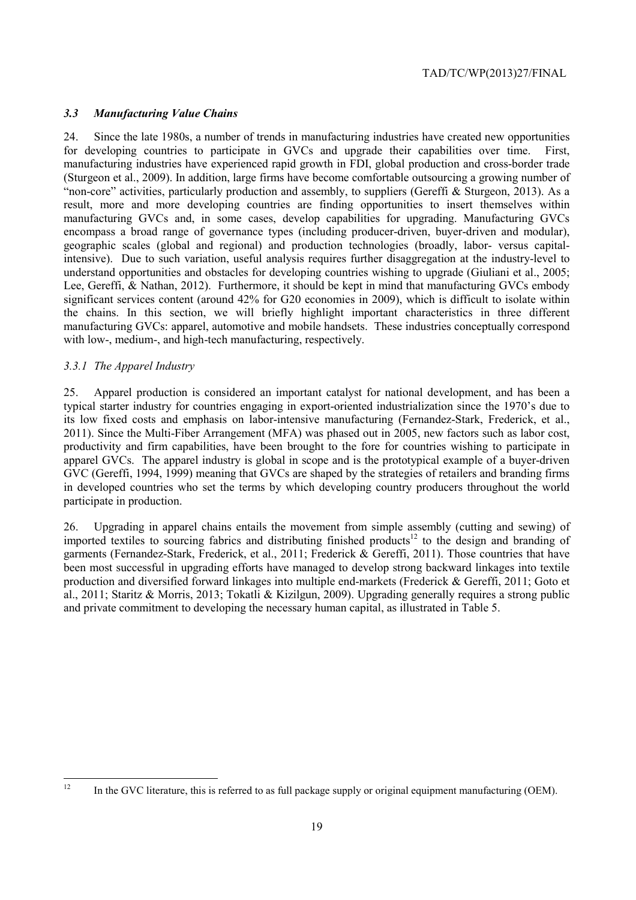## *3.3 Manufacturing Value Chains*

24. Since the late 1980s, a number of trends in manufacturing industries have created new opportunities for developing countries to participate in GVCs and upgrade their capabilities over time. First, manufacturing industries have experienced rapid growth in FDI, global production and cross-border trade (Sturgeon et al., 2009). In addition, large firms have become comfortable outsourcing a growing number of "non-core" activities, particularly production and assembly, to suppliers (Gereffi & Sturgeon, 2013). As a result, more and more developing countries are finding opportunities to insert themselves within manufacturing GVCs and, in some cases, develop capabilities for upgrading. Manufacturing GVCs encompass a broad range of governance types (including producer-driven, buyer-driven and modular), geographic scales (global and regional) and production technologies (broadly, labor- versus capitalintensive). Due to such variation, useful analysis requires further disaggregation at the industry-level to understand opportunities and obstacles for developing countries wishing to upgrade (Giuliani et al., 2005; Lee, Gereffi, & Nathan, 2012). Furthermore, it should be kept in mind that manufacturing GVCs embody significant services content (around 42% for G20 economies in 2009), which is difficult to isolate within the chains. In this section, we will briefly highlight important characteristics in three different manufacturing GVCs: apparel, automotive and mobile handsets. These industries conceptually correspond with low-, medium-, and high-tech manufacturing, respectively.

## *3.3.1 The Apparel Industry*

25. Apparel production is considered an important catalyst for national development, and has been a typical starter industry for countries engaging in export-oriented industrialization since the 1970's due to its low fixed costs and emphasis on labor-intensive manufacturing (Fernandez-Stark, Frederick, et al., 2011). Since the Multi-Fiber Arrangement (MFA) was phased out in 2005, new factors such as labor cost, productivity and firm capabilities, have been brought to the fore for countries wishing to participate in apparel GVCs. The apparel industry is global in scope and is the prototypical example of a buyer-driven GVC (Gereffi, 1994, 1999) meaning that GVCs are shaped by the strategies of retailers and branding firms in developed countries who set the terms by which developing country producers throughout the world participate in production.

26. Upgrading in apparel chains entails the movement from simple assembly (cutting and sewing) of imported textiles to sourcing fabrics and distributing finished products<sup>12</sup> to the design and branding of garments (Fernandez-Stark, Frederick, et al., 2011; Frederick & Gereffi, 2011). Those countries that have been most successful in upgrading efforts have managed to develop strong backward linkages into textile production and diversified forward linkages into multiple end-markets (Frederick & Gereffi, 2011; Goto et al., 2011; Staritz & Morris, 2013; Tokatli & Kizilgun, 2009). Upgrading generally requires a strong public and private commitment to developing the necessary human capital, as illustrated in Table 5.

<sup>12</sup> 12 In the GVC literature, this is referred to as full package supply or original equipment manufacturing (OEM).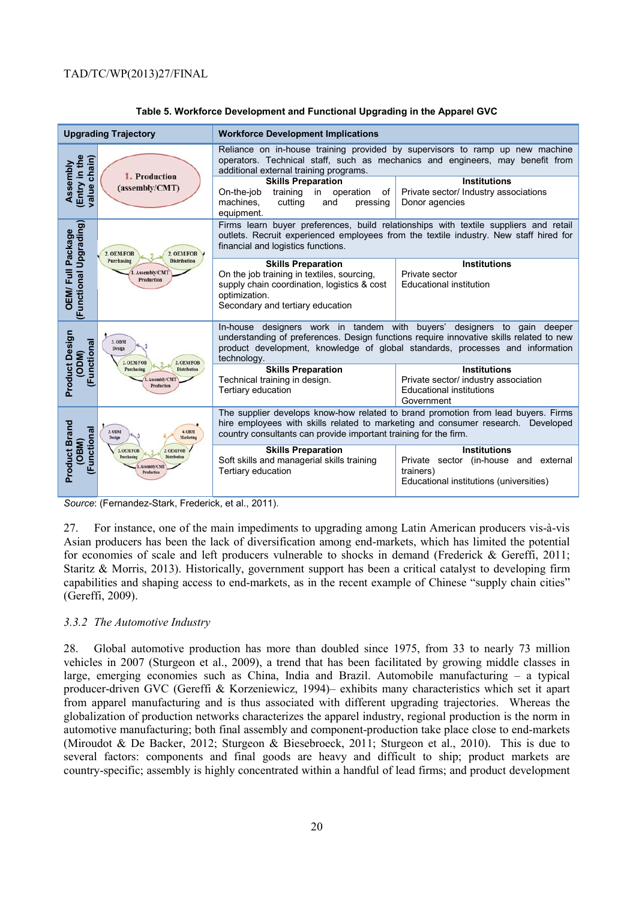|                                                    | <b>Upgrading Trajectory</b>                                                               | <b>Workforce Development Implications</b>                                                                                                                                   |                                                                                                                                                                                                                                                     |
|----------------------------------------------------|-------------------------------------------------------------------------------------------|-----------------------------------------------------------------------------------------------------------------------------------------------------------------------------|-----------------------------------------------------------------------------------------------------------------------------------------------------------------------------------------------------------------------------------------------------|
| chain)                                             | 1. Production                                                                             | additional external training programs.                                                                                                                                      | Reliance on in-house training provided by supervisors to ramp up new machine<br>operators. Technical staff, such as mechanics and engineers, may benefit from                                                                                       |
| (Entry in the<br>Assembly<br>value                 | (assembly/CMT)                                                                            | <b>Skills Preparation</b><br>On-the-job<br>machines.<br>cutting<br>and<br>pressing<br>equipment.                                                                            | <b>Institutions</b><br>training in operation of Private sector/ Industry associations<br>Donor agencies                                                                                                                                             |
|                                                    | 2. OEMFOB<br>2. OEMFOB                                                                    | financial and logistics functions.                                                                                                                                          | Firms learn buyer preferences, build relationships with textile suppliers and retail<br>outlets. Recruit experienced employees from the textile industry. New staff hired for                                                                       |
| (Functional Upgrading)<br>OEM/Full Package         | Purchasing<br><b>Distribution</b><br>1. Assembly/CMT<br>Production                        | <b>Skills Preparation</b><br>On the job training in textiles, sourcing,<br>supply chain coordination, logistics & cost<br>optimization.<br>Secondary and tertiary education | <b>Institutions</b><br>Private sector<br><b>Educational institution</b>                                                                                                                                                                             |
| Product Design<br><b>(Functional</b><br>(ODM)      | 3. ODM<br>Design<br>2. OEMFOB<br>2. OEMFOB                                                | technology.                                                                                                                                                                 | In-house designers work in tandem with buyers' designers to gain deeper<br>understanding of preferences. Design functions require innovative skills related to new<br>product development, knowledge of global standards, processes and information |
|                                                    | Purchasing<br><b>Distribution</b><br>Assembly/CMT<br>Production                           | <b>Skills Preparation</b><br>Technical training in design.<br>Tertiary education                                                                                            | <b>Institutions</b><br>Private sector/ industry association<br><b>Educational institutions</b><br>Government                                                                                                                                        |
|                                                    | 3. ODM<br><b>4. OBM</b><br>Design<br>Marketing                                            | country consultants can provide important training for the firm.                                                                                                            | The supplier develops know-how related to brand promotion from lead buyers. Firms<br>hire employees with skills related to marketing and consumer research. Developed                                                                               |
| <b>Product Brand</b><br><b>Functional</b><br>(OBM) | 2. OEMFOB<br>2. OEMFOB<br>Purchasing<br><b>Distribution</b><br>Assembly/CMT<br>Production | <b>Skills Preparation</b><br>Soft skills and managerial skills training<br>Tertiary education                                                                               | <b>Institutions</b><br>Private sector (in-house and external<br>trainers)<br>Educational institutions (universities)                                                                                                                                |

#### **Table 5. Workforce Development and Functional Upgrading in the Apparel GVC**

27. For instance, one of the main impediments to upgrading among Latin American producers vis-à-vis Asian producers has been the lack of diversification among end-markets, which has limited the potential for economies of scale and left producers vulnerable to shocks in demand (Frederick & Gereffi, 2011; Staritz & Morris, 2013). Historically, government support has been a critical catalyst to developing firm capabilities and shaping access to end-markets, as in the recent example of Chinese "supply chain cities" (Gereffi, 2009).

#### *3.3.2 The Automotive Industry*

28. Global automotive production has more than doubled since 1975, from 33 to nearly 73 million vehicles in 2007 (Sturgeon et al., 2009), a trend that has been facilitated by growing middle classes in large, emerging economies such as China, India and Brazil. Automobile manufacturing – a typical producer-driven GVC (Gereffi & Korzeniewicz, 1994)– exhibits many characteristics which set it apart from apparel manufacturing and is thus associated with different upgrading trajectories. Whereas the globalization of production networks characterizes the apparel industry, regional production is the norm in automotive manufacturing; both final assembly and component-production take place close to end-markets (Miroudot & De Backer, 2012; Sturgeon & Biesebroeck, 2011; Sturgeon et al., 2010). This is due to several factors: components and final goods are heavy and difficult to ship; product markets are country-specific; assembly is highly concentrated within a handful of lead firms; and product development

*Source*: (Fernandez-Stark, Frederick, et al., 2011).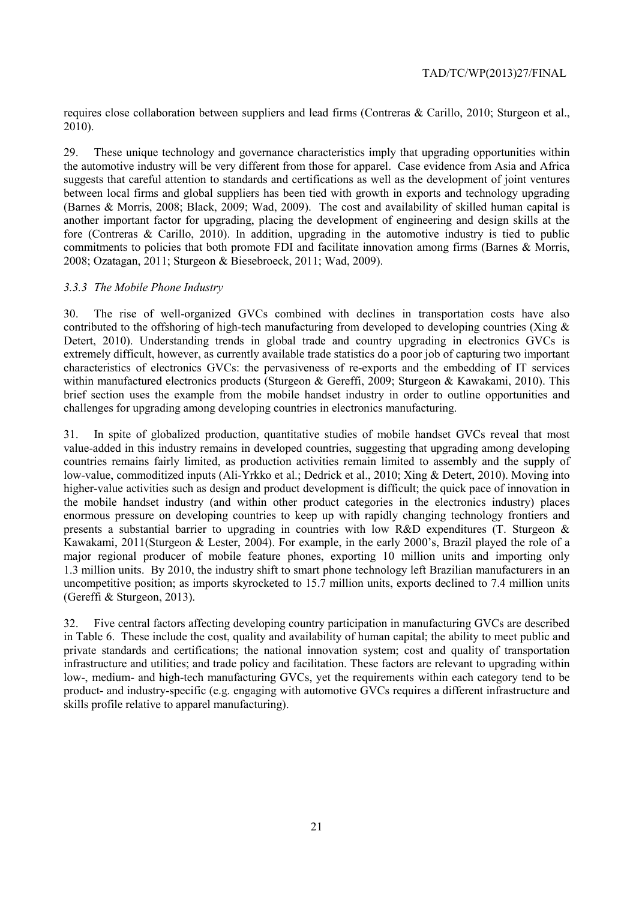requires close collaboration between suppliers and lead firms (Contreras & Carillo, 2010; Sturgeon et al., 2010).

29. These unique technology and governance characteristics imply that upgrading opportunities within the automotive industry will be very different from those for apparel. Case evidence from Asia and Africa suggests that careful attention to standards and certifications as well as the development of joint ventures between local firms and global suppliers has been tied with growth in exports and technology upgrading (Barnes & Morris, 2008; Black, 2009; Wad, 2009). The cost and availability of skilled human capital is another important factor for upgrading, placing the development of engineering and design skills at the fore (Contreras & Carillo, 2010). In addition, upgrading in the automotive industry is tied to public commitments to policies that both promote FDI and facilitate innovation among firms (Barnes & Morris, 2008; Ozatagan, 2011; Sturgeon & Biesebroeck, 2011; Wad, 2009).

## *3.3.3 The Mobile Phone Industry*

30. The rise of well-organized GVCs combined with declines in transportation costs have also contributed to the offshoring of high-tech manufacturing from developed to developing countries (Xing  $\&$ Detert, 2010). Understanding trends in global trade and country upgrading in electronics GVCs is extremely difficult, however, as currently available trade statistics do a poor job of capturing two important characteristics of electronics GVCs: the pervasiveness of re-exports and the embedding of IT services within manufactured electronics products (Sturgeon & Gereffi, 2009; Sturgeon & Kawakami, 2010). This brief section uses the example from the mobile handset industry in order to outline opportunities and challenges for upgrading among developing countries in electronics manufacturing.

31. In spite of globalized production, quantitative studies of mobile handset GVCs reveal that most value-added in this industry remains in developed countries, suggesting that upgrading among developing countries remains fairly limited, as production activities remain limited to assembly and the supply of low-value, commoditized inputs (Ali-Yrkko et al.; Dedrick et al., 2010; Xing & Detert, 2010). Moving into higher-value activities such as design and product development is difficult; the quick pace of innovation in the mobile handset industry (and within other product categories in the electronics industry) places enormous pressure on developing countries to keep up with rapidly changing technology frontiers and presents a substantial barrier to upgrading in countries with low R&D expenditures (T. Sturgeon & Kawakami, 2011(Sturgeon & Lester, 2004). For example, in the early 2000's, Brazil played the role of a major regional producer of mobile feature phones, exporting 10 million units and importing only 1.3 million units. By 2010, the industry shift to smart phone technology left Brazilian manufacturers in an uncompetitive position; as imports skyrocketed to 15.7 million units, exports declined to 7.4 million units (Gereffi & Sturgeon, 2013).

32. Five central factors affecting developing country participation in manufacturing GVCs are described in Table 6. These include the cost, quality and availability of human capital; the ability to meet public and private standards and certifications; the national innovation system; cost and quality of transportation infrastructure and utilities; and trade policy and facilitation. These factors are relevant to upgrading within low-, medium- and high-tech manufacturing GVCs, yet the requirements within each category tend to be product- and industry-specific (e.g. engaging with automotive GVCs requires a different infrastructure and skills profile relative to apparel manufacturing).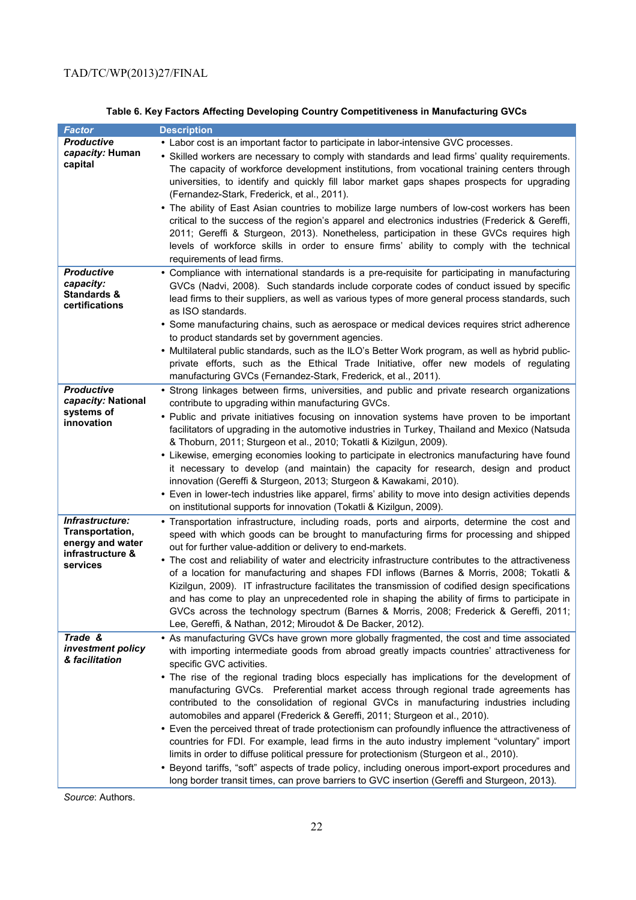| <b>Factor</b>                                                                          | <b>Description</b>                                                                                                                                                                                                                                                                                                                                                                                                                                                                                                                                                                                                                                                                                                                                                                                                                                                                                                                                                                                                                                                                         |
|----------------------------------------------------------------------------------------|--------------------------------------------------------------------------------------------------------------------------------------------------------------------------------------------------------------------------------------------------------------------------------------------------------------------------------------------------------------------------------------------------------------------------------------------------------------------------------------------------------------------------------------------------------------------------------------------------------------------------------------------------------------------------------------------------------------------------------------------------------------------------------------------------------------------------------------------------------------------------------------------------------------------------------------------------------------------------------------------------------------------------------------------------------------------------------------------|
| <b>Productive</b><br>capacity: Human<br>capital                                        | • Labor cost is an important factor to participate in labor-intensive GVC processes.<br>• Skilled workers are necessary to comply with standards and lead firms' quality requirements.<br>The capacity of workforce development institutions, from vocational training centers through<br>universities, to identify and quickly fill labor market gaps shapes prospects for upgrading<br>(Fernandez-Stark, Frederick, et al., 2011).<br>• The ability of East Asian countries to mobilize large numbers of low-cost workers has been<br>critical to the success of the region's apparel and electronics industries (Frederick & Gereffi,<br>2011; Gereffi & Sturgeon, 2013). Nonetheless, participation in these GVCs requires high<br>levels of workforce skills in order to ensure firms' ability to comply with the technical<br>requirements of lead firms.                                                                                                                                                                                                                            |
| <b>Productive</b><br>capacity:<br>Standards &<br>certifications                        | • Compliance with international standards is a pre-requisite for participating in manufacturing<br>GVCs (Nadvi, 2008). Such standards include corporate codes of conduct issued by specific<br>lead firms to their suppliers, as well as various types of more general process standards, such<br>as ISO standards.<br>• Some manufacturing chains, such as aerospace or medical devices requires strict adherence<br>to product standards set by government agencies.<br>• Multilateral public standards, such as the ILO's Better Work program, as well as hybrid public-<br>private efforts, such as the Ethical Trade Initiative, offer new models of regulating<br>manufacturing GVCs (Fernandez-Stark, Frederick, et al., 2011).                                                                                                                                                                                                                                                                                                                                                     |
| <b>Productive</b><br>capacity: National<br>systems of<br>innovation                    | · Strong linkages between firms, universities, and public and private research organizations<br>contribute to upgrading within manufacturing GVCs.<br>• Public and private initiatives focusing on innovation systems have proven to be important<br>facilitators of upgrading in the automotive industries in Turkey, Thailand and Mexico (Natsuda<br>& Thoburn, 2011; Sturgeon et al., 2010; Tokatli & Kizilgun, 2009).<br>• Likewise, emerging economies looking to participate in electronics manufacturing have found<br>it necessary to develop (and maintain) the capacity for research, design and product<br>innovation (Gereffi & Sturgeon, 2013; Sturgeon & Kawakami, 2010).<br>• Even in lower-tech industries like apparel, firms' ability to move into design activities depends<br>on institutional supports for innovation (Tokatli & Kizilgun, 2009).                                                                                                                                                                                                                     |
| Infrastructure:<br>Transportation,<br>energy and water<br>infrastructure &<br>services | • Transportation infrastructure, including roads, ports and airports, determine the cost and<br>speed with which goods can be brought to manufacturing firms for processing and shipped<br>out for further value-addition or delivery to end-markets.<br>• The cost and reliability of water and electricity infrastructure contributes to the attractiveness<br>of a location for manufacturing and shapes FDI inflows (Barnes & Morris, 2008; Tokatli &<br>Kizilgun, 2009). IT infrastructure facilitates the transmission of codified design specifications<br>and has come to play an unprecedented role in shaping the ability of firms to participate in<br>GVCs across the technology spectrum (Barnes & Morris, 2008; Frederick & Gereffi, 2011;<br>Lee, Gereffi, & Nathan, 2012; Miroudot & De Backer, 2012).                                                                                                                                                                                                                                                                     |
| Trade &<br>investment policy<br>& facilitation                                         | • As manufacturing GVCs have grown more globally fragmented, the cost and time associated<br>with importing intermediate goods from abroad greatly impacts countries' attractiveness for<br>specific GVC activities.<br>• The rise of the regional trading blocs especially has implications for the development of<br>manufacturing GVCs. Preferential market access through regional trade agreements has<br>contributed to the consolidation of regional GVCs in manufacturing industries including<br>automobiles and apparel (Frederick & Gereffi, 2011; Sturgeon et al., 2010).<br>• Even the perceived threat of trade protectionism can profoundly influence the attractiveness of<br>countries for FDI. For example, lead firms in the auto industry implement "voluntary" import<br>limits in order to diffuse political pressure for protectionism (Sturgeon et al., 2010).<br>• Beyond tariffs, "soft" aspects of trade policy, including onerous import-export procedures and<br>long border transit times, can prove barriers to GVC insertion (Gereffi and Sturgeon, 2013). |

# **Table 6. Key Factors Affecting Developing Country Competitiveness in Manufacturing GVCs**

*Source*: Authors.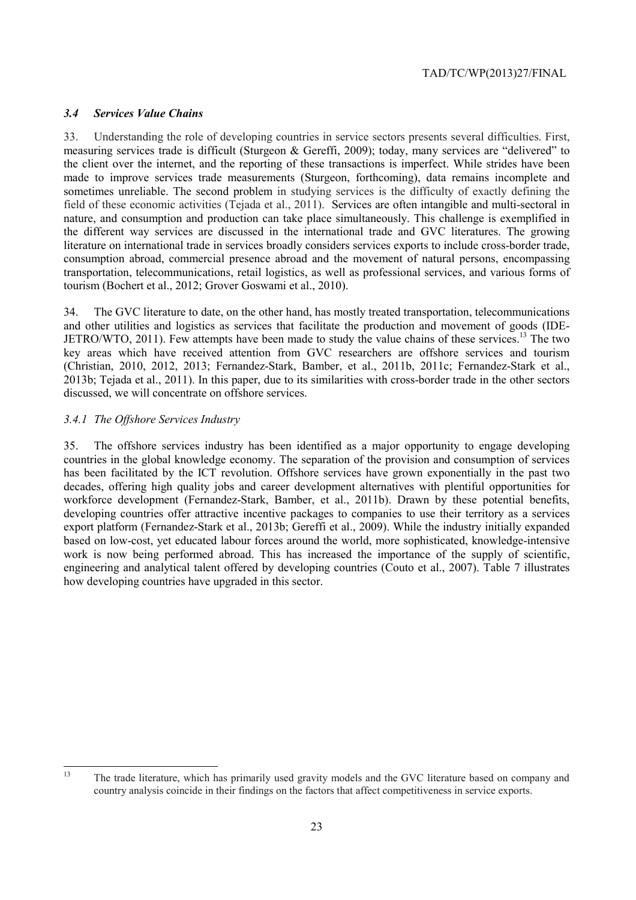## *3.4 Services Value Chains*

33. Understanding the role of developing countries in service sectors presents several difficulties. First, measuring services trade is difficult (Sturgeon & Gereffi, 2009); today, many services are "delivered" to the client over the internet, and the reporting of these transactions is imperfect. While strides have been made to improve services trade measurements (Sturgeon, forthcoming), data remains incomplete and sometimes unreliable. The second problem in studying services is the difficulty of exactly defining the field of these economic activities (Tejada et al., 2011). Services are often intangible and multi-sectoral in nature, and consumption and production can take place simultaneously. This challenge is exemplified in the different way services are discussed in the international trade and GVC literatures. The growing literature on international trade in services broadly considers services exports to include cross-border trade, consumption abroad, commercial presence abroad and the movement of natural persons, encompassing transportation, telecommunications, retail logistics, as well as professional services, and various forms of tourism (Bochert et al., 2012; Grover Goswami et al., 2010).

34. The GVC literature to date, on the other hand, has mostly treated transportation, telecommunications and other utilities and logistics as services that facilitate the production and movement of goods (IDE-JETRO/WTO, 2011). Few attempts have been made to study the value chains of these services.<sup>13</sup> The two key areas which have received attention from GVC researchers are offshore services and tourism (Christian, 2010, 2012, 2013; Fernandez-Stark, Bamber, et al., 2011b, 2011c; Fernandez-Stark et al., 2013b; Tejada et al., 2011). In this paper, due to its similarities with cross-border trade in the other sectors discussed, we will concentrate on offshore services.

#### *3.4.1 The Offshore Services Industry*

35. The offshore services industry has been identified as a major opportunity to engage developing countries in the global knowledge economy. The separation of the provision and consumption of services has been facilitated by the ICT revolution. Offshore services have grown exponentially in the past two decades, offering high quality jobs and career development alternatives with plentiful opportunities for workforce development (Fernandez-Stark, Bamber, et al., 2011b). Drawn by these potential benefits, developing countries offer attractive incentive packages to companies to use their territory as a services export platform (Fernandez-Stark et al., 2013b; Gereffi et al., 2009). While the industry initially expanded based on low-cost, yet educated labour forces around the world, more sophisticated, knowledge-intensive work is now being performed abroad. This has increased the importance of the supply of scientific, engineering and analytical talent offered by developing countries (Couto et al., 2007). Table 7 illustrates how developing countries have upgraded in this sector.

 $13$ The trade literature, which has primarily used gravity models and the GVC literature based on company and country analysis coincide in their findings on the factors that affect competitiveness in service exports.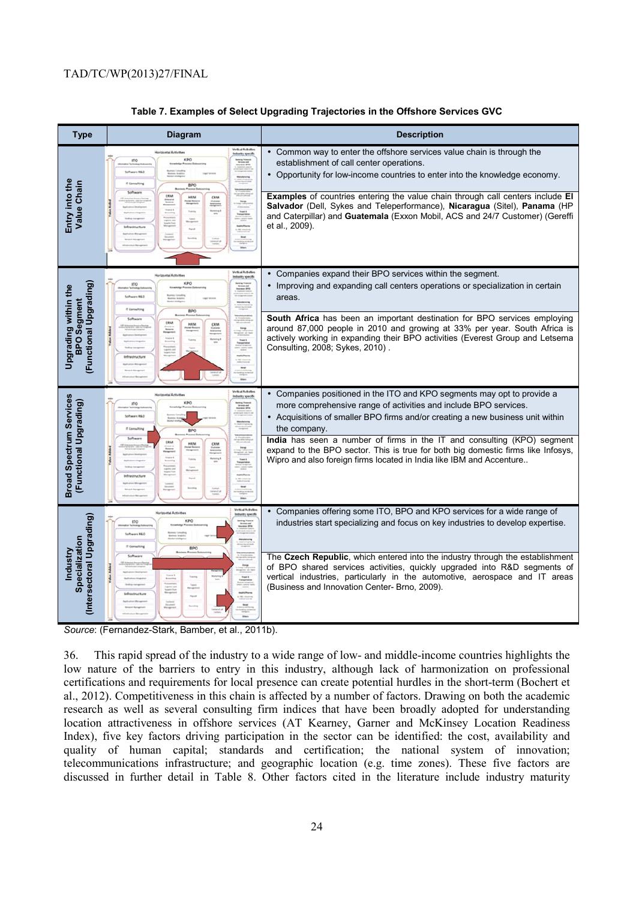

#### **Table 7. Examples of Select Upgrading Trajectories in the Offshore Services GVC**

*Source*: (Fernandez-Stark, Bamber, et al., 2011b).

36. This rapid spread of the industry to a wide range of low- and middle-income countries highlights the low nature of the barriers to entry in this industry, although lack of harmonization on professional certifications and requirements for local presence can create potential hurdles in the short-term (Bochert et al., 2012). Competitiveness in this chain is affected by a number of factors. Drawing on both the academic research as well as several consulting firm indices that have been broadly adopted for understanding location attractiveness in offshore services (AT Kearney, Garner and McKinsey Location Readiness Index), five key factors driving participation in the sector can be identified: the cost, availability and quality of human capital; standards and certification; the national system of innovation; telecommunications infrastructure; and geographic location (e.g. time zones). These five factors are discussed in further detail in Table 8. Other factors cited in the literature include industry maturity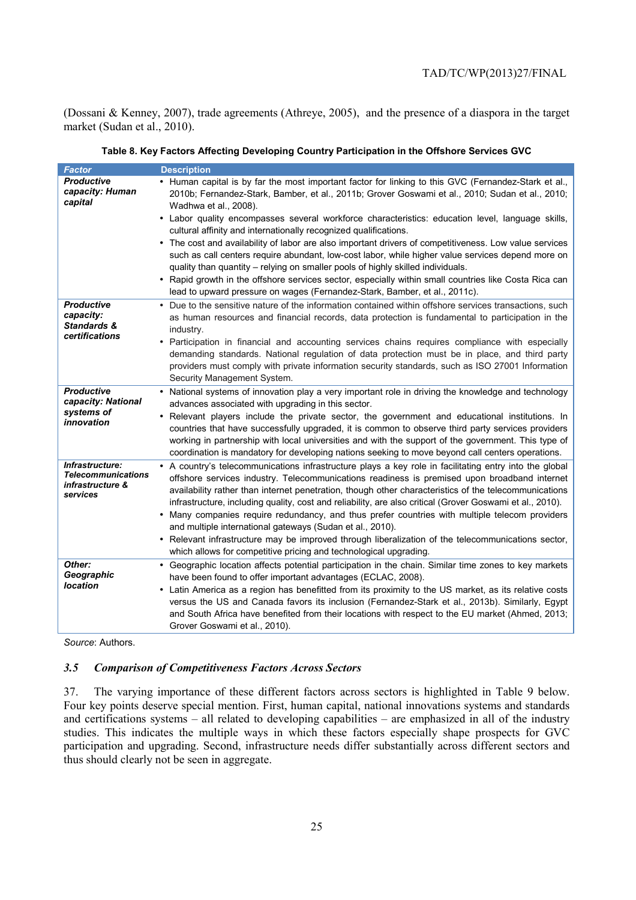(Dossani & Kenney, 2007), trade agreements (Athreye, 2005), and the presence of a diaspora in the target market (Sudan et al., 2010).

| <b>Factor</b>                                                                | <b>Description</b>                                                                                                                                                                                                                                                                                                                                                                                                                                                                                                                                                                                                                                                                                                                                                                                                                                                                                |
|------------------------------------------------------------------------------|---------------------------------------------------------------------------------------------------------------------------------------------------------------------------------------------------------------------------------------------------------------------------------------------------------------------------------------------------------------------------------------------------------------------------------------------------------------------------------------------------------------------------------------------------------------------------------------------------------------------------------------------------------------------------------------------------------------------------------------------------------------------------------------------------------------------------------------------------------------------------------------------------|
| <b>Productive</b><br>capacity: Human<br>capital                              | • Human capital is by far the most important factor for linking to this GVC (Fernandez-Stark et al.,<br>2010b; Fernandez-Stark, Bamber, et al., 2011b; Grover Goswami et al., 2010; Sudan et al., 2010;<br>Wadhwa et al., 2008).<br>• Labor quality encompasses several workforce characteristics: education level, language skills,<br>cultural affinity and internationally recognized qualifications.<br>• The cost and availability of labor are also important drivers of competitiveness. Low value services<br>such as call centers require abundant, low-cost labor, while higher value services depend more on<br>quality than quantity – relying on smaller pools of highly skilled individuals.<br>• Rapid growth in the offshore services sector, especially within small countries like Costa Rica can<br>lead to upward pressure on wages (Fernandez-Stark, Bamber, et al., 2011c). |
| <b>Productive</b><br>capacity:<br><b>Standards &amp;</b><br>certifications   | • Due to the sensitive nature of the information contained within offshore services transactions, such<br>as human resources and financial records, data protection is fundamental to participation in the<br>industry.<br>• Participation in financial and accounting services chains requires compliance with especially<br>demanding standards. National regulation of data protection must be in place, and third party<br>providers must comply with private information security standards, such as ISO 27001 Information<br>Security Management System.                                                                                                                                                                                                                                                                                                                                    |
| <b>Productive</b><br>capacity: National<br>systems of<br>innovation          | • National systems of innovation play a very important role in driving the knowledge and technology<br>advances associated with upgrading in this sector.<br>• Relevant players include the private sector, the government and educational institutions. In<br>countries that have successfully upgraded, it is common to observe third party services providers<br>working in partnership with local universities and with the support of the government. This type of<br>coordination is mandatory for developing nations seeking to move beyond call centers operations.                                                                                                                                                                                                                                                                                                                       |
| Infrastructure:<br><b>Telecommunications</b><br>infrastructure &<br>services | • A country's telecommunications infrastructure plays a key role in facilitating entry into the global<br>offshore services industry. Telecommunications readiness is premised upon broadband internet<br>availability rather than internet penetration, though other characteristics of the telecommunications<br>infrastructure, including quality, cost and reliability, are also critical (Grover Goswami et al., 2010).<br>Many companies require redundancy, and thus prefer countries with multiple telecom providers<br>and multiple international gateways (Sudan et al., 2010).<br>• Relevant infrastructure may be improved through liberalization of the telecommunications sector,<br>which allows for competitive pricing and technological upgrading.                                                                                                                              |
| Other:<br>Geographic<br><b>location</b>                                      | • Geographic location affects potential participation in the chain. Similar time zones to key markets<br>have been found to offer important advantages (ECLAC, 2008).<br>• Latin America as a region has benefitted from its proximity to the US market, as its relative costs<br>versus the US and Canada favors its inclusion (Fernandez-Stark et al., 2013b). Similarly, Egypt<br>and South Africa have benefited from their locations with respect to the EU market (Ahmed, 2013;<br>Grover Goswami et al., 2010).                                                                                                                                                                                                                                                                                                                                                                            |

| Table 8. Key Factors Affecting Developing Country Participation in the Offshore Services GVC |
|----------------------------------------------------------------------------------------------|
|----------------------------------------------------------------------------------------------|

*Source*: Authors.

#### *3.5 Comparison of Competitiveness Factors Across Sectors*

37. The varying importance of these different factors across sectors is highlighted in Table 9 below. Four key points deserve special mention. First, human capital, national innovations systems and standards and certifications systems – all related to developing capabilities – are emphasized in all of the industry studies. This indicates the multiple ways in which these factors especially shape prospects for GVC participation and upgrading. Second, infrastructure needs differ substantially across different sectors and thus should clearly not be seen in aggregate.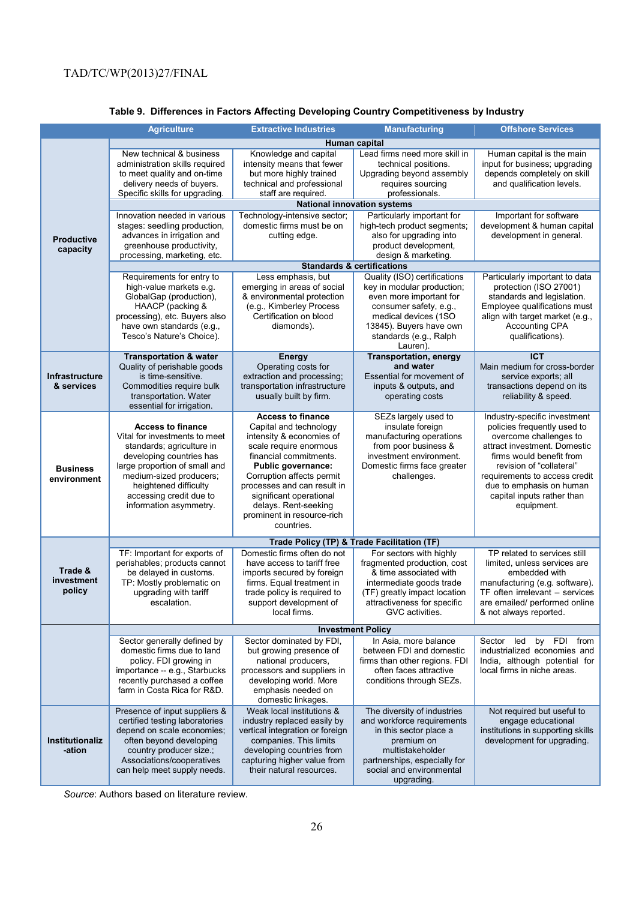## **Table 9. Differences in Factors Affecting Developing Country Competitiveness by Industry**

|                                     | <b>Agriculture</b>                                                      | <b>Extractive Industries</b>                              | <b>Manufacturing</b>                                      | <b>Offshore Services</b>                                     |  |  |  |
|-------------------------------------|-------------------------------------------------------------------------|-----------------------------------------------------------|-----------------------------------------------------------|--------------------------------------------------------------|--|--|--|
|                                     |                                                                         |                                                           | <b>Human capital</b>                                      |                                                              |  |  |  |
|                                     | New technical & business                                                | Knowledge and capital                                     | Lead firms need more skill in                             | Human capital is the main                                    |  |  |  |
|                                     | administration skills required                                          | intensity means that fewer                                | technical positions.                                      | input for business; upgrading                                |  |  |  |
|                                     | to meet quality and on-time                                             | but more highly trained                                   | Upgrading beyond assembly                                 | depends completely on skill                                  |  |  |  |
|                                     | delivery needs of buyers.                                               | technical and professional                                | requires sourcing                                         | and qualification levels.                                    |  |  |  |
|                                     | Specific skills for upgrading.<br>staff are required.<br>professionals. |                                                           |                                                           |                                                              |  |  |  |
|                                     | <b>National innovation systems</b>                                      |                                                           |                                                           |                                                              |  |  |  |
|                                     | Innovation needed in various<br>stages: seedling production,            | Technology-intensive sector;<br>domestic firms must be on | Particularly important for<br>high-tech product segments; | Important for software<br>development & human capital        |  |  |  |
|                                     | advances in irrigation and                                              | cutting edge.                                             | also for upgrading into                                   | development in general.                                      |  |  |  |
| <b>Productive</b>                   | greenhouse productivity,                                                |                                                           | product development,                                      |                                                              |  |  |  |
| capacity                            | processing, marketing, etc.                                             |                                                           | design & marketing.                                       |                                                              |  |  |  |
|                                     | <b>Standards &amp; certifications</b>                                   |                                                           |                                                           |                                                              |  |  |  |
|                                     | Requirements for entry to                                               | Less emphasis, but                                        | Quality (ISO) certifications                              | Particularly important to data                               |  |  |  |
|                                     | high-value markets e.g.                                                 | emerging in areas of social                               | key in modular production;                                | protection (ISO 27001)                                       |  |  |  |
|                                     | GlobalGap (production),                                                 | & environmental protection                                | even more important for                                   | standards and legislation.                                   |  |  |  |
|                                     | HAACP (packing &                                                        | (e.g., Kimberley Process                                  | consumer safety, e.g.,                                    | Employee qualifications must                                 |  |  |  |
|                                     | processing), etc. Buyers also                                           | Certification on blood                                    | medical devices (1SO                                      | align with target market (e.g.,                              |  |  |  |
|                                     | have own standards (e.g.,<br>Tesco's Nature's Choice).                  | diamonds).                                                | 13845). Buyers have own<br>standards (e.g., Ralph         | Accounting CPA<br>qualifications).                           |  |  |  |
|                                     |                                                                         |                                                           | Lauren).                                                  |                                                              |  |  |  |
|                                     | <b>Transportation &amp; water</b>                                       | Energy                                                    | <b>Transportation, energy</b>                             | ICT                                                          |  |  |  |
|                                     | Quality of perishable goods                                             | Operating costs for                                       | and water                                                 | Main medium for cross-border                                 |  |  |  |
| <b>Infrastructure</b><br>& services | is time-sensitive.                                                      | extraction and processing;                                | Essential for movement of                                 | service exports; all                                         |  |  |  |
|                                     | Commodities require bulk                                                | transportation infrastructure                             | inputs & outputs, and                                     | transactions depend on its                                   |  |  |  |
|                                     | transportation. Water                                                   | usually built by firm.                                    | operating costs                                           | reliability & speed.                                         |  |  |  |
|                                     | essential for irrigation.                                               | <b>Access to finance</b>                                  |                                                           |                                                              |  |  |  |
|                                     | <b>Access to finance</b>                                                | Capital and technology                                    | SEZs largely used to<br>insulate foreign                  | Industry-specific investment<br>policies frequently used to  |  |  |  |
|                                     | Vital for investments to meet                                           | intensity & economies of                                  | manufacturing operations                                  | overcome challenges to                                       |  |  |  |
|                                     | standards; agriculture in                                               | scale require enormous                                    | from poor business &                                      | attract investment. Domestic                                 |  |  |  |
| <b>Business</b>                     | developing countries has                                                | financial commitments.                                    | investment environment.                                   | firms would benefit from                                     |  |  |  |
|                                     | large proportion of small and                                           | Public governance:                                        | Domestic firms face greater                               | revision of "collateral"                                     |  |  |  |
| environment                         | medium-sized producers;                                                 | Corruption affects permit                                 | challenges.                                               | requirements to access credit                                |  |  |  |
|                                     | heightened difficulty                                                   | processes and can result in                               |                                                           | due to emphasis on human                                     |  |  |  |
|                                     | accessing credit due to<br>information asymmetry.                       | significant operational<br>delays. Rent-seeking           |                                                           | capital inputs rather than                                   |  |  |  |
|                                     |                                                                         | prominent in resource-rich                                |                                                           | equipment.                                                   |  |  |  |
|                                     |                                                                         | countries.                                                |                                                           |                                                              |  |  |  |
|                                     |                                                                         |                                                           | Trade Policy (TP) & Trade Facilitation (TF)               |                                                              |  |  |  |
|                                     | TF: Important for exports of                                            | Domestic firms often do not                               | For sectors with highly                                   | TP related to services still                                 |  |  |  |
|                                     | perishables; products cannot                                            | have access to tariff free                                | fragmented production, cost                               | limited, unless services are                                 |  |  |  |
| Trade &                             | be delayed in customs.                                                  | imports secured by foreign                                | & time associated with                                    | embedded with                                                |  |  |  |
| investment<br>policy                | TP: Mostly problematic on                                               | firms. Equal treatment in                                 | intermediate goods trade                                  | manufacturing (e.g. software).                               |  |  |  |
|                                     | upgrading with tariff                                                   | trade policy is required to                               | (TF) greatly impact location                              | TF often irrelevant - services                               |  |  |  |
|                                     | escalation.                                                             | support development of                                    | attractiveness for specific                               | are emailed/ performed online                                |  |  |  |
|                                     |                                                                         | local firms.                                              | GVC activities.                                           | & not always reported.                                       |  |  |  |
|                                     | <b>Investment Policy</b>                                                |                                                           |                                                           |                                                              |  |  |  |
|                                     | Sector generally defined by                                             | Sector dominated by FDI,                                  | In Asia, more balance                                     | Sector led by FDI from                                       |  |  |  |
|                                     | domestic firms due to land                                              | but growing presence of                                   | between FDI and domestic                                  | industrialized economies and                                 |  |  |  |
|                                     | policy. FDI growing in                                                  | national producers,                                       | firms than other regions. FDI                             | India, although potential for<br>local firms in niche areas. |  |  |  |
|                                     | importance -- e.g., Starbucks<br>recently purchased a coffee            | processors and suppliers in<br>developing world. More     | often faces attractive<br>conditions through SEZs.        |                                                              |  |  |  |
|                                     | farm in Costa Rica for R&D.                                             | emphasis needed on                                        |                                                           |                                                              |  |  |  |
|                                     |                                                                         | domestic linkages.                                        |                                                           |                                                              |  |  |  |
| <b>Institutionaliz</b><br>-ation    | Presence of input suppliers &                                           | Weak local institutions &                                 | The diversity of industries                               | Not required but useful to                                   |  |  |  |
|                                     | certified testing laboratories                                          | industry replaced easily by                               | and workforce requirements                                | engage educational                                           |  |  |  |
|                                     | depend on scale economies;                                              | vertical integration or foreign                           | in this sector place a                                    | institutions in supporting skills                            |  |  |  |
|                                     | often beyond developing                                                 | companies. This limits                                    | premium on                                                | development for upgrading.                                   |  |  |  |
|                                     | country producer size.;                                                 | developing countries from                                 | multistakeholder                                          |                                                              |  |  |  |
|                                     | Associations/cooperatives<br>can help meet supply needs.                | capturing higher value from<br>their natural resources.   | partnerships, especially for<br>social and environmental  |                                                              |  |  |  |
|                                     |                                                                         |                                                           | upgrading.                                                |                                                              |  |  |  |

*Source*: Authors based on literature review.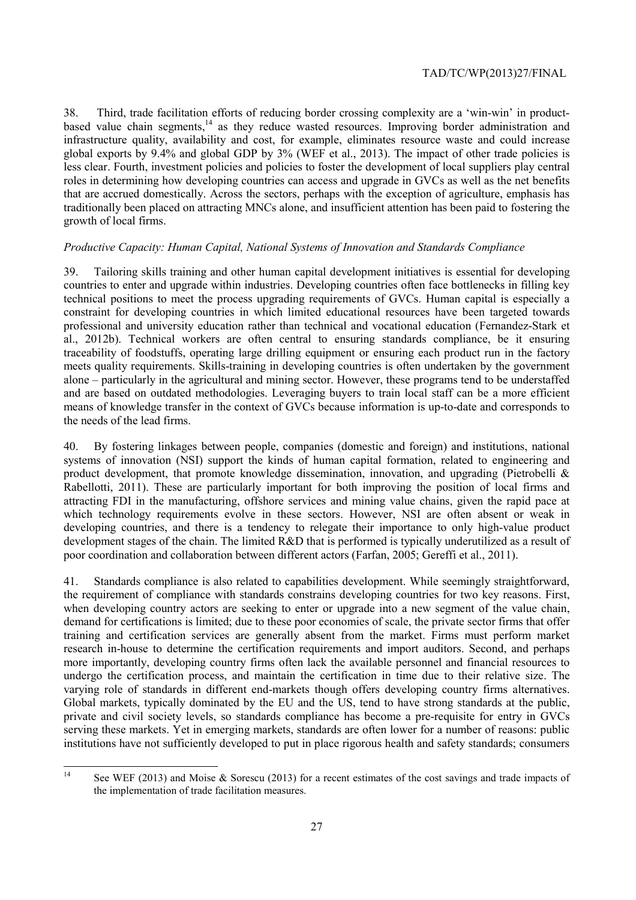38. Third, trade facilitation efforts of reducing border crossing complexity are a 'win-win' in productbased value chain segments, $14$  as they reduce wasted resources. Improving border administration and infrastructure quality, availability and cost, for example, eliminates resource waste and could increase global exports by 9.4% and global GDP by 3% (WEF et al., 2013). The impact of other trade policies is less clear. Fourth, investment policies and policies to foster the development of local suppliers play central roles in determining how developing countries can access and upgrade in GVCs as well as the net benefits that are accrued domestically. Across the sectors, perhaps with the exception of agriculture, emphasis has traditionally been placed on attracting MNCs alone, and insufficient attention has been paid to fostering the growth of local firms.

## *Productive Capacity: Human Capital, National Systems of Innovation and Standards Compliance*

39. Tailoring skills training and other human capital development initiatives is essential for developing countries to enter and upgrade within industries. Developing countries often face bottlenecks in filling key technical positions to meet the process upgrading requirements of GVCs. Human capital is especially a constraint for developing countries in which limited educational resources have been targeted towards professional and university education rather than technical and vocational education (Fernandez-Stark et al., 2012b). Technical workers are often central to ensuring standards compliance, be it ensuring traceability of foodstuffs, operating large drilling equipment or ensuring each product run in the factory meets quality requirements. Skills-training in developing countries is often undertaken by the government alone – particularly in the agricultural and mining sector. However, these programs tend to be understaffed and are based on outdated methodologies. Leveraging buyers to train local staff can be a more efficient means of knowledge transfer in the context of GVCs because information is up-to-date and corresponds to the needs of the lead firms.

40. By fostering linkages between people, companies (domestic and foreign) and institutions, national systems of innovation (NSI) support the kinds of human capital formation, related to engineering and product development, that promote knowledge dissemination, innovation, and upgrading (Pietrobelli & Rabellotti, 2011). These are particularly important for both improving the position of local firms and attracting FDI in the manufacturing, offshore services and mining value chains, given the rapid pace at which technology requirements evolve in these sectors. However, NSI are often absent or weak in developing countries, and there is a tendency to relegate their importance to only high-value product development stages of the chain. The limited R&D that is performed is typically underutilized as a result of poor coordination and collaboration between different actors (Farfan, 2005; Gereffi et al., 2011).

41. Standards compliance is also related to capabilities development. While seemingly straightforward, the requirement of compliance with standards constrains developing countries for two key reasons. First, when developing country actors are seeking to enter or upgrade into a new segment of the value chain, demand for certifications is limited; due to these poor economies of scale, the private sector firms that offer training and certification services are generally absent from the market. Firms must perform market research in-house to determine the certification requirements and import auditors. Second, and perhaps more importantly, developing country firms often lack the available personnel and financial resources to undergo the certification process, and maintain the certification in time due to their relative size. The varying role of standards in different end-markets though offers developing country firms alternatives. Global markets, typically dominated by the EU and the US, tend to have strong standards at the public, private and civil society levels, so standards compliance has become a pre-requisite for entry in GVCs serving these markets. Yet in emerging markets, standards are often lower for a number of reasons: public institutions have not sufficiently developed to put in place rigorous health and safety standards; consumers

 $14$ See WEF (2013) and Moise & Sorescu (2013) for a recent estimates of the cost savings and trade impacts of the implementation of trade facilitation measures.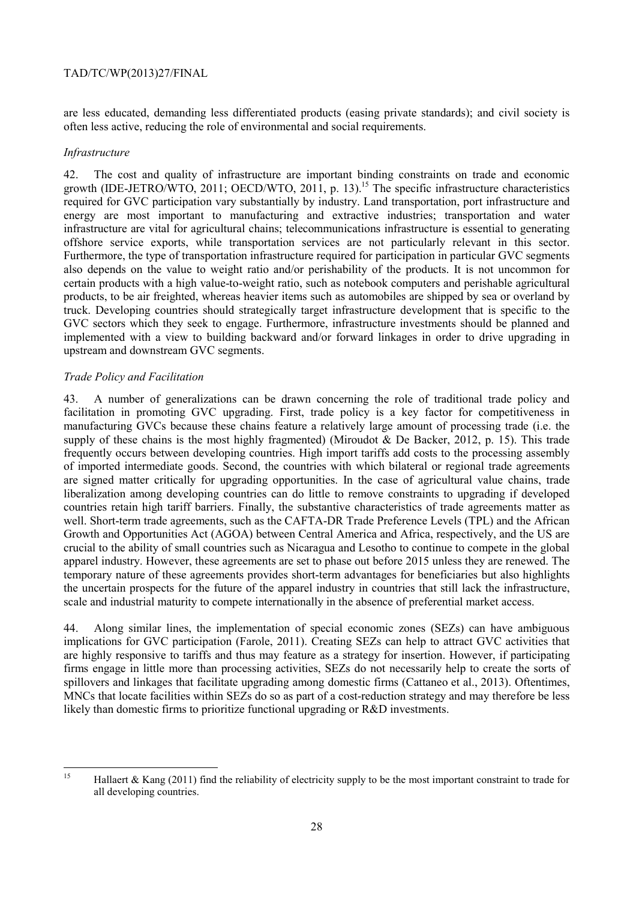are less educated, demanding less differentiated products (easing private standards); and civil society is often less active, reducing the role of environmental and social requirements.

#### *Infrastructure*

42. The cost and quality of infrastructure are important binding constraints on trade and economic growth (IDE-JETRO/WTO, 2011; OECD/WTO, 2011, p. 13).<sup>15</sup> The specific infrastructure characteristics required for GVC participation vary substantially by industry. Land transportation, port infrastructure and energy are most important to manufacturing and extractive industries; transportation and water infrastructure are vital for agricultural chains; telecommunications infrastructure is essential to generating offshore service exports, while transportation services are not particularly relevant in this sector. Furthermore, the type of transportation infrastructure required for participation in particular GVC segments also depends on the value to weight ratio and/or perishability of the products. It is not uncommon for certain products with a high value-to-weight ratio, such as notebook computers and perishable agricultural products, to be air freighted, whereas heavier items such as automobiles are shipped by sea or overland by truck. Developing countries should strategically target infrastructure development that is specific to the GVC sectors which they seek to engage. Furthermore, infrastructure investments should be planned and implemented with a view to building backward and/or forward linkages in order to drive upgrading in upstream and downstream GVC segments.

#### *Trade Policy and Facilitation*

43. A number of generalizations can be drawn concerning the role of traditional trade policy and facilitation in promoting GVC upgrading. First, trade policy is a key factor for competitiveness in manufacturing GVCs because these chains feature a relatively large amount of processing trade (i.e. the supply of these chains is the most highly fragmented) (Miroudot & De Backer, 2012, p. 15). This trade frequently occurs between developing countries. High import tariffs add costs to the processing assembly of imported intermediate goods. Second, the countries with which bilateral or regional trade agreements are signed matter critically for upgrading opportunities. In the case of agricultural value chains, trade liberalization among developing countries can do little to remove constraints to upgrading if developed countries retain high tariff barriers. Finally, the substantive characteristics of trade agreements matter as well. Short-term trade agreements, such as the CAFTA-DR Trade Preference Levels (TPL) and the African Growth and Opportunities Act (AGOA) between Central America and Africa, respectively, and the US are crucial to the ability of small countries such as Nicaragua and Lesotho to continue to compete in the global apparel industry. However, these agreements are set to phase out before 2015 unless they are renewed. The temporary nature of these agreements provides short-term advantages for beneficiaries but also highlights the uncertain prospects for the future of the apparel industry in countries that still lack the infrastructure, scale and industrial maturity to compete internationally in the absence of preferential market access.

44. Along similar lines, the implementation of special economic zones (SEZs) can have ambiguous implications for GVC participation (Farole, 2011). Creating SEZs can help to attract GVC activities that are highly responsive to tariffs and thus may feature as a strategy for insertion. However, if participating firms engage in little more than processing activities, SEZs do not necessarily help to create the sorts of spillovers and linkages that facilitate upgrading among domestic firms (Cattaneo et al., 2013). Oftentimes, MNCs that locate facilities within SEZs do so as part of a cost-reduction strategy and may therefore be less likely than domestic firms to prioritize functional upgrading or R&D investments.

<sup>15</sup> 15 Hallaert & Kang (2011) find the reliability of electricity supply to be the most important constraint to trade for all developing countries.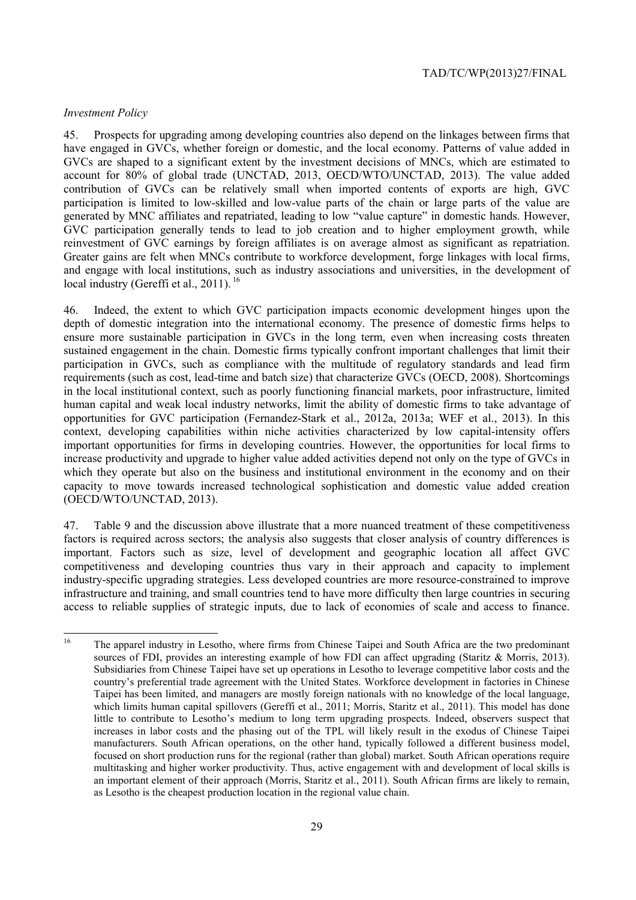#### *Investment Policy*

45. Prospects for upgrading among developing countries also depend on the linkages between firms that have engaged in GVCs, whether foreign or domestic, and the local economy. Patterns of value added in GVCs are shaped to a significant extent by the investment decisions of MNCs, which are estimated to account for 80% of global trade (UNCTAD, 2013, OECD/WTO/UNCTAD, 2013). The value added contribution of GVCs can be relatively small when imported contents of exports are high, GVC participation is limited to low-skilled and low-value parts of the chain or large parts of the value are generated by MNC affiliates and repatriated, leading to low "value capture" in domestic hands. However, GVC participation generally tends to lead to job creation and to higher employment growth, while reinvestment of GVC earnings by foreign affiliates is on average almost as significant as repatriation. Greater gains are felt when MNCs contribute to workforce development, forge linkages with local firms, and engage with local institutions, such as industry associations and universities, in the development of local industry (Gereffi et al., 2011).<sup>16</sup>

46. Indeed, the extent to which GVC participation impacts economic development hinges upon the depth of domestic integration into the international economy. The presence of domestic firms helps to ensure more sustainable participation in GVCs in the long term, even when increasing costs threaten sustained engagement in the chain. Domestic firms typically confront important challenges that limit their participation in GVCs, such as compliance with the multitude of regulatory standards and lead firm requirements (such as cost, lead-time and batch size) that characterize GVCs (OECD, 2008). Shortcomings in the local institutional context, such as poorly functioning financial markets, poor infrastructure, limited human capital and weak local industry networks, limit the ability of domestic firms to take advantage of opportunities for GVC participation (Fernandez-Stark et al., 2012a, 2013a; WEF et al., 2013). In this context, developing capabilities within niche activities characterized by low capital-intensity offers important opportunities for firms in developing countries. However, the opportunities for local firms to increase productivity and upgrade to higher value added activities depend not only on the type of GVCs in which they operate but also on the business and institutional environment in the economy and on their capacity to move towards increased technological sophistication and domestic value added creation (OECD/WTO/UNCTAD, 2013).

47. Table 9 and the discussion above illustrate that a more nuanced treatment of these competitiveness factors is required across sectors; the analysis also suggests that closer analysis of country differences is important. Factors such as size, level of development and geographic location all affect GVC competitiveness and developing countries thus vary in their approach and capacity to implement industry-specific upgrading strategies. Less developed countries are more resource-constrained to improve infrastructure and training, and small countries tend to have more difficulty then large countries in securing access to reliable supplies of strategic inputs, due to lack of economies of scale and access to finance.

 $\frac{1}{16}$ 16 The apparel industry in Lesotho, where firms from Chinese Taipei and South Africa are the two predominant sources of FDI, provides an interesting example of how FDI can affect upgrading (Staritz & Morris, 2013). Subsidiaries from Chinese Taipei have set up operations in Lesotho to leverage competitive labor costs and the country's preferential trade agreement with the United States. Workforce development in factories in Chinese Taipei has been limited, and managers are mostly foreign nationals with no knowledge of the local language, which limits human capital spillovers (Gereffi et al., 2011; Morris, Staritz et al., 2011). This model has done little to contribute to Lesotho's medium to long term upgrading prospects. Indeed, observers suspect that increases in labor costs and the phasing out of the TPL will likely result in the exodus of Chinese Taipei manufacturers. South African operations, on the other hand, typically followed a different business model, focused on short production runs for the regional (rather than global) market. South African operations require multitasking and higher worker productivity. Thus, active engagement with and development of local skills is an important element of their approach (Morris, Staritz et al., 2011). South African firms are likely to remain, as Lesotho is the cheapest production location in the regional value chain.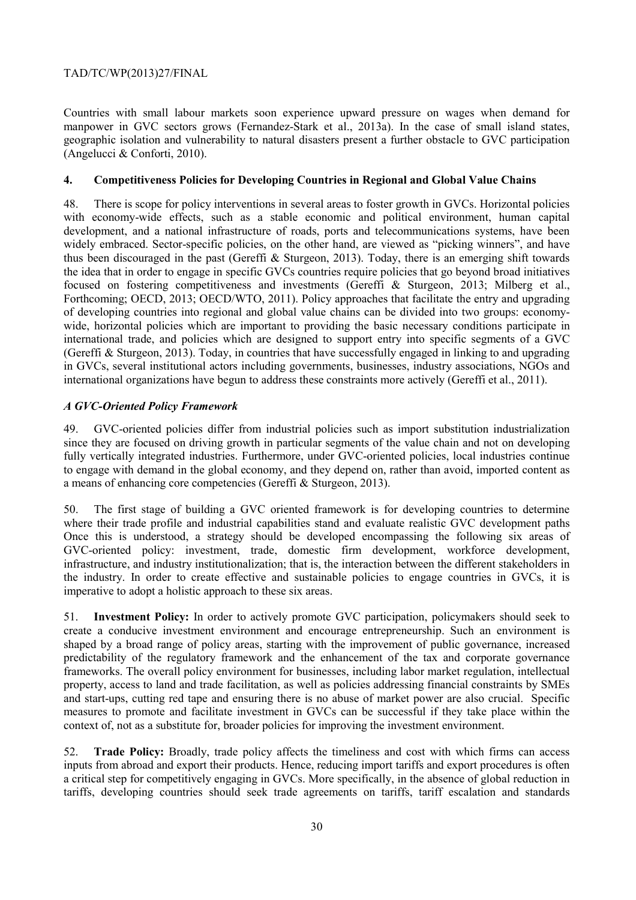Countries with small labour markets soon experience upward pressure on wages when demand for manpower in GVC sectors grows (Fernandez-Stark et al., 2013a). In the case of small island states, geographic isolation and vulnerability to natural disasters present a further obstacle to GVC participation (Angelucci & Conforti, 2010).

#### **4. Competitiveness Policies for Developing Countries in Regional and Global Value Chains**

48. There is scope for policy interventions in several areas to foster growth in GVCs. Horizontal policies with economy-wide effects, such as a stable economic and political environment, human capital development, and a national infrastructure of roads, ports and telecommunications systems, have been widely embraced. Sector-specific policies, on the other hand, are viewed as "picking winners", and have thus been discouraged in the past (Gereffi  $\&$  Sturgeon, 2013). Today, there is an emerging shift towards the idea that in order to engage in specific GVCs countries require policies that go beyond broad initiatives focused on fostering competitiveness and investments (Gereffi & Sturgeon, 2013; Milberg et al., Forthcoming; OECD, 2013; OECD/WTO, 2011). Policy approaches that facilitate the entry and upgrading of developing countries into regional and global value chains can be divided into two groups: economywide, horizontal policies which are important to providing the basic necessary conditions participate in international trade, and policies which are designed to support entry into specific segments of a GVC (Gereffi & Sturgeon, 2013). Today, in countries that have successfully engaged in linking to and upgrading in GVCs, several institutional actors including governments, businesses, industry associations, NGOs and international organizations have begun to address these constraints more actively (Gereffi et al., 2011).

## *A GVC-Oriented Policy Framework*

49. GVC-oriented policies differ from industrial policies such as import substitution industrialization since they are focused on driving growth in particular segments of the value chain and not on developing fully vertically integrated industries. Furthermore, under GVC-oriented policies, local industries continue to engage with demand in the global economy, and they depend on, rather than avoid, imported content as a means of enhancing core competencies (Gereffi & Sturgeon, 2013).

50. The first stage of building a GVC oriented framework is for developing countries to determine where their trade profile and industrial capabilities stand and evaluate realistic GVC development paths Once this is understood, a strategy should be developed encompassing the following six areas of GVC-oriented policy: investment, trade, domestic firm development, workforce development, infrastructure, and industry institutionalization; that is, the interaction between the different stakeholders in the industry. In order to create effective and sustainable policies to engage countries in GVCs, it is imperative to adopt a holistic approach to these six areas.

51. **Investment Policy:** In order to actively promote GVC participation, policymakers should seek to create a conducive investment environment and encourage entrepreneurship. Such an environment is shaped by a broad range of policy areas, starting with the improvement of public governance, increased predictability of the regulatory framework and the enhancement of the tax and corporate governance frameworks. The overall policy environment for businesses, including labor market regulation, intellectual property, access to land and trade facilitation, as well as policies addressing financial constraints by SMEs and start-ups, cutting red tape and ensuring there is no abuse of market power are also crucial. Specific measures to promote and facilitate investment in GVCs can be successful if they take place within the context of, not as a substitute for, broader policies for improving the investment environment.

52. **Trade Policy:** Broadly, trade policy affects the timeliness and cost with which firms can access inputs from abroad and export their products. Hence, reducing import tariffs and export procedures is often a critical step for competitively engaging in GVCs. More specifically, in the absence of global reduction in tariffs, developing countries should seek trade agreements on tariffs, tariff escalation and standards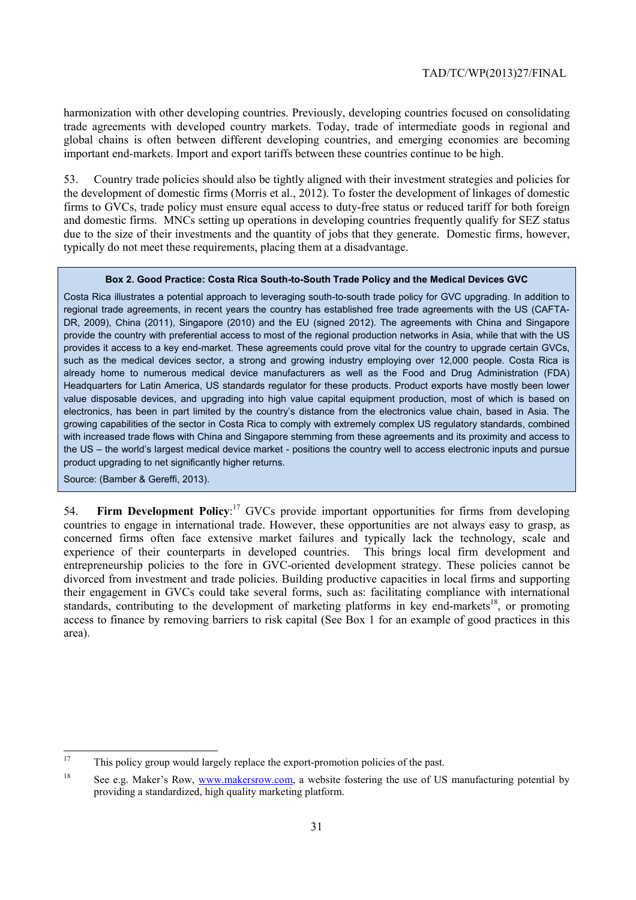harmonization with other developing countries. Previously, developing countries focused on consolidating trade agreements with developed country markets. Today, trade of intermediate goods in regional and global chains is often between different developing countries, and emerging economies are becoming important end-markets. Import and export tariffs between these countries continue to be high.

53. Country trade policies should also be tightly aligned with their investment strategies and policies for the development of domestic firms (Morris et al., 2012). To foster the development of linkages of domestic firms to GVCs, trade policy must ensure equal access to duty-free status or reduced tariff for both foreign and domestic firms. MNCs setting up operations in developing countries frequently qualify for SEZ status due to the size of their investments and the quantity of jobs that they generate. Domestic firms, however, typically do not meet these requirements, placing them at a disadvantage.

#### **Box 2. Good Practice: Costa Rica South-to-South Trade Policy and the Medical Devices GVC**

Costa Rica illustrates a potential approach to leveraging south-to-south trade policy for GVC upgrading. In addition to regional trade agreements, in recent years the country has established free trade agreements with the US (CAFTA-DR, 2009), China (2011), Singapore (2010) and the EU (signed 2012). The agreements with China and Singapore provide the country with preferential access to most of the regional production networks in Asia, while that with the US provides it access to a key end-market. These agreements could prove vital for the country to upgrade certain GVCs, such as the medical devices sector, a strong and growing industry employing over 12,000 people. Costa Rica is already home to numerous medical device manufacturers as well as the Food and Drug Administration (FDA) Headquarters for Latin America, US standards regulator for these products. Product exports have mostly been lower value disposable devices, and upgrading into high value capital equipment production, most of which is based on electronics, has been in part limited by the country's distance from the electronics value chain, based in Asia. The growing capabilities of the sector in Costa Rica to comply with extremely complex US regulatory standards, combined with increased trade flows with China and Singapore stemming from these agreements and its proximity and access to the US – the world's largest medical device market - positions the country well to access electronic inputs and pursue product upgrading to net significantly higher returns.

Source: (Bamber & Gereffi, 2013).

54. **Firm Development Policy**: 17 GVCs provide important opportunities for firms from developing countries to engage in international trade. However, these opportunities are not always easy to grasp, as concerned firms often face extensive market failures and typically lack the technology, scale and experience of their counterparts in developed countries. This brings local firm development and entrepreneurship policies to the fore in GVC-oriented development strategy. These policies cannot be divorced from investment and trade policies. Building productive capacities in local firms and supporting their engagement in GVCs could take several forms, such as: facilitating compliance with international standards, contributing to the development of marketing platforms in key end-markets<sup>18</sup>, or promoting access to finance by removing barriers to risk capital (See Box 1 for an example of good practices in this area).

 $17$ This policy group would largely replace the export-promotion policies of the past.

<sup>&</sup>lt;sup>18</sup> See e.g. Maker's Row, www.makersrow.com, a website fostering the use of US manufacturing potential by providing a standardized, high quality marketing platform.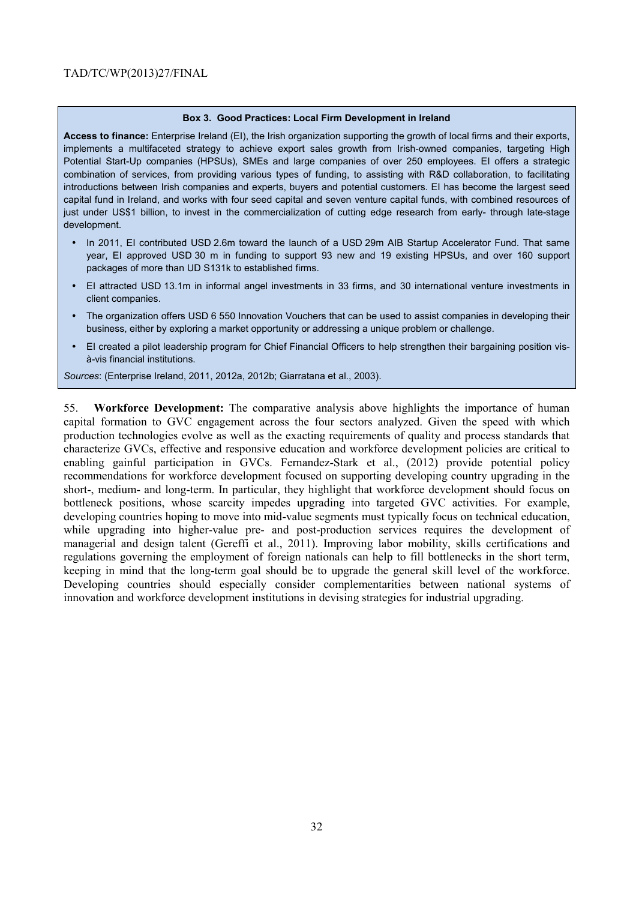#### **Box 3. Good Practices: Local Firm Development in Ireland**

**Access to finance:** Enterprise Ireland (EI), the Irish organization supporting the growth of local firms and their exports, implements a multifaceted strategy to achieve export sales growth from Irish-owned companies, targeting High Potential Start-Up companies (HPSUs), SMEs and large companies of over 250 employees. EI offers a strategic combination of services, from providing various types of funding, to assisting with R&D collaboration, to facilitating introductions between Irish companies and experts, buyers and potential customers. EI has become the largest seed capital fund in Ireland, and works with four seed capital and seven venture capital funds, with combined resources of just under US\$1 billion, to invest in the commercialization of cutting edge research from early- through late-stage development.

- In 2011, EI contributed USD 2.6m toward the launch of a USD 29m AIB Startup Accelerator Fund. That same year, EI approved USD 30 m in funding to support 93 new and 19 existing HPSUs, and over 160 support packages of more than UD S131k to established firms.
- EI attracted USD 13.1m in informal angel investments in 33 firms, and 30 international venture investments in client companies.
- The organization offers USD 6 550 Innovation Vouchers that can be used to assist companies in developing their business, either by exploring a market opportunity or addressing a unique problem or challenge.
- EI created a pilot leadership program for Chief Financial Officers to help strengthen their bargaining position visà-vis financial institutions.

*Sources*: (Enterprise Ireland, 2011, 2012a, 2012b; Giarratana et al., 2003).

55. **Workforce Development:** The comparative analysis above highlights the importance of human capital formation to GVC engagement across the four sectors analyzed. Given the speed with which production technologies evolve as well as the exacting requirements of quality and process standards that characterize GVCs, effective and responsive education and workforce development policies are critical to enabling gainful participation in GVCs. Fernandez-Stark et al., (2012) provide potential policy recommendations for workforce development focused on supporting developing country upgrading in the short-, medium- and long-term. In particular, they highlight that workforce development should focus on bottleneck positions, whose scarcity impedes upgrading into targeted GVC activities. For example, developing countries hoping to move into mid-value segments must typically focus on technical education, while upgrading into higher-value pre- and post-production services requires the development of managerial and design talent (Gereffi et al., 2011). Improving labor mobility, skills certifications and regulations governing the employment of foreign nationals can help to fill bottlenecks in the short term, keeping in mind that the long-term goal should be to upgrade the general skill level of the workforce. Developing countries should especially consider complementarities between national systems of innovation and workforce development institutions in devising strategies for industrial upgrading.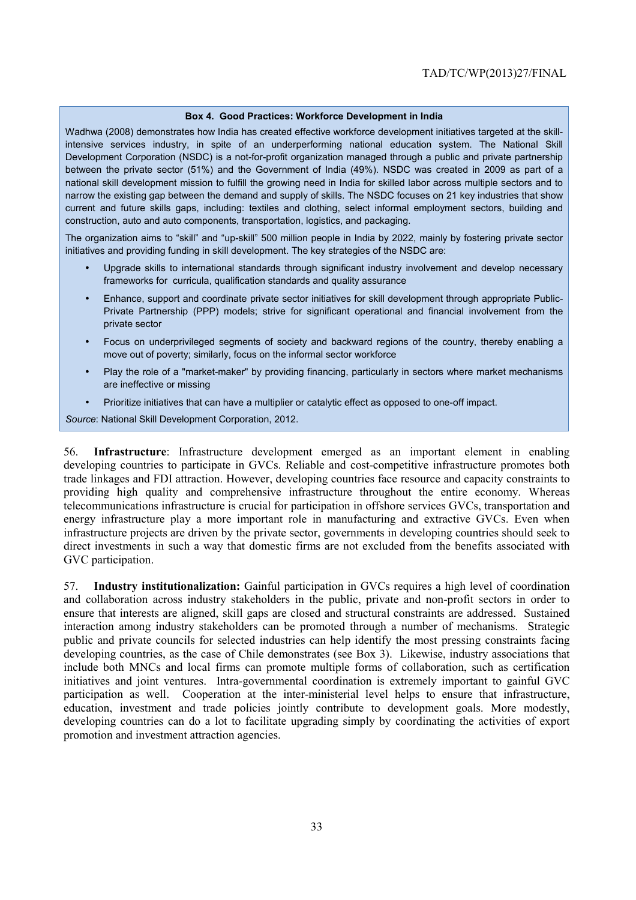#### **Box 4. Good Practices: Workforce Development in India**

Wadhwa (2008) demonstrates how India has created effective workforce development initiatives targeted at the skillintensive services industry, in spite of an underperforming national education system. The National Skill Development Corporation (NSDC) is a not-for-profit organization managed through a public and private partnership between the private sector (51%) and the Government of India (49%). NSDC was created in 2009 as part of a national skill development mission to fulfill the growing need in India for skilled labor across multiple sectors and to narrow the existing gap between the demand and supply of skills. The NSDC focuses on 21 key industries that show current and future skills gaps, including: textiles and clothing, select informal employment sectors, building and construction, auto and auto components, transportation, logistics, and packaging.

The organization aims to "skill" and "up-skill" 500 million people in India by 2022, mainly by fostering private sector initiatives and providing funding in skill development. The key strategies of the NSDC are:

- Upgrade skills to international standards through significant industry involvement and develop necessary frameworks for curricula, qualification standards and quality assurance
- Enhance, support and coordinate private sector initiatives for skill development through appropriate Public-Private Partnership (PPP) models; strive for significant operational and financial involvement from the private sector
- Focus on underprivileged segments of society and backward regions of the country, thereby enabling a move out of poverty; similarly, focus on the informal sector workforce
- Play the role of a "market-maker" by providing financing, particularly in sectors where market mechanisms are ineffective or missing
- Prioritize initiatives that can have a multiplier or catalytic effect as opposed to one-off impact.

*Source*: National Skill Development Corporation, 2012.

56. **Infrastructure**: Infrastructure development emerged as an important element in enabling developing countries to participate in GVCs. Reliable and cost-competitive infrastructure promotes both trade linkages and FDI attraction. However, developing countries face resource and capacity constraints to providing high quality and comprehensive infrastructure throughout the entire economy. Whereas telecommunications infrastructure is crucial for participation in offshore services GVCs, transportation and energy infrastructure play a more important role in manufacturing and extractive GVCs. Even when infrastructure projects are driven by the private sector, governments in developing countries should seek to direct investments in such a way that domestic firms are not excluded from the benefits associated with GVC participation.

57. **Industry institutionalization:** Gainful participation in GVCs requires a high level of coordination and collaboration across industry stakeholders in the public, private and non-profit sectors in order to ensure that interests are aligned, skill gaps are closed and structural constraints are addressed. Sustained interaction among industry stakeholders can be promoted through a number of mechanisms. Strategic public and private councils for selected industries can help identify the most pressing constraints facing developing countries, as the case of Chile demonstrates (see Box 3). Likewise, industry associations that include both MNCs and local firms can promote multiple forms of collaboration, such as certification initiatives and joint ventures. Intra-governmental coordination is extremely important to gainful GVC participation as well. Cooperation at the inter-ministerial level helps to ensure that infrastructure, education, investment and trade policies jointly contribute to development goals. More modestly, developing countries can do a lot to facilitate upgrading simply by coordinating the activities of export promotion and investment attraction agencies.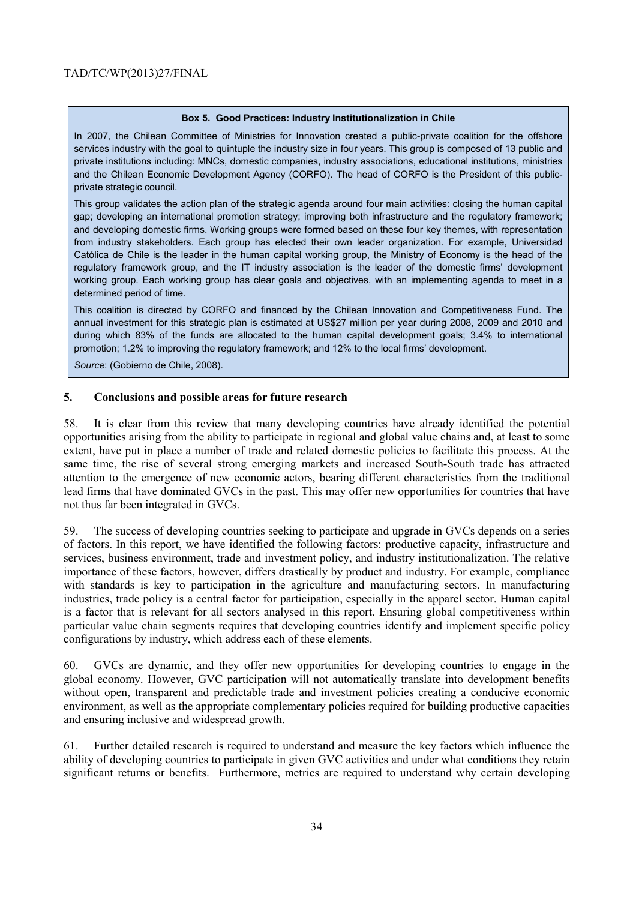#### **Box 5. Good Practices: Industry Institutionalization in Chile**

In 2007, the Chilean Committee of Ministries for Innovation created a public-private coalition for the offshore services industry with the goal to quintuple the industry size in four years. This group is composed of 13 public and private institutions including: MNCs, domestic companies, industry associations, educational institutions, ministries and the Chilean Economic Development Agency (CORFO). The head of CORFO is the President of this publicprivate strategic council.

This group validates the action plan of the strategic agenda around four main activities: closing the human capital gap; developing an international promotion strategy; improving both infrastructure and the regulatory framework; and developing domestic firms. Working groups were formed based on these four key themes, with representation from industry stakeholders. Each group has elected their own leader organization. For example, Universidad Católica de Chile is the leader in the human capital working group, the Ministry of Economy is the head of the regulatory framework group, and the IT industry association is the leader of the domestic firms' development working group. Each working group has clear goals and objectives, with an implementing agenda to meet in a determined period of time.

This coalition is directed by CORFO and financed by the Chilean Innovation and Competitiveness Fund. The annual investment for this strategic plan is estimated at US\$27 million per year during 2008, 2009 and 2010 and during which 83% of the funds are allocated to the human capital development goals; 3.4% to international promotion; 1.2% to improving the regulatory framework; and 12% to the local firms' development.

*Source*: (Gobierno de Chile, 2008).

## **5. Conclusions and possible areas for future research**

58. It is clear from this review that many developing countries have already identified the potential opportunities arising from the ability to participate in regional and global value chains and, at least to some extent, have put in place a number of trade and related domestic policies to facilitate this process. At the same time, the rise of several strong emerging markets and increased South-South trade has attracted attention to the emergence of new economic actors, bearing different characteristics from the traditional lead firms that have dominated GVCs in the past. This may offer new opportunities for countries that have not thus far been integrated in GVCs.

59. The success of developing countries seeking to participate and upgrade in GVCs depends on a series of factors. In this report, we have identified the following factors: productive capacity, infrastructure and services, business environment, trade and investment policy, and industry institutionalization. The relative importance of these factors, however, differs drastically by product and industry. For example, compliance with standards is key to participation in the agriculture and manufacturing sectors. In manufacturing industries, trade policy is a central factor for participation, especially in the apparel sector. Human capital is a factor that is relevant for all sectors analysed in this report. Ensuring global competitiveness within particular value chain segments requires that developing countries identify and implement specific policy configurations by industry, which address each of these elements.

60. GVCs are dynamic, and they offer new opportunities for developing countries to engage in the global economy. However, GVC participation will not automatically translate into development benefits without open, transparent and predictable trade and investment policies creating a conducive economic environment, as well as the appropriate complementary policies required for building productive capacities and ensuring inclusive and widespread growth.

61. Further detailed research is required to understand and measure the key factors which influence the ability of developing countries to participate in given GVC activities and under what conditions they retain significant returns or benefits. Furthermore, metrics are required to understand why certain developing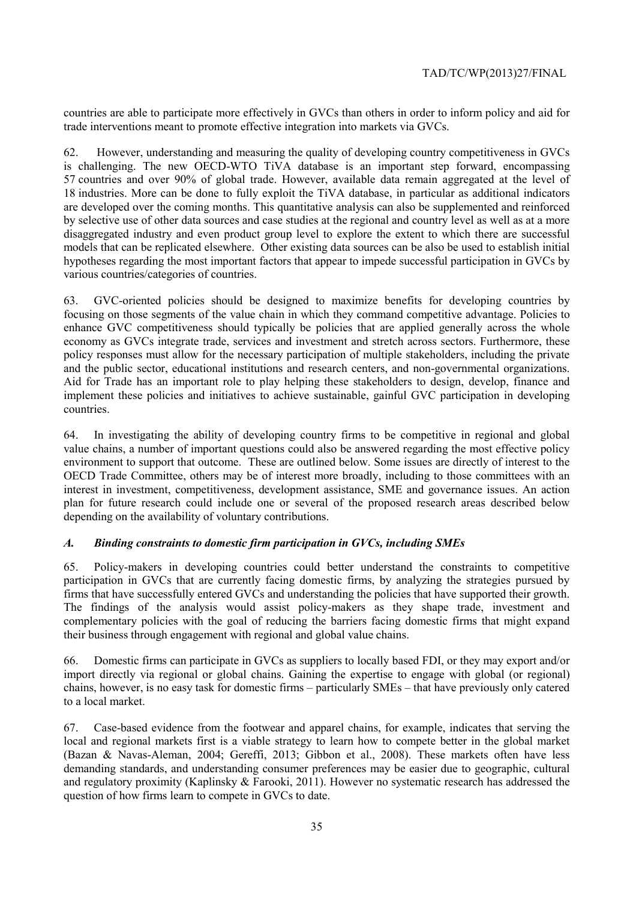countries are able to participate more effectively in GVCs than others in order to inform policy and aid for trade interventions meant to promote effective integration into markets via GVCs.

62. However, understanding and measuring the quality of developing country competitiveness in GVCs is challenging. The new OECD-WTO TiVA database is an important step forward, encompassing 57 countries and over 90% of global trade. However, available data remain aggregated at the level of 18 industries. More can be done to fully exploit the TiVA database, in particular as additional indicators are developed over the coming months. This quantitative analysis can also be supplemented and reinforced by selective use of other data sources and case studies at the regional and country level as well as at a more disaggregated industry and even product group level to explore the extent to which there are successful models that can be replicated elsewhere. Other existing data sources can be also be used to establish initial hypotheses regarding the most important factors that appear to impede successful participation in GVCs by various countries/categories of countries.

63. GVC-oriented policies should be designed to maximize benefits for developing countries by focusing on those segments of the value chain in which they command competitive advantage. Policies to enhance GVC competitiveness should typically be policies that are applied generally across the whole economy as GVCs integrate trade, services and investment and stretch across sectors. Furthermore, these policy responses must allow for the necessary participation of multiple stakeholders, including the private and the public sector, educational institutions and research centers, and non-governmental organizations. Aid for Trade has an important role to play helping these stakeholders to design, develop, finance and implement these policies and initiatives to achieve sustainable, gainful GVC participation in developing countries.

64. In investigating the ability of developing country firms to be competitive in regional and global value chains, a number of important questions could also be answered regarding the most effective policy environment to support that outcome. These are outlined below. Some issues are directly of interest to the OECD Trade Committee, others may be of interest more broadly, including to those committees with an interest in investment, competitiveness, development assistance, SME and governance issues. An action plan for future research could include one or several of the proposed research areas described below depending on the availability of voluntary contributions.

#### *A. Binding constraints to domestic firm participation in GVCs, including SMEs*

65. Policy-makers in developing countries could better understand the constraints to competitive participation in GVCs that are currently facing domestic firms, by analyzing the strategies pursued by firms that have successfully entered GVCs and understanding the policies that have supported their growth. The findings of the analysis would assist policy-makers as they shape trade, investment and complementary policies with the goal of reducing the barriers facing domestic firms that might expand their business through engagement with regional and global value chains.

66. Domestic firms can participate in GVCs as suppliers to locally based FDI, or they may export and/or import directly via regional or global chains. Gaining the expertise to engage with global (or regional) chains, however, is no easy task for domestic firms – particularly SMEs – that have previously only catered to a local market.

67. Case-based evidence from the footwear and apparel chains, for example, indicates that serving the local and regional markets first is a viable strategy to learn how to compete better in the global market (Bazan & Navas-Aleman, 2004; Gereffi, 2013; Gibbon et al., 2008). These markets often have less demanding standards, and understanding consumer preferences may be easier due to geographic, cultural and regulatory proximity (Kaplinsky & Farooki, 2011). However no systematic research has addressed the question of how firms learn to compete in GVCs to date.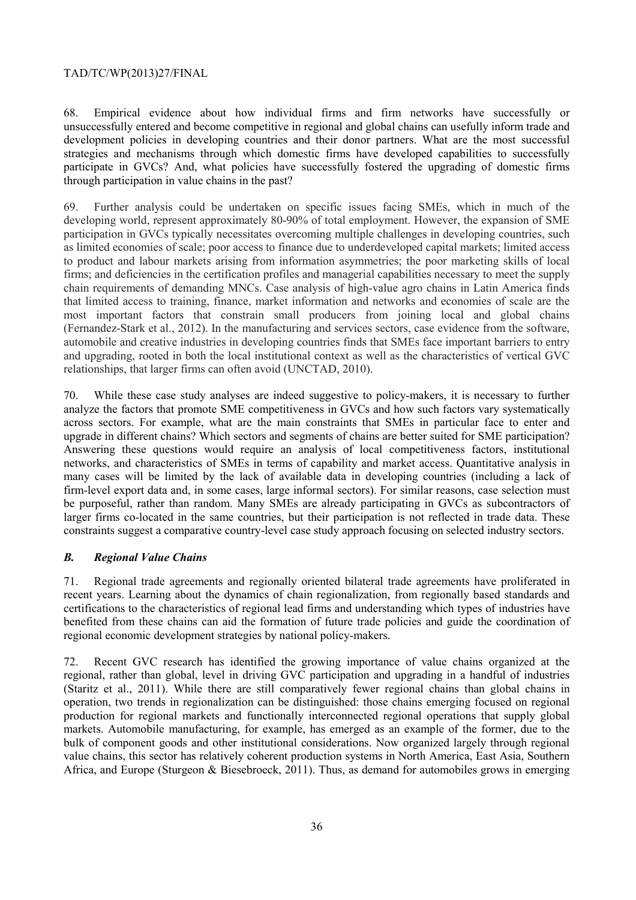68. Empirical evidence about how individual firms and firm networks have successfully or unsuccessfully entered and become competitive in regional and global chains can usefully inform trade and development policies in developing countries and their donor partners. What are the most successful strategies and mechanisms through which domestic firms have developed capabilities to successfully participate in GVCs? And, what policies have successfully fostered the upgrading of domestic firms through participation in value chains in the past?

69. Further analysis could be undertaken on specific issues facing SMEs, which in much of the developing world, represent approximately 80-90% of total employment. However, the expansion of SME participation in GVCs typically necessitates overcoming multiple challenges in developing countries, such as limited economies of scale; poor access to finance due to underdeveloped capital markets; limited access to product and labour markets arising from information asymmetries; the poor marketing skills of local firms; and deficiencies in the certification profiles and managerial capabilities necessary to meet the supply chain requirements of demanding MNCs. Case analysis of high-value agro chains in Latin America finds that limited access to training, finance, market information and networks and economies of scale are the most important factors that constrain small producers from joining local and global chains (Fernandez-Stark et al., 2012). In the manufacturing and services sectors, case evidence from the software, automobile and creative industries in developing countries finds that SMEs face important barriers to entry and upgrading, rooted in both the local institutional context as well as the characteristics of vertical GVC relationships, that larger firms can often avoid (UNCTAD, 2010).

70. While these case study analyses are indeed suggestive to policy-makers, it is necessary to further analyze the factors that promote SME competitiveness in GVCs and how such factors vary systematically across sectors. For example, what are the main constraints that SMEs in particular face to enter and upgrade in different chains? Which sectors and segments of chains are better suited for SME participation? Answering these questions would require an analysis of local competitiveness factors, institutional networks, and characteristics of SMEs in terms of capability and market access. Quantitative analysis in many cases will be limited by the lack of available data in developing countries (including a lack of firm-level export data and, in some cases, large informal sectors). For similar reasons, case selection must be purposeful, rather than random. Many SMEs are already participating in GVCs as subcontractors of larger firms co-located in the same countries, but their participation is not reflected in trade data. These constraints suggest a comparative country-level case study approach focusing on selected industry sectors.

#### *B. Regional Value Chains*

71. Regional trade agreements and regionally oriented bilateral trade agreements have proliferated in recent years. Learning about the dynamics of chain regionalization, from regionally based standards and certifications to the characteristics of regional lead firms and understanding which types of industries have benefited from these chains can aid the formation of future trade policies and guide the coordination of regional economic development strategies by national policy-makers.

72. Recent GVC research has identified the growing importance of value chains organized at the regional, rather than global, level in driving GVC participation and upgrading in a handful of industries (Staritz et al., 2011). While there are still comparatively fewer regional chains than global chains in operation, two trends in regionalization can be distinguished: those chains emerging focused on regional production for regional markets and functionally interconnected regional operations that supply global markets. Automobile manufacturing, for example, has emerged as an example of the former, due to the bulk of component goods and other institutional considerations. Now organized largely through regional value chains, this sector has relatively coherent production systems in North America, East Asia, Southern Africa, and Europe (Sturgeon & Biesebroeck, 2011). Thus, as demand for automobiles grows in emerging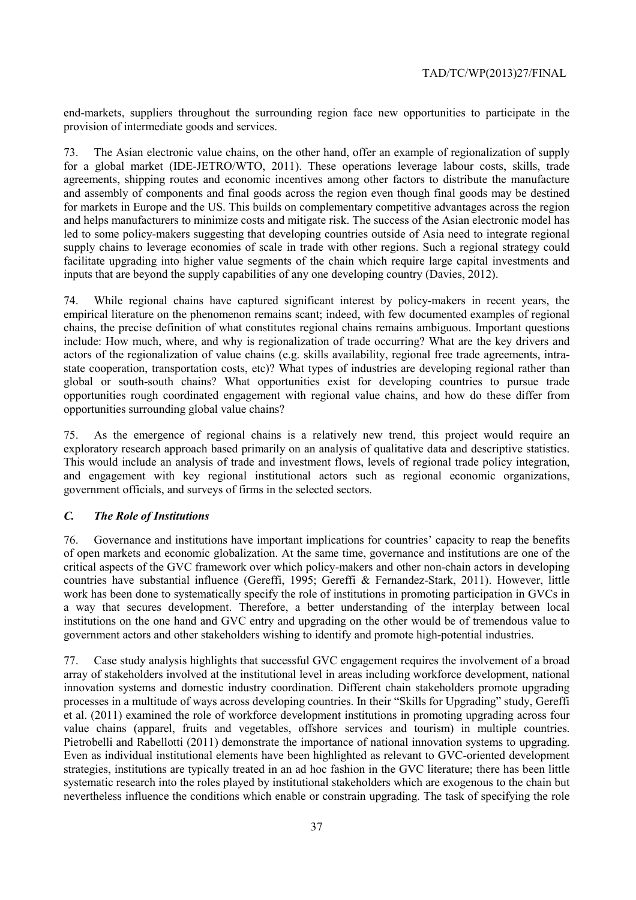end-markets, suppliers throughout the surrounding region face new opportunities to participate in the provision of intermediate goods and services.

73. The Asian electronic value chains, on the other hand, offer an example of regionalization of supply for a global market (IDE-JETRO/WTO, 2011). These operations leverage labour costs, skills, trade agreements, shipping routes and economic incentives among other factors to distribute the manufacture and assembly of components and final goods across the region even though final goods may be destined for markets in Europe and the US. This builds on complementary competitive advantages across the region and helps manufacturers to minimize costs and mitigate risk. The success of the Asian electronic model has led to some policy-makers suggesting that developing countries outside of Asia need to integrate regional supply chains to leverage economies of scale in trade with other regions. Such a regional strategy could facilitate upgrading into higher value segments of the chain which require large capital investments and inputs that are beyond the supply capabilities of any one developing country (Davies, 2012).

74. While regional chains have captured significant interest by policy-makers in recent years, the empirical literature on the phenomenon remains scant; indeed, with few documented examples of regional chains, the precise definition of what constitutes regional chains remains ambiguous. Important questions include: How much, where, and why is regionalization of trade occurring? What are the key drivers and actors of the regionalization of value chains (e.g. skills availability, regional free trade agreements, intrastate cooperation, transportation costs, etc)? What types of industries are developing regional rather than global or south-south chains? What opportunities exist for developing countries to pursue trade opportunities rough coordinated engagement with regional value chains, and how do these differ from opportunities surrounding global value chains?

75. As the emergence of regional chains is a relatively new trend, this project would require an exploratory research approach based primarily on an analysis of qualitative data and descriptive statistics. This would include an analysis of trade and investment flows, levels of regional trade policy integration, and engagement with key regional institutional actors such as regional economic organizations, government officials, and surveys of firms in the selected sectors.

# *C. The Role of Institutions*

76. Governance and institutions have important implications for countries' capacity to reap the benefits of open markets and economic globalization. At the same time, governance and institutions are one of the critical aspects of the GVC framework over which policy-makers and other non-chain actors in developing countries have substantial influence (Gereffi, 1995; Gereffi & Fernandez-Stark, 2011). However, little work has been done to systematically specify the role of institutions in promoting participation in GVCs in a way that secures development. Therefore, a better understanding of the interplay between local institutions on the one hand and GVC entry and upgrading on the other would be of tremendous value to government actors and other stakeholders wishing to identify and promote high-potential industries.

77. Case study analysis highlights that successful GVC engagement requires the involvement of a broad array of stakeholders involved at the institutional level in areas including workforce development, national innovation systems and domestic industry coordination. Different chain stakeholders promote upgrading processes in a multitude of ways across developing countries. In their "Skills for Upgrading" study, Gereffi et al. (2011) examined the role of workforce development institutions in promoting upgrading across four value chains (apparel, fruits and vegetables, offshore services and tourism) in multiple countries. Pietrobelli and Rabellotti (2011) demonstrate the importance of national innovation systems to upgrading. Even as individual institutional elements have been highlighted as relevant to GVC-oriented development strategies, institutions are typically treated in an ad hoc fashion in the GVC literature; there has been little systematic research into the roles played by institutional stakeholders which are exogenous to the chain but nevertheless influence the conditions which enable or constrain upgrading. The task of specifying the role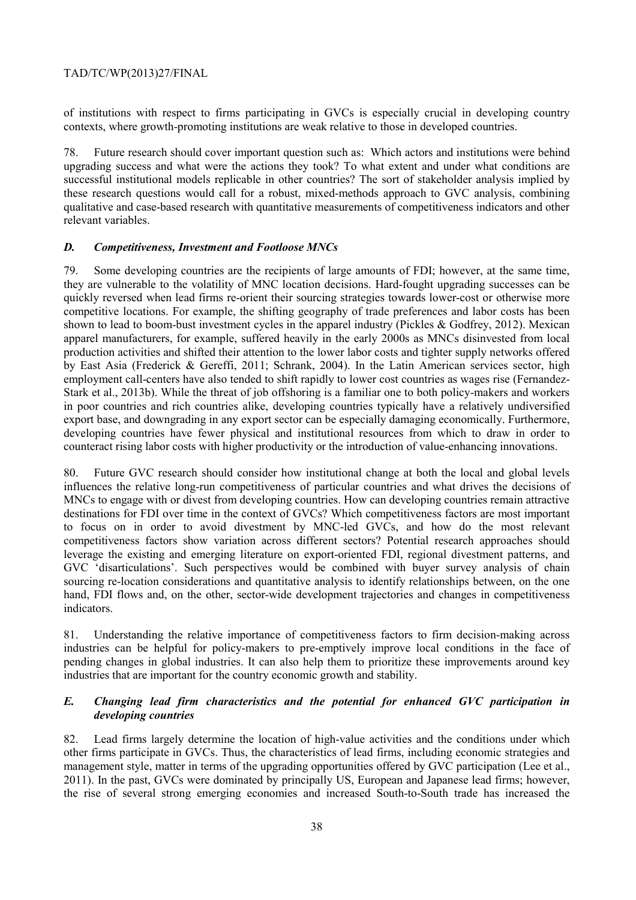of institutions with respect to firms participating in GVCs is especially crucial in developing country contexts, where growth-promoting institutions are weak relative to those in developed countries.

78. Future research should cover important question such as: Which actors and institutions were behind upgrading success and what were the actions they took? To what extent and under what conditions are successful institutional models replicable in other countries? The sort of stakeholder analysis implied by these research questions would call for a robust, mixed-methods approach to GVC analysis, combining qualitative and case-based research with quantitative measurements of competitiveness indicators and other relevant variables.

## *D. Competitiveness, Investment and Footloose MNCs*

79. Some developing countries are the recipients of large amounts of FDI; however, at the same time, they are vulnerable to the volatility of MNC location decisions. Hard-fought upgrading successes can be quickly reversed when lead firms re-orient their sourcing strategies towards lower-cost or otherwise more competitive locations. For example, the shifting geography of trade preferences and labor costs has been shown to lead to boom-bust investment cycles in the apparel industry (Pickles & Godfrey, 2012). Mexican apparel manufacturers, for example, suffered heavily in the early 2000s as MNCs disinvested from local production activities and shifted their attention to the lower labor costs and tighter supply networks offered by East Asia (Frederick & Gereffi, 2011; Schrank, 2004). In the Latin American services sector, high employment call-centers have also tended to shift rapidly to lower cost countries as wages rise (Fernandez-Stark et al., 2013b). While the threat of job offshoring is a familiar one to both policy-makers and workers in poor countries and rich countries alike, developing countries typically have a relatively undiversified export base, and downgrading in any export sector can be especially damaging economically. Furthermore, developing countries have fewer physical and institutional resources from which to draw in order to counteract rising labor costs with higher productivity or the introduction of value-enhancing innovations.

80. Future GVC research should consider how institutional change at both the local and global levels influences the relative long-run competitiveness of particular countries and what drives the decisions of MNCs to engage with or divest from developing countries. How can developing countries remain attractive destinations for FDI over time in the context of GVCs? Which competitiveness factors are most important to focus on in order to avoid divestment by MNC-led GVCs, and how do the most relevant competitiveness factors show variation across different sectors? Potential research approaches should leverage the existing and emerging literature on export-oriented FDI, regional divestment patterns, and GVC 'disarticulations'. Such perspectives would be combined with buyer survey analysis of chain sourcing re-location considerations and quantitative analysis to identify relationships between, on the one hand, FDI flows and, on the other, sector-wide development trajectories and changes in competitiveness indicators.

81. Understanding the relative importance of competitiveness factors to firm decision-making across industries can be helpful for policy-makers to pre-emptively improve local conditions in the face of pending changes in global industries. It can also help them to prioritize these improvements around key industries that are important for the country economic growth and stability.

## *E. Changing lead firm characteristics and the potential for enhanced GVC participation in developing countries*

82. Lead firms largely determine the location of high-value activities and the conditions under which other firms participate in GVCs. Thus, the characteristics of lead firms, including economic strategies and management style, matter in terms of the upgrading opportunities offered by GVC participation (Lee et al., 2011). In the past, GVCs were dominated by principally US, European and Japanese lead firms; however, the rise of several strong emerging economies and increased South-to-South trade has increased the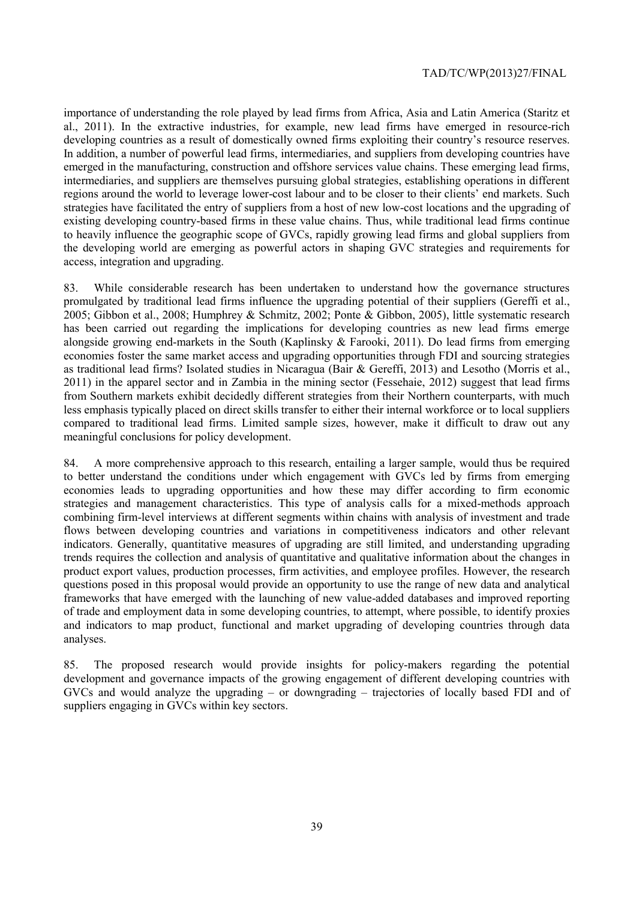importance of understanding the role played by lead firms from Africa, Asia and Latin America (Staritz et al., 2011). In the extractive industries, for example, new lead firms have emerged in resource-rich developing countries as a result of domestically owned firms exploiting their country's resource reserves. In addition, a number of powerful lead firms, intermediaries, and suppliers from developing countries have emerged in the manufacturing, construction and offshore services value chains. These emerging lead firms, intermediaries, and suppliers are themselves pursuing global strategies, establishing operations in different regions around the world to leverage lower-cost labour and to be closer to their clients' end markets. Such strategies have facilitated the entry of suppliers from a host of new low-cost locations and the upgrading of existing developing country-based firms in these value chains. Thus, while traditional lead firms continue to heavily influence the geographic scope of GVCs, rapidly growing lead firms and global suppliers from the developing world are emerging as powerful actors in shaping GVC strategies and requirements for access, integration and upgrading.

83. While considerable research has been undertaken to understand how the governance structures promulgated by traditional lead firms influence the upgrading potential of their suppliers (Gereffi et al., 2005; Gibbon et al., 2008; Humphrey & Schmitz, 2002; Ponte & Gibbon, 2005), little systematic research has been carried out regarding the implications for developing countries as new lead firms emerge alongside growing end-markets in the South (Kaplinsky & Farooki, 2011). Do lead firms from emerging economies foster the same market access and upgrading opportunities through FDI and sourcing strategies as traditional lead firms? Isolated studies in Nicaragua (Bair & Gereffi, 2013) and Lesotho (Morris et al., 2011) in the apparel sector and in Zambia in the mining sector (Fessehaie, 2012) suggest that lead firms from Southern markets exhibit decidedly different strategies from their Northern counterparts, with much less emphasis typically placed on direct skills transfer to either their internal workforce or to local suppliers compared to traditional lead firms. Limited sample sizes, however, make it difficult to draw out any meaningful conclusions for policy development.

84. A more comprehensive approach to this research, entailing a larger sample, would thus be required to better understand the conditions under which engagement with GVCs led by firms from emerging economies leads to upgrading opportunities and how these may differ according to firm economic strategies and management characteristics. This type of analysis calls for a mixed-methods approach combining firm-level interviews at different segments within chains with analysis of investment and trade flows between developing countries and variations in competitiveness indicators and other relevant indicators. Generally, quantitative measures of upgrading are still limited, and understanding upgrading trends requires the collection and analysis of quantitative and qualitative information about the changes in product export values, production processes, firm activities, and employee profiles. However, the research questions posed in this proposal would provide an opportunity to use the range of new data and analytical frameworks that have emerged with the launching of new value-added databases and improved reporting of trade and employment data in some developing countries, to attempt, where possible, to identify proxies and indicators to map product, functional and market upgrading of developing countries through data analyses.

85. The proposed research would provide insights for policy-makers regarding the potential development and governance impacts of the growing engagement of different developing countries with GVCs and would analyze the upgrading – or downgrading – trajectories of locally based FDI and of suppliers engaging in GVCs within key sectors.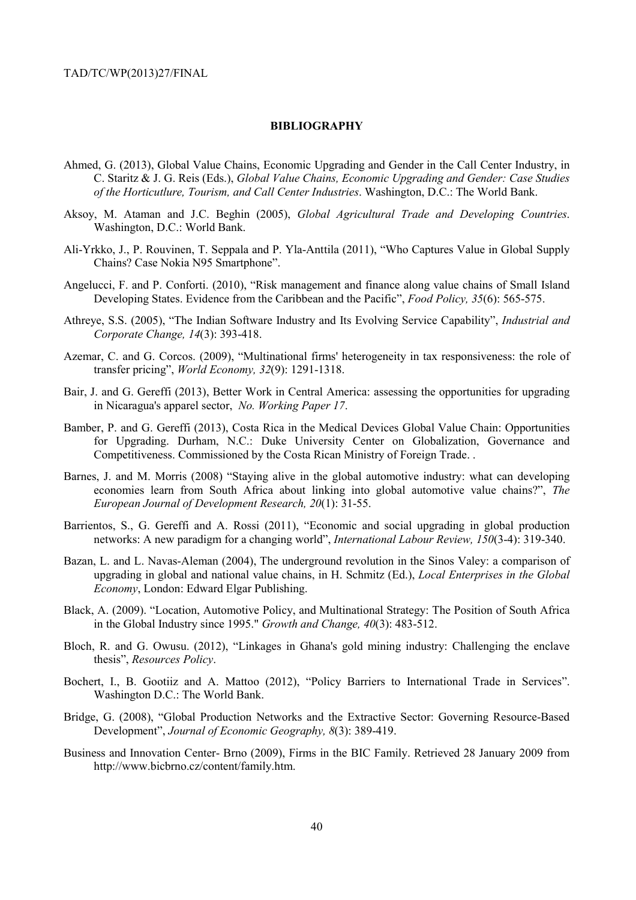#### **BIBLIOGRAPHY**

- Ahmed, G. (2013), Global Value Chains, Economic Upgrading and Gender in the Call Center Industry, in C. Staritz & J. G. Reis (Eds.), *Global Value Chains, Economic Upgrading and Gender: Case Studies of the Horticutlure, Tourism, and Call Center Industries*. Washington, D.C.: The World Bank.
- Aksoy, M. Ataman and J.C. Beghin (2005), *Global Agricultural Trade and Developing Countries*. Washington, D.C.: World Bank.
- Ali-Yrkko, J., P. Rouvinen, T. Seppala and P. Yla-Anttila (2011), "Who Captures Value in Global Supply Chains? Case Nokia N95 Smartphone".
- Angelucci, F. and P. Conforti. (2010), "Risk management and finance along value chains of Small Island Developing States. Evidence from the Caribbean and the Pacific", *Food Policy, 35*(6): 565-575.
- Athreye, S.S. (2005), "The Indian Software Industry and Its Evolving Service Capability", *Industrial and Corporate Change, 14*(3): 393-418.
- Azemar, C. and G. Corcos. (2009), "Multinational firms' heterogeneity in tax responsiveness: the role of transfer pricing", *World Economy, 32*(9): 1291-1318.
- Bair, J. and G. Gereffi (2013), Better Work in Central America: assessing the opportunities for upgrading in Nicaragua's apparel sector, *No. Working Paper 17*.
- Bamber, P. and G. Gereffi (2013), Costa Rica in the Medical Devices Global Value Chain: Opportunities for Upgrading. Durham, N.C.: Duke University Center on Globalization, Governance and Competitiveness. Commissioned by the Costa Rican Ministry of Foreign Trade. .
- Barnes, J. and M. Morris (2008) "Staying alive in the global automotive industry: what can developing economies learn from South Africa about linking into global automotive value chains?", *The European Journal of Development Research, 20*(1): 31-55.
- Barrientos, S., G. Gereffi and A. Rossi (2011), "Economic and social upgrading in global production networks: A new paradigm for a changing world", *International Labour Review, 150*(3-4): 319-340.
- Bazan, L. and L. Navas-Aleman (2004), The underground revolution in the Sinos Valey: a comparison of upgrading in global and national value chains, in H. Schmitz (Ed.), *Local Enterprises in the Global Economy*, London: Edward Elgar Publishing.
- Black, A. (2009). "Location, Automotive Policy, and Multinational Strategy: The Position of South Africa in the Global Industry since 1995." *Growth and Change, 40*(3): 483-512.
- Bloch, R. and G. Owusu. (2012), "Linkages in Ghana's gold mining industry: Challenging the enclave thesis", *Resources Policy*.
- Bochert, I., B. Gootiiz and A. Mattoo (2012), "Policy Barriers to International Trade in Services". Washington D.C.: The World Bank.
- Bridge, G. (2008), "Global Production Networks and the Extractive Sector: Governing Resource-Based Development", *Journal of Economic Geography, 8*(3): 389-419.
- Business and Innovation Center- Brno (2009), Firms in the BIC Family. Retrieved 28 January 2009 from http://www.bicbrno.cz/content/family.htm.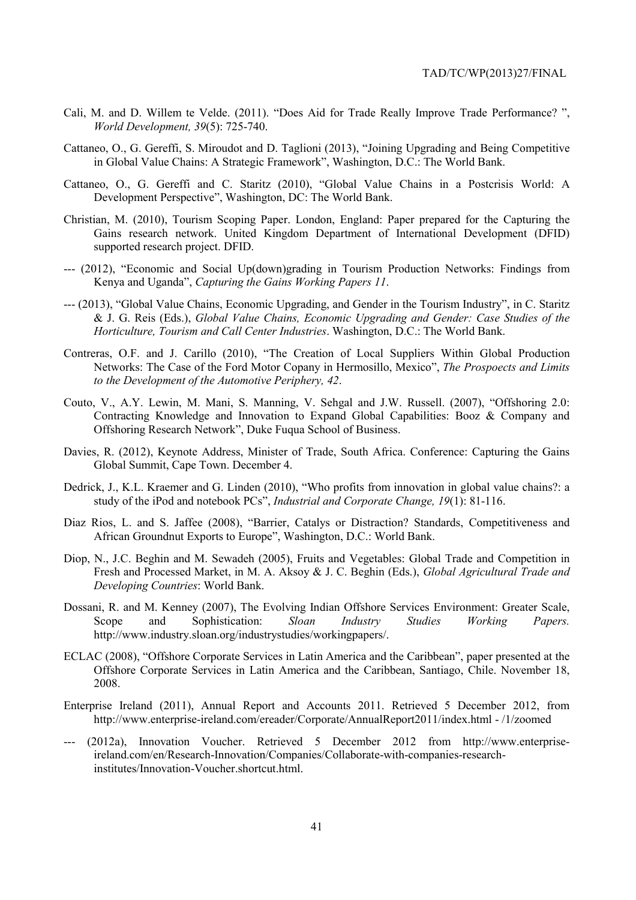- Cali, M. and D. Willem te Velde. (2011). "Does Aid for Trade Really Improve Trade Performance? ", *World Development, 39*(5): 725-740.
- Cattaneo, O., G. Gereffi, S. Miroudot and D. Taglioni (2013), "Joining Upgrading and Being Competitive in Global Value Chains: A Strategic Framework", Washington, D.C.: The World Bank.
- Cattaneo, O., G. Gereffi and C. Staritz (2010), "Global Value Chains in a Postcrisis World: A Development Perspective", Washington, DC: The World Bank.
- Christian, M. (2010), Tourism Scoping Paper. London, England: Paper prepared for the Capturing the Gains research network. United Kingdom Department of International Development (DFID) supported research project. DFID.
- --- (2012), "Economic and Social Up(down)grading in Tourism Production Networks: Findings from Kenya and Uganda", *Capturing the Gains Working Papers 11*.
- --- (2013), "Global Value Chains, Economic Upgrading, and Gender in the Tourism Industry", in C. Staritz & J. G. Reis (Eds.), *Global Value Chains, Economic Upgrading and Gender: Case Studies of the Horticulture, Tourism and Call Center Industries*. Washington, D.C.: The World Bank.
- Contreras, O.F. and J. Carillo (2010), "The Creation of Local Suppliers Within Global Production Networks: The Case of the Ford Motor Copany in Hermosillo, Mexico", *The Prospoects and Limits to the Development of the Automotive Periphery, 42*.
- Couto, V., A.Y. Lewin, M. Mani, S. Manning, V. Sehgal and J.W. Russell. (2007), "Offshoring 2.0: Contracting Knowledge and Innovation to Expand Global Capabilities: Booz & Company and Offshoring Research Network", Duke Fuqua School of Business.
- Davies, R. (2012), Keynote Address, Minister of Trade, South Africa. Conference: Capturing the Gains Global Summit, Cape Town. December 4.
- Dedrick, J., K.L. Kraemer and G. Linden (2010), "Who profits from innovation in global value chains?: a study of the iPod and notebook PCs", *Industrial and Corporate Change, 19*(1): 81-116.
- Diaz Rios, L. and S. Jaffee (2008), "Barrier, Catalys or Distraction? Standards, Competitiveness and African Groundnut Exports to Europe", Washington, D.C.: World Bank.
- Diop, N., J.C. Beghin and M. Sewadeh (2005), Fruits and Vegetables: Global Trade and Competition in Fresh and Processed Market, in M. A. Aksoy & J. C. Beghin (Eds.), *Global Agricultural Trade and Developing Countries*: World Bank.
- Dossani, R. and M. Kenney (2007), The Evolving Indian Offshore Services Environment: Greater Scale, Scope and Sophistication: *Sloan Industry Studies Working Papers.* http://www.industry.sloan.org/industrystudies/workingpapers/.
- ECLAC (2008), "Offshore Corporate Services in Latin America and the Caribbean", paper presented at the Offshore Corporate Services in Latin America and the Caribbean, Santiago, Chile. November 18, 2008.
- Enterprise Ireland (2011), Annual Report and Accounts 2011. Retrieved 5 December 2012, from http://www.enterprise-ireland.com/ereader/Corporate/AnnualReport2011/index.html - /1/zoomed
- --- (2012a), Innovation Voucher. Retrieved 5 December 2012 from http://www.enterpriseireland.com/en/Research-Innovation/Companies/Collaborate-with-companies-researchinstitutes/Innovation-Voucher.shortcut.html.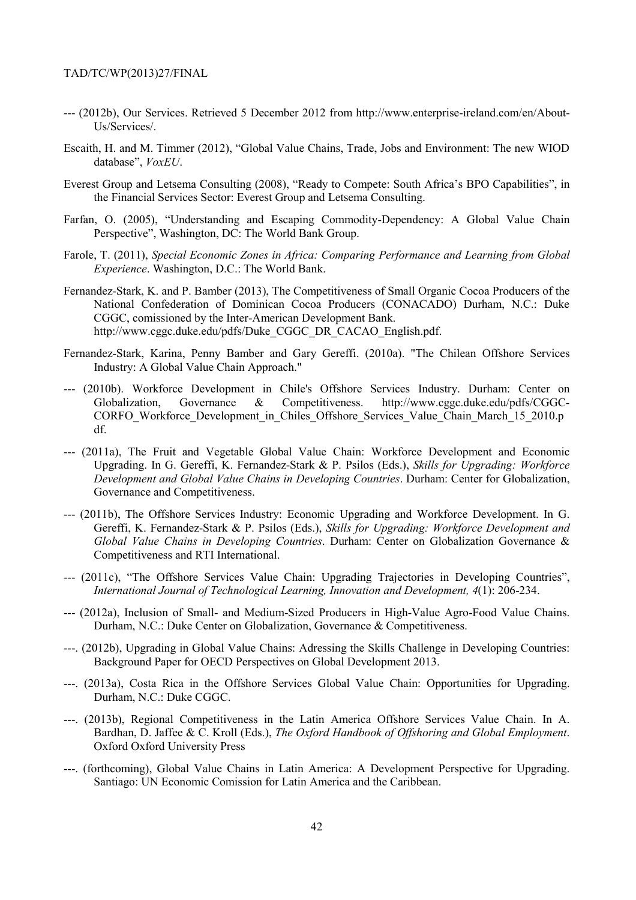- --- (2012b), Our Services. Retrieved 5 December 2012 from http://www.enterprise-ireland.com/en/About-Us/Services/.
- Escaith, H. and M. Timmer (2012), "Global Value Chains, Trade, Jobs and Environment: The new WIOD database", *VoxEU*.
- Everest Group and Letsema Consulting (2008), "Ready to Compete: South Africa's BPO Capabilities", in the Financial Services Sector: Everest Group and Letsema Consulting.
- Farfan, O. (2005), "Understanding and Escaping Commodity-Dependency: A Global Value Chain Perspective", Washington, DC: The World Bank Group.
- Farole, T. (2011), *Special Economic Zones in Africa: Comparing Performance and Learning from Global Experience*. Washington, D.C.: The World Bank.
- Fernandez-Stark, K. and P. Bamber (2013), The Competitiveness of Small Organic Cocoa Producers of the National Confederation of Dominican Cocoa Producers (CONACADO) Durham, N.C.: Duke CGGC, comissioned by the Inter-American Development Bank. http://www.cggc.duke.edu/pdfs/Duke\_CGGC\_DR\_CACAO\_English.pdf.
- Fernandez-Stark, Karina, Penny Bamber and Gary Gereffi. (2010a). "The Chilean Offshore Services Industry: A Global Value Chain Approach."
- --- (2010b). Workforce Development in Chile's Offshore Services Industry. Durham: Center on Globalization, Governance & Competitiveness. http://www.cggc.duke.edu/pdfs/CGGC-CORFO\_Workforce\_Development\_in\_Chiles\_Offshore\_Services\_Value\_Chain\_March\_15\_2010.p df.
- --- (2011a), The Fruit and Vegetable Global Value Chain: Workforce Development and Economic Upgrading. In G. Gereffi, K. Fernandez-Stark & P. Psilos (Eds.), *Skills for Upgrading: Workforce Development and Global Value Chains in Developing Countries*. Durham: Center for Globalization, Governance and Competitiveness.
- --- (2011b), The Offshore Services Industry: Economic Upgrading and Workforce Development. In G. Gereffi, K. Fernandez-Stark & P. Psilos (Eds.), *Skills for Upgrading: Workforce Development and Global Value Chains in Developing Countries*. Durham: Center on Globalization Governance & Competitiveness and RTI International.
- --- (2011c), "The Offshore Services Value Chain: Upgrading Trajectories in Developing Countries", *International Journal of Technological Learning, Innovation and Development, 4*(1): 206-234.
- --- (2012a), Inclusion of Small- and Medium-Sized Producers in High-Value Agro-Food Value Chains. Durham, N.C.: Duke Center on Globalization, Governance & Competitiveness.
- ---. (2012b), Upgrading in Global Value Chains: Adressing the Skills Challenge in Developing Countries: Background Paper for OECD Perspectives on Global Development 2013.
- ---. (2013a), Costa Rica in the Offshore Services Global Value Chain: Opportunities for Upgrading. Durham, N.C.: Duke CGGC.
- ---. (2013b), Regional Competitiveness in the Latin America Offshore Services Value Chain. In A. Bardhan, D. Jaffee & C. Kroll (Eds.), *The Oxford Handbook of Offshoring and Global Employment*. Oxford Oxford University Press
- ---. (forthcoming), Global Value Chains in Latin America: A Development Perspective for Upgrading. Santiago: UN Economic Comission for Latin America and the Caribbean.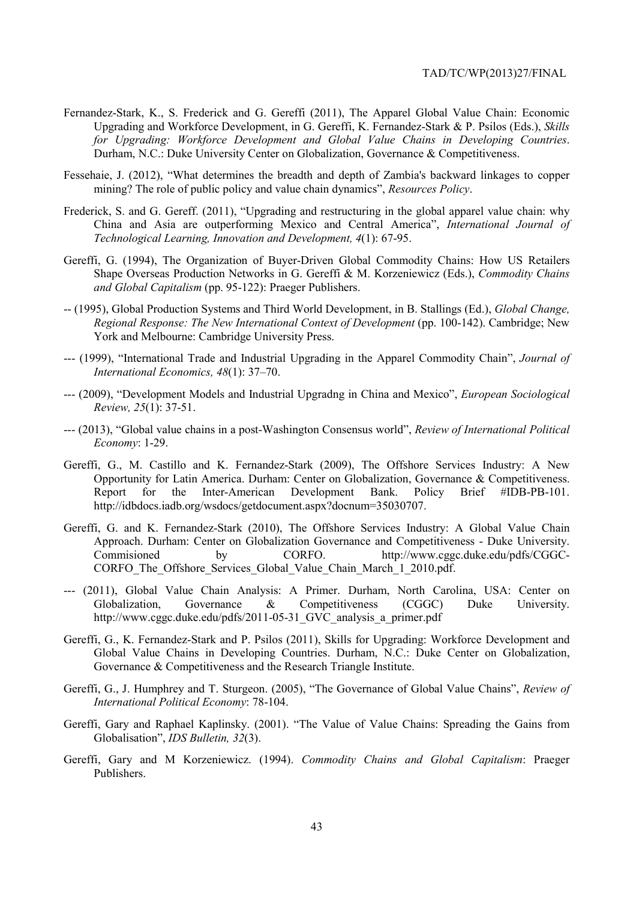- Fernandez-Stark, K., S. Frederick and G. Gereffi (2011), The Apparel Global Value Chain: Economic Upgrading and Workforce Development, in G. Gereffi, K. Fernandez-Stark & P. Psilos (Eds.), *Skills for Upgrading: Workforce Development and Global Value Chains in Developing Countries*. Durham, N.C.: Duke University Center on Globalization, Governance & Competitiveness.
- Fessehaie, J. (2012), "What determines the breadth and depth of Zambia's backward linkages to copper mining? The role of public policy and value chain dynamics", *Resources Policy*.
- Frederick, S. and G. Gereff. (2011), "Upgrading and restructuring in the global apparel value chain: why China and Asia are outperforming Mexico and Central America", *International Journal of Technological Learning, Innovation and Development, 4*(1): 67-95.
- Gereffi, G. (1994), The Organization of Buyer-Driven Global Commodity Chains: How US Retailers Shape Overseas Production Networks in G. Gereffi & M. Korzeniewicz (Eds.), *Commodity Chains and Global Capitalism* (pp. 95-122): Praeger Publishers.
- -- (1995), Global Production Systems and Third World Development, in B. Stallings (Ed.), *Global Change, Regional Response: The New International Context of Development* (pp. 100-142). Cambridge; New York and Melbourne: Cambridge University Press.
- --- (1999), "International Trade and Industrial Upgrading in the Apparel Commodity Chain", *Journal of International Economics, 48*(1): 37–70.
- --- (2009), "Development Models and Industrial Upgradng in China and Mexico", *European Sociological Review, 25*(1): 37-51.
- --- (2013), "Global value chains in a post-Washington Consensus world", *Review of International Political Economy*: 1-29.
- Gereffi, G., M. Castillo and K. Fernandez-Stark (2009), The Offshore Services Industry: A New Opportunity for Latin America. Durham: Center on Globalization, Governance & Competitiveness. Report for the Inter-American Development Bank. Policy Brief #IDB-PB-101. http://idbdocs.iadb.org/wsdocs/getdocument.aspx?docnum=35030707.
- Gereffi, G. and K. Fernandez-Stark (2010), The Offshore Services Industry: A Global Value Chain Approach. Durham: Center on Globalization Governance and Competitiveness - Duke University. Commisioned by CORFO. http://www.cggc.duke.edu/pdfs/CGGC-CORFO\_The\_Offshore\_Services\_Global\_Value\_Chain\_March\_1\_2010.pdf.
- --- (2011), Global Value Chain Analysis: A Primer. Durham, North Carolina, USA: Center on Globalization, Governance & Competitiveness (CGGC) Duke University. http://www.cggc.duke.edu/pdfs/2011-05-31\_GVC\_analysis\_a\_primer.pdf
- Gereffi, G., K. Fernandez-Stark and P. Psilos (2011), Skills for Upgrading: Workforce Development and Global Value Chains in Developing Countries. Durham, N.C.: Duke Center on Globalization, Governance & Competitiveness and the Research Triangle Institute.
- Gereffi, G., J. Humphrey and T. Sturgeon. (2005), "The Governance of Global Value Chains", *Review of International Political Economy*: 78-104.
- Gereffi, Gary and Raphael Kaplinsky. (2001). "The Value of Value Chains: Spreading the Gains from Globalisation", *IDS Bulletin, 32*(3).
- Gereffi, Gary and M Korzeniewicz. (1994). *Commodity Chains and Global Capitalism*: Praeger Publishers.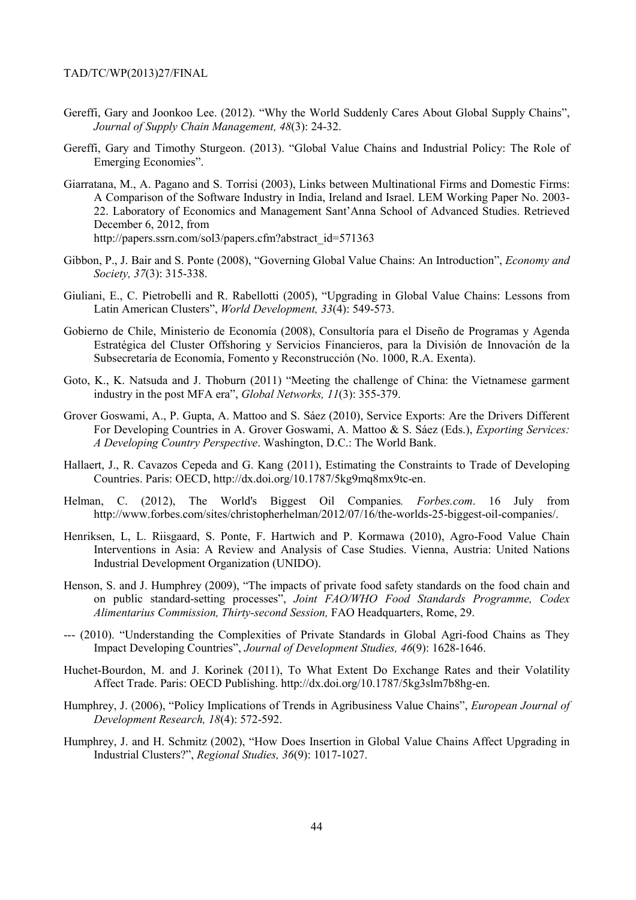- Gereffi, Gary and Joonkoo Lee. (2012). "Why the World Suddenly Cares About Global Supply Chains", *Journal of Supply Chain Management, 48*(3): 24-32.
- Gereffi, Gary and Timothy Sturgeon. (2013). "Global Value Chains and Industrial Policy: The Role of Emerging Economies".
- Giarratana, M., A. Pagano and S. Torrisi (2003), Links between Multinational Firms and Domestic Firms: A Comparison of the Software Industry in India, Ireland and Israel. LEM Working Paper No. 2003- 22. Laboratory of Economics and Management Sant'Anna School of Advanced Studies. Retrieved December 6, 2012, from http://papers.ssrn.com/sol3/papers.cfm?abstract\_id=571363
- Gibbon, P., J. Bair and S. Ponte (2008), "Governing Global Value Chains: An Introduction", *Economy and Society, 37*(3): 315-338.
- Giuliani, E., C. Pietrobelli and R. Rabellotti (2005), "Upgrading in Global Value Chains: Lessons from Latin American Clusters", *World Development, 33*(4): 549-573.
- Gobierno de Chile, Ministerio de Economía (2008), Consultoría para el Diseño de Programas y Agenda Estratégica del Cluster Offshoring y Servicios Financieros, para la División de Innovación de la Subsecretaría de Economía, Fomento y Reconstrucción (No. 1000, R.A. Exenta).
- Goto, K., K. Natsuda and J. Thoburn (2011) "Meeting the challenge of China: the Vietnamese garment industry in the post MFA era", *Global Networks, 11*(3): 355-379.
- Grover Goswami, A., P. Gupta, A. Mattoo and S. Sáez (2010), Service Exports: Are the Drivers Different For Developing Countries in A. Grover Goswami, A. Mattoo & S. Sáez (Eds.), *Exporting Services: A Developing Country Perspective*. Washington, D.C.: The World Bank.
- Hallaert, J., R. Cavazos Cepeda and G. Kang (2011), Estimating the Constraints to Trade of Developing Countries. Paris: OECD, http://dx.doi.org/10.1787/5kg9mq8mx9tc-en.
- Helman, C. (2012), The World's Biggest Oil Companies*. Forbes.com*. 16 July from http://www.forbes.com/sites/christopherhelman/2012/07/16/the-worlds-25-biggest-oil-companies/.
- Henriksen, L, L. Riisgaard, S. Ponte, F. Hartwich and P. Kormawa (2010), Agro-Food Value Chain Interventions in Asia: A Review and Analysis of Case Studies. Vienna, Austria: United Nations Industrial Development Organization (UNIDO).
- Henson, S. and J. Humphrey (2009), "The impacts of private food safety standards on the food chain and on public standard-setting processes", *Joint FAO/WHO Food Standards Programme, Codex Alimentarius Commission, Thirty-second Session,* FAO Headquarters, Rome, 29.
- --- (2010). "Understanding the Complexities of Private Standards in Global Agri-food Chains as They Impact Developing Countries", *Journal of Development Studies, 46*(9): 1628-1646.
- Huchet-Bourdon, M. and J. Korinek (2011), To What Extent Do Exchange Rates and their Volatility Affect Trade. Paris: OECD Publishing. http://dx.doi.org/10.1787/5kg3slm7b8hg-en.
- Humphrey, J. (2006), "Policy Implications of Trends in Agribusiness Value Chains", *European Journal of Development Research, 18*(4): 572-592.
- Humphrey, J. and H. Schmitz (2002), "How Does Insertion in Global Value Chains Affect Upgrading in Industrial Clusters?", *Regional Studies, 36*(9): 1017-1027.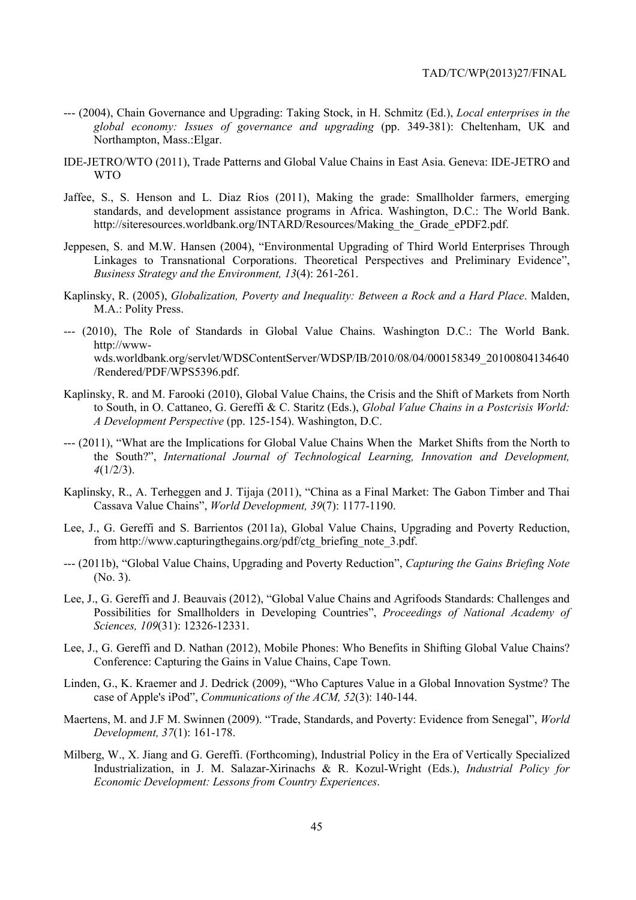- --- (2004), Chain Governance and Upgrading: Taking Stock, in H. Schmitz (Ed.), *Local enterprises in the global economy: Issues of governance and upgrading* (pp. 349-381): Cheltenham, UK and Northampton, Mass.:Elgar.
- IDE-JETRO/WTO (2011), Trade Patterns and Global Value Chains in East Asia. Geneva: IDE-JETRO and WTO
- Jaffee, S., S. Henson and L. Diaz Rios (2011), Making the grade: Smallholder farmers, emerging standards, and development assistance programs in Africa. Washington, D.C.: The World Bank. http://siteresources.worldbank.org/INTARD/Resources/Making\_the\_Grade\_ePDF2.pdf.
- Jeppesen, S. and M.W. Hansen (2004), "Environmental Upgrading of Third World Enterprises Through Linkages to Transnational Corporations. Theoretical Perspectives and Preliminary Evidence", *Business Strategy and the Environment, 13*(4): 261-261.
- Kaplinsky, R. (2005), *Globalization, Poverty and Inequality: Between a Rock and a Hard Place*. Malden, M.A.: Polity Press.
- --- (2010), The Role of Standards in Global Value Chains. Washington D.C.: The World Bank. http://wwwwds.worldbank.org/servlet/WDSContentServer/WDSP/IB/2010/08/04/000158349\_20100804134640 /Rendered/PDF/WPS5396.pdf.
- Kaplinsky, R. and M. Farooki (2010), Global Value Chains, the Crisis and the Shift of Markets from North to South, in O. Cattaneo, G. Gereffi & C. Staritz (Eds.), *Global Value Chains in a Postcrisis World: A Development Perspective* (pp. 125-154). Washington, D.C.
- --- (2011), "What are the Implications for Global Value Chains When the Market Shifts from the North to the South?", *International Journal of Technological Learning, Innovation and Development, 4*(1/2/3).
- Kaplinsky, R., A. Terheggen and J. Tijaja (2011), "China as a Final Market: The Gabon Timber and Thai Cassava Value Chains", *World Development, 39*(7): 1177-1190.
- Lee, J., G. Gereffi and S. Barrientos (2011a), Global Value Chains, Upgrading and Poverty Reduction, from http://www.capturingthegains.org/pdf/ctg\_briefing\_note\_3.pdf.
- --- (2011b), "Global Value Chains, Upgrading and Poverty Reduction", *Capturing the Gains Briefing Note*  (No. 3).
- Lee, J., G. Gereffi and J. Beauvais (2012), "Global Value Chains and Agrifoods Standards: Challenges and Possibilities for Smallholders in Developing Countries", *Proceedings of National Academy of Sciences, 109*(31): 12326-12331.
- Lee, J., G. Gereffi and D. Nathan (2012), Mobile Phones: Who Benefits in Shifting Global Value Chains? Conference: Capturing the Gains in Value Chains, Cape Town.
- Linden, G., K. Kraemer and J. Dedrick (2009), "Who Captures Value in a Global Innovation Systme? The case of Apple's iPod", *Communications of the ACM, 52*(3): 140-144.
- Maertens, M. and J.F M. Swinnen (2009). "Trade, Standards, and Poverty: Evidence from Senegal", *World Development, 37*(1): 161-178.
- Milberg, W., X. Jiang and G. Gereffi. (Forthcoming), Industrial Policy in the Era of Vertically Specialized Industrialization, in J. M. Salazar-Xirinachs & R. Kozul-Wright (Eds.), *Industrial Policy for Economic Development: Lessons from Country Experiences*.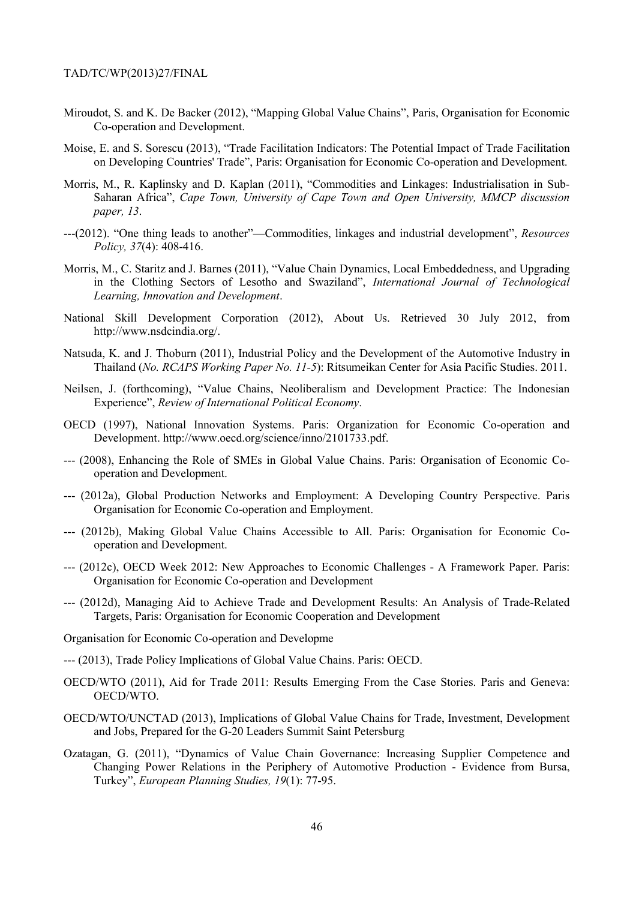- Miroudot, S. and K. De Backer (2012), "Mapping Global Value Chains", Paris, Organisation for Economic Co-operation and Development.
- Moise, E. and S. Sorescu (2013), "Trade Facilitation Indicators: The Potential Impact of Trade Facilitation on Developing Countries' Trade", Paris: Organisation for Economic Co-operation and Development.
- Morris, M., R. Kaplinsky and D. Kaplan (2011), "Commodities and Linkages: Industrialisation in Sub-Saharan Africa", *Cape Town, University of Cape Town and Open University, MMCP discussion paper, 13*.
- ---(2012). "One thing leads to another"—Commodities, linkages and industrial development", *Resources Policy, 37*(4): 408-416.
- Morris, M., C. Staritz and J. Barnes (2011), "Value Chain Dynamics, Local Embeddedness, and Upgrading in the Clothing Sectors of Lesotho and Swaziland", *International Journal of Technological Learning, Innovation and Development*.
- National Skill Development Corporation (2012), About Us. Retrieved 30 July 2012, from http://www.nsdcindia.org/.
- Natsuda, K. and J. Thoburn (2011), Industrial Policy and the Development of the Automotive Industry in Thailand (*No. RCAPS Working Paper No. 11-5*): Ritsumeikan Center for Asia Pacific Studies. 2011.
- Neilsen, J. (forthcoming), "Value Chains, Neoliberalism and Development Practice: The Indonesian Experience", *Review of International Political Economy*.
- OECD (1997), National Innovation Systems. Paris: Organization for Economic Co-operation and Development. http://www.oecd.org/science/inno/2101733.pdf.
- --- (2008), Enhancing the Role of SMEs in Global Value Chains. Paris: Organisation of Economic Cooperation and Development.
- --- (2012a), Global Production Networks and Employment: A Developing Country Perspective. Paris Organisation for Economic Co-operation and Employment.
- --- (2012b), Making Global Value Chains Accessible to All. Paris: Organisation for Economic Cooperation and Development.
- --- (2012c), OECD Week 2012: New Approaches to Economic Challenges A Framework Paper. Paris: Organisation for Economic Co-operation and Development
- --- (2012d), Managing Aid to Achieve Trade and Development Results: An Analysis of Trade-Related Targets, Paris: Organisation for Economic Cooperation and Development
- Organisation for Economic Co-operation and Developme
- --- (2013), Trade Policy Implications of Global Value Chains. Paris: OECD.
- OECD/WTO (2011), Aid for Trade 2011: Results Emerging From the Case Stories. Paris and Geneva: OECD/WTO.
- OECD/WTO/UNCTAD (2013), Implications of Global Value Chains for Trade, Investment, Development and Jobs, Prepared for the G-20 Leaders Summit Saint Petersburg
- Ozatagan, G. (2011), "Dynamics of Value Chain Governance: Increasing Supplier Competence and Changing Power Relations in the Periphery of Automotive Production - Evidence from Bursa, Turkey", *European Planning Studies, 19*(1): 77-95.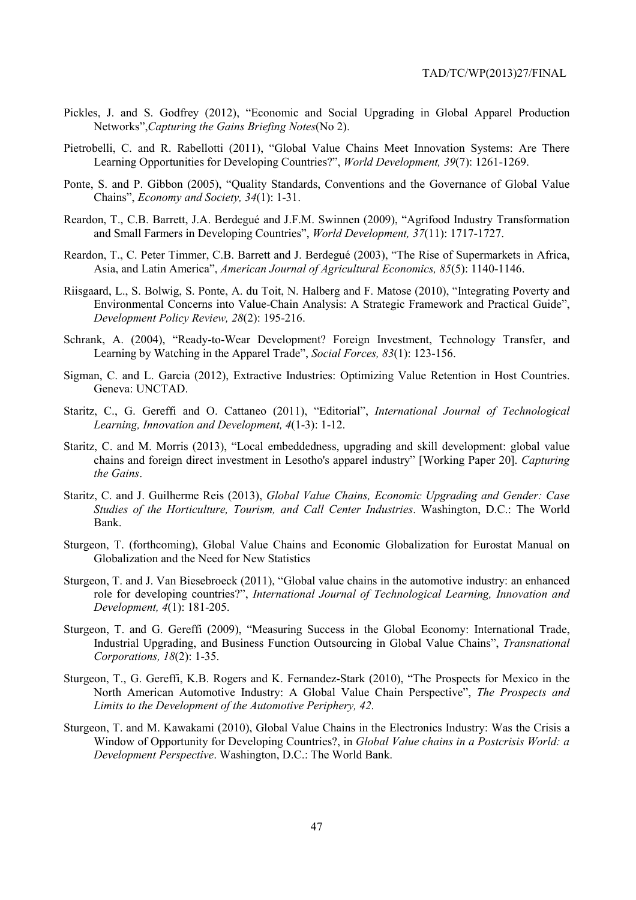- Pickles, J. and S. Godfrey (2012), "Economic and Social Upgrading in Global Apparel Production Networks",*Capturing the Gains Briefing Notes*(No 2).
- Pietrobelli, C. and R. Rabellotti (2011), "Global Value Chains Meet Innovation Systems: Are There Learning Opportunities for Developing Countries?", *World Development, 39*(7): 1261-1269.
- Ponte, S. and P. Gibbon (2005), "Quality Standards, Conventions and the Governance of Global Value Chains", *Economy and Society, 34*(1): 1-31.
- Reardon, T., C.B. Barrett, J.A. Berdegué and J.F.M. Swinnen (2009), "Agrifood Industry Transformation and Small Farmers in Developing Countries", *World Development, 37*(11): 1717-1727.
- Reardon, T., C. Peter Timmer, C.B. Barrett and J. Berdegué (2003), "The Rise of Supermarkets in Africa, Asia, and Latin America", *American Journal of Agricultural Economics, 85*(5): 1140-1146.
- Riisgaard, L., S. Bolwig, S. Ponte, A. du Toit, N. Halberg and F. Matose (2010), "Integrating Poverty and Environmental Concerns into Value-Chain Analysis: A Strategic Framework and Practical Guide", *Development Policy Review, 28*(2): 195-216.
- Schrank, A. (2004), "Ready-to-Wear Development? Foreign Investment, Technology Transfer, and Learning by Watching in the Apparel Trade", *Social Forces, 83*(1): 123-156.
- Sigman, C. and L. Garcia (2012), Extractive Industries: Optimizing Value Retention in Host Countries. Geneva: UNCTAD.
- Staritz, C., G. Gereffi and O. Cattaneo (2011), "Editorial", *International Journal of Technological Learning, Innovation and Development, 4*(1-3): 1-12.
- Staritz, C. and M. Morris (2013), "Local embeddedness, upgrading and skill development: global value chains and foreign direct investment in Lesotho's apparel industry" [Working Paper 20]. *Capturing the Gains*.
- Staritz, C. and J. Guilherme Reis (2013), *Global Value Chains, Economic Upgrading and Gender: Case Studies of the Horticulture, Tourism, and Call Center Industries*. Washington, D.C.: The World Bank.
- Sturgeon, T. (forthcoming), Global Value Chains and Economic Globalization for Eurostat Manual on Globalization and the Need for New Statistics
- Sturgeon, T. and J. Van Biesebroeck (2011), "Global value chains in the automotive industry: an enhanced role for developing countries?", *International Journal of Technological Learning, Innovation and Development, 4*(1): 181-205.
- Sturgeon, T. and G. Gereffi (2009), "Measuring Success in the Global Economy: International Trade, Industrial Upgrading, and Business Function Outsourcing in Global Value Chains", *Transnational Corporations, 18*(2): 1-35.
- Sturgeon, T., G. Gereffi, K.B. Rogers and K. Fernandez-Stark (2010), "The Prospects for Mexico in the North American Automotive Industry: A Global Value Chain Perspective", *The Prospects and Limits to the Development of the Automotive Periphery, 42*.
- Sturgeon, T. and M. Kawakami (2010), Global Value Chains in the Electronics Industry: Was the Crisis a Window of Opportunity for Developing Countries?, in *Global Value chains in a Postcrisis World: a Development Perspective*. Washington, D.C.: The World Bank.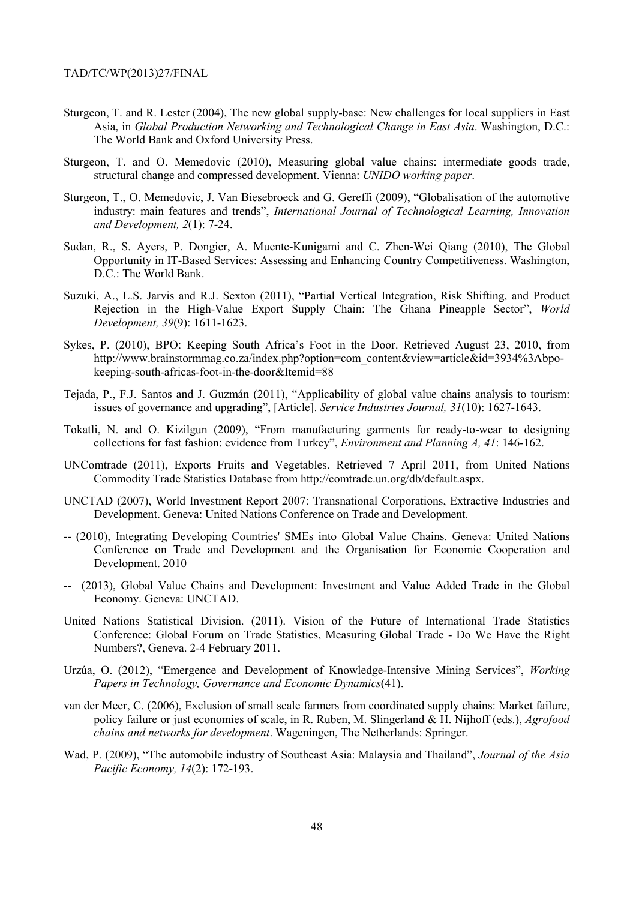- Sturgeon, T. and R. Lester (2004), The new global supply-base: New challenges for local suppliers in East Asia, in *Global Production Networking and Technological Change in East Asia*. Washington, D.C.: The World Bank and Oxford University Press.
- Sturgeon, T. and O. Memedovic (2010), Measuring global value chains: intermediate goods trade, structural change and compressed development. Vienna: *UNIDO working paper*.
- Sturgeon, T., O. Memedovic, J. Van Biesebroeck and G. Gereffi (2009), "Globalisation of the automotive industry: main features and trends", *International Journal of Technological Learning, Innovation and Development, 2*(1): 7-24.
- Sudan, R., S. Ayers, P. Dongier, A. Muente-Kunigami and C. Zhen-Wei Qiang (2010), The Global Opportunity in IT-Based Services: Assessing and Enhancing Country Competitiveness. Washington, D.C.: The World Bank.
- Suzuki, A., L.S. Jarvis and R.J. Sexton (2011), "Partial Vertical Integration, Risk Shifting, and Product Rejection in the High-Value Export Supply Chain: The Ghana Pineapple Sector", *World Development, 39*(9): 1611-1623.
- Sykes, P. (2010), BPO: Keeping South Africa's Foot in the Door. Retrieved August 23, 2010, from http://www.brainstormmag.co.za/index.php?option=com\_content&view=article&id=3934%3Abpokeeping-south-africas-foot-in-the-door&Itemid=88
- Tejada, P., F.J. Santos and J. Guzmán (2011), "Applicability of global value chains analysis to tourism: issues of governance and upgrading", [Article]. *Service Industries Journal, 31*(10): 1627-1643.
- Tokatli, N. and O. Kizilgun (2009), "From manufacturing garments for ready-to-wear to designing collections for fast fashion: evidence from Turkey", *Environment and Planning A, 41*: 146-162.
- UNComtrade (2011), Exports Fruits and Vegetables. Retrieved 7 April 2011, from United Nations Commodity Trade Statistics Database from http://comtrade.un.org/db/default.aspx.
- UNCTAD (2007), World Investment Report 2007: Transnational Corporations, Extractive Industries and Development. Geneva: United Nations Conference on Trade and Development.
- -- (2010), Integrating Developing Countries' SMEs into Global Value Chains. Geneva: United Nations Conference on Trade and Development and the Organisation for Economic Cooperation and Development. 2010
- -- (2013), Global Value Chains and Development: Investment and Value Added Trade in the Global Economy. Geneva: UNCTAD.
- United Nations Statistical Division. (2011). Vision of the Future of International Trade Statistics Conference: Global Forum on Trade Statistics, Measuring Global Trade - Do We Have the Right Numbers?, Geneva. 2-4 February 2011.
- Urzúa, O. (2012), "Emergence and Development of Knowledge-Intensive Mining Services", *Working Papers in Technology, Governance and Economic Dynamics*(41).
- van der Meer, C. (2006), Exclusion of small scale farmers from coordinated supply chains: Market failure, policy failure or just economies of scale, in R. Ruben, M. Slingerland & H. Nijhoff (eds.), *Agrofood chains and networks for development*. Wageningen, The Netherlands: Springer.
- Wad, P. (2009), "The automobile industry of Southeast Asia: Malaysia and Thailand", *Journal of the Asia Pacific Economy, 14*(2): 172-193.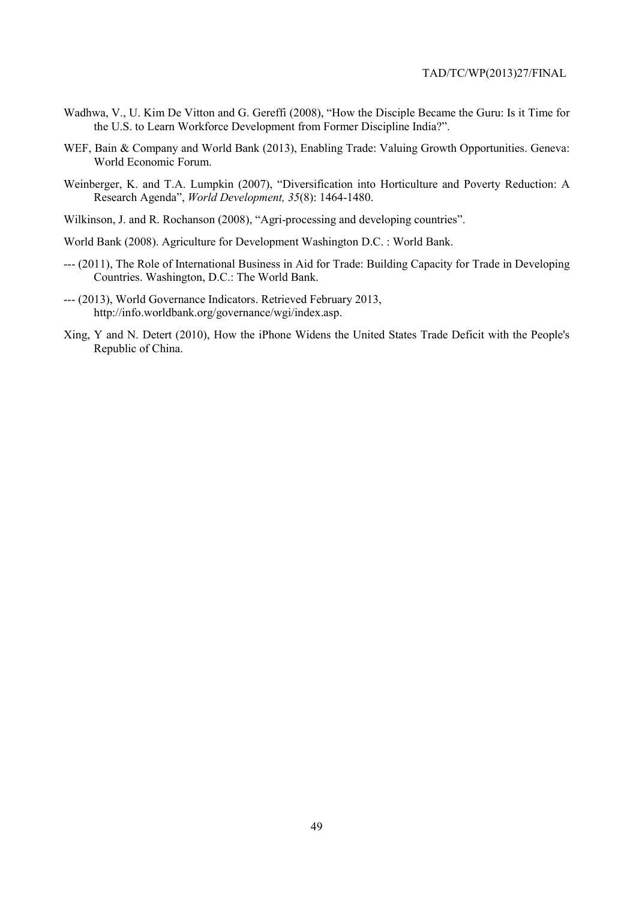- Wadhwa, V., U. Kim De Vitton and G. Gereffi (2008), "How the Disciple Became the Guru: Is it Time for the U.S. to Learn Workforce Development from Former Discipline India?".
- WEF, Bain & Company and World Bank (2013), Enabling Trade: Valuing Growth Opportunities. Geneva: World Economic Forum.
- Weinberger, K. and T.A. Lumpkin (2007), "Diversification into Horticulture and Poverty Reduction: A Research Agenda", *World Development, 35*(8): 1464-1480.
- Wilkinson, J. and R. Rochanson (2008), "Agri-processing and developing countries".
- World Bank (2008). Agriculture for Development Washington D.C. : World Bank.
- --- (2011), The Role of International Business in Aid for Trade: Building Capacity for Trade in Developing Countries. Washington, D.C.: The World Bank.
- --- (2013), World Governance Indicators. Retrieved February 2013, http://info.worldbank.org/governance/wgi/index.asp.
- Xing, Y and N. Detert (2010), How the iPhone Widens the United States Trade Deficit with the People's Republic of China.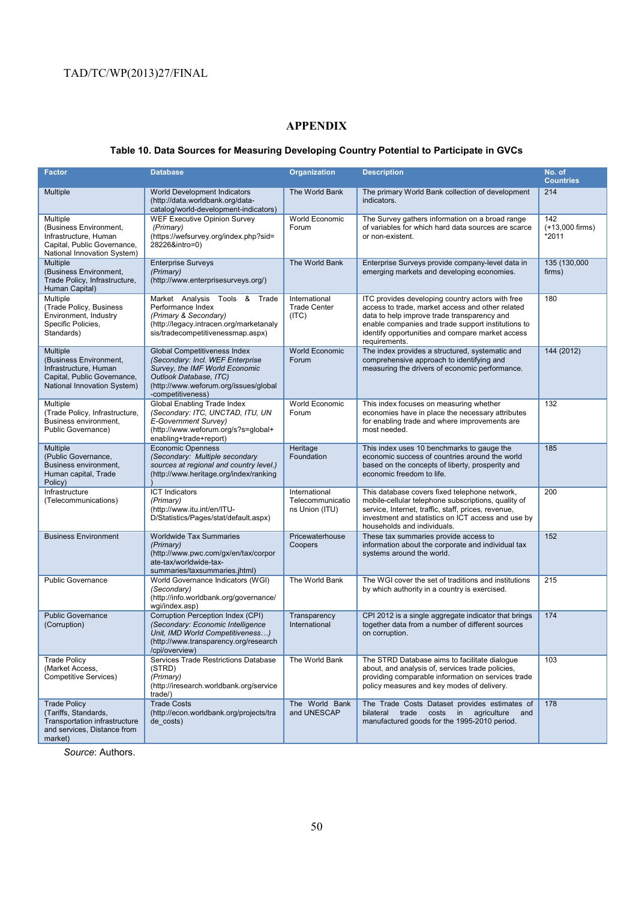## **APPENDIX**

# **Table 10. Data Sources for Measuring Developing Country Potential to Participate in GVCs**

| <b>Factor</b>                                                                                                             | <b>Database</b>                                                                                                                                                                            | Organization                                        | <b>Description</b>                                                                                                                                                                                                                                                             | No. of<br><b>Countries</b>      |
|---------------------------------------------------------------------------------------------------------------------------|--------------------------------------------------------------------------------------------------------------------------------------------------------------------------------------------|-----------------------------------------------------|--------------------------------------------------------------------------------------------------------------------------------------------------------------------------------------------------------------------------------------------------------------------------------|---------------------------------|
| Multiple                                                                                                                  | World Development Indicators<br>(http://data.worldbank.org/data-<br>catalog/world-development-indicators)                                                                                  | The World Bank                                      | The primary World Bank collection of development<br>indicators.                                                                                                                                                                                                                | 214                             |
| Multiple<br>(Business Environment,<br>Infrastructure, Human<br>Capital, Public Governance.<br>National Innovation System) | WEF Executive Opinion Survey<br>(Primary)<br>(https://wefsurvey.org/index.php?sid=<br>28226&intro=0)                                                                                       | World Economic<br>Forum                             | The Survey gathers information on a broad range<br>of variables for which hard data sources are scarce<br>or non-existent.                                                                                                                                                     | 142<br>(+13,000 firms)<br>*2011 |
| Multiple<br>(Business Environment,<br>Trade Policy, Infrastructure,<br>Human Capital)                                     | <b>Enterprise Surveys</b><br>(Primary)<br>(http://www.enterprisesurveys.org/)                                                                                                              | The World Bank                                      | Enterprise Surveys provide company-level data in<br>emerging markets and developing economies.                                                                                                                                                                                 | 135 (130,000<br>firms)          |
| Multiple<br>(Trade Policy, Business<br>Environment, Industry<br>Specific Policies,<br>Standards)                          | Market Analysis Tools &<br>Trade<br>Performance Index<br>(Primary & Secondary)<br>(http://legacy.intracen.org/marketanaly<br>sis/tradecompetitivenessmap.aspx)                             | International<br><b>Trade Center</b><br>(ITC)       | ITC provides developing country actors with free<br>access to trade, market access and other related<br>data to help improve trade transparency and<br>enable companies and trade support institutions to<br>identify opportunities and compare market access<br>requirements. | 180                             |
| Multiple<br>(Business Environment,<br>Infrastructure, Human<br>Capital, Public Governance,<br>National Innovation System) | Global Competitiveness Index<br>(Secondary: Incl. WEF Enterprise<br>Survey, the IMF World Economic<br>Outlook Database, ITC)<br>(http://www.weforum.org/issues/global<br>-competitiveness) | <b>World Economic</b><br>Forum                      | The index provides a structured, systematic and<br>comprehensive approach to identifying and<br>measuring the drivers of economic performance.                                                                                                                                 | 144 (2012)                      |
| Multiple<br>(Trade Policy, Infrastructure,<br>Business environment.<br>Public Governance)                                 | Global Enabling Trade Index<br>(Secondary: ITC, UNCTAD, ITU, UN<br>E-Government Survey)<br>(http://www.weforum.org/s?s=global+<br>enabling+trade+report)                                   | World Economic<br>Forum                             | This index focuses on measuring whether<br>economies have in place the necessary attributes<br>for enabling trade and where improvements are<br>most needed.                                                                                                                   | 132                             |
| Multiple<br>(Public Governance,<br>Business environment.<br>Human capital, Trade<br>Policy)                               | <b>Economic Openness</b><br>(Secondary: Multiple secondary<br>sources at regional and country level.)<br>(http://www.heritage.org/index/ranking                                            | Heritage<br>Foundation                              | This index uses 10 benchmarks to gauge the<br>economic success of countries around the world<br>based on the concepts of liberty, prosperity and<br>economic freedom to life.                                                                                                  | 185                             |
| Infrastructure<br>(Telecommunications)                                                                                    | <b>ICT Indicators</b><br>(Primary)<br>(http://www.itu.int/en/ITU-<br>D/Statistics/Pages/stat/default.aspx)                                                                                 | International<br>Telecommunicatio<br>ns Union (ITU) | This database covers fixed telephone network,<br>mobile-cellular telephone subscriptions, quality of<br>service, Internet, traffic, staff, prices, revenue,<br>investment and statistics on ICT access and use by<br>households and individuals.                               | 200                             |
| <b>Business Environment</b>                                                                                               | <b>Worldwide Tax Summaries</b><br>(Primary)<br>(http://www.pwc.com/gx/en/tax/corpor<br>ate-tax/worldwide-tax-<br>summaries/taxsummaries.jhtml)                                             | Pricewaterhouse<br>Coopers                          | These tax summaries provide access to<br>information about the corporate and individual tax<br>systems around the world.                                                                                                                                                       | 152                             |
| <b>Public Governance</b>                                                                                                  | World Governance Indicators (WGI)<br>(Secondary)<br>(http://info.worldbank.org/governance/<br>wgi/index.asp)                                                                               | The World Bank                                      | The WGI cover the set of traditions and institutions<br>by which authority in a country is exercised.                                                                                                                                                                          | 215                             |
| <b>Public Governance</b><br>(Corruption)                                                                                  | Corruption Perception Index (CPI)<br>(Secondary: Economic Intelligence<br>Unit, IMD World Competitiveness)<br>(http://www.transparency.org/research<br>/cpi/overview)                      | Transparency<br>International                       | CPI 2012 is a single aggregate indicator that brings<br>together data from a number of different sources<br>on corruption.                                                                                                                                                     | 174                             |
| <b>Trade Policy</b><br>(Market Access,<br><b>Competitive Services)</b>                                                    | Services Trade Restrictions Database<br>(STRD)<br>(Primary)<br>(http://iresearch.worldbank.org/service<br>trade/)                                                                          | The World Bank                                      | The STRD Database aims to facilitate dialogue<br>about, and analysis of, services trade policies,<br>providing comparable information on services trade<br>policy measures and key modes of delivery.                                                                          | 103                             |
| <b>Trade Policy</b><br>(Tariffs, Standards,<br>Transportation infrastructure<br>and services, Distance from<br>market)    | <b>Trade Costs</b><br>(http://econ.worldbank.org/projects/tra<br>de costs)                                                                                                                 | The World Bank<br>and UNESCAP                       | The Trade Costs Dataset provides estimates of<br>bilateral<br>trade<br>costs<br>agriculture<br>in<br>and<br>manufactured goods for the 1995-2010 period.                                                                                                                       | 178                             |

*Source*: Authors.